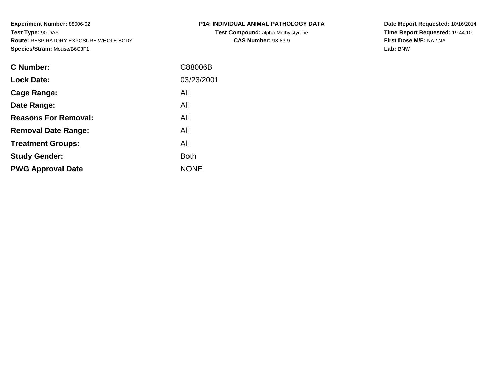**Experiment Number:** 88006-02**Test Type:** 90-DAY **Route:** RESPIRATORY EXPOSURE WHOLE BODY**Species/Strain:** Mouse/B6C3F1

| <b>C Number:</b>            | C88006B     |
|-----------------------------|-------------|
| <b>Lock Date:</b>           | 03/23/2001  |
| <b>Cage Range:</b>          | All         |
| Date Range:                 | All         |
| <b>Reasons For Removal:</b> | All         |
| <b>Removal Date Range:</b>  | All         |
| <b>Treatment Groups:</b>    | All         |
| <b>Study Gender:</b>        | <b>Both</b> |
| <b>PWG Approval Date</b>    | <b>NONE</b> |
|                             |             |

## **P14: INDIVIDUAL ANIMAL PATHOLOGY DATATest Compound:** alpha-Methylstyrene**CAS Number:** 98-83-9

**Date Report Requested:** 10/16/2014 **Time Report Requested:** 19:44:10**First Dose M/F:** NA / NA**Lab:** BNW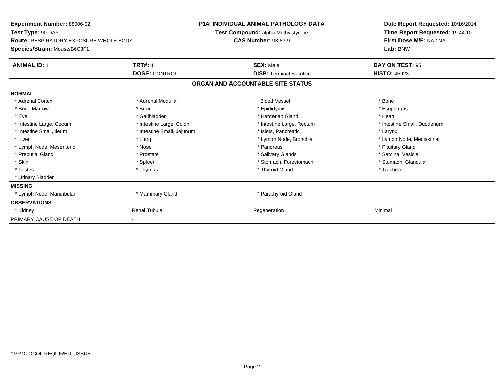| Experiment Number: 88006-02<br>Test Type: 90-DAY |                            | <b>P14: INDIVIDUAL ANIMAL PATHOLOGY DATA</b> | Date Report Requested: 10/16/2014<br>Time Report Requested: 19:44:10 |
|--------------------------------------------------|----------------------------|----------------------------------------------|----------------------------------------------------------------------|
|                                                  |                            | Test Compound: alpha-Methylstyrene           |                                                                      |
| <b>Route: RESPIRATORY EXPOSURE WHOLE BODY</b>    |                            | <b>CAS Number: 98-83-9</b>                   | First Dose M/F: NA / NA                                              |
| Species/Strain: Mouse/B6C3F1                     |                            |                                              | Lab: BNW                                                             |
| <b>ANIMAL ID: 1</b>                              | <b>TRT#: 1</b>             | <b>SEX: Male</b>                             | DAY ON TEST: 95                                                      |
|                                                  | <b>DOSE: CONTROL</b>       | <b>DISP: Terminal Sacrifice</b>              | <b>HISTO: 45923</b>                                                  |
|                                                  |                            | ORGAN AND ACCOUNTABLE SITE STATUS            |                                                                      |
| <b>NORMAL</b>                                    |                            |                                              |                                                                      |
| * Adrenal Cortex                                 | * Adrenal Medulla          | <b>Blood Vessel</b>                          | * Bone                                                               |
| * Bone Marrow                                    | * Brain                    | * Epididymis                                 | * Esophagus                                                          |
| * Eye                                            | * Gallbladder              | * Harderian Gland                            | * Heart                                                              |
| * Intestine Large, Cecum                         | * Intestine Large, Colon   | * Intestine Large, Rectum                    | * Intestine Small, Duodenum                                          |
| * Intestine Small, Ileum                         | * Intestine Small, Jejunum | * Islets, Pancreatic                         | * Larynx                                                             |
| * Liver                                          | * Lung                     | * Lymph Node, Bronchial                      | * Lymph Node, Mediastinal                                            |
| * Lymph Node, Mesenteric                         | * Nose                     | * Pancreas                                   | * Pituitary Gland                                                    |
| * Preputial Gland                                | * Prostate                 | * Salivary Glands                            | * Seminal Vesicle                                                    |
| * Skin                                           | * Spleen                   | * Stomach, Forestomach                       | * Stomach, Glandular                                                 |
| * Testes                                         | * Thymus                   | * Thyroid Gland                              | * Trachea                                                            |
| * Urinary Bladder                                |                            |                                              |                                                                      |
| <b>MISSING</b>                                   |                            |                                              |                                                                      |
| * Lymph Node, Mandibular                         | * Mammary Gland            | * Parathyroid Gland                          |                                                                      |
| <b>OBSERVATIONS</b>                              |                            |                                              |                                                                      |
| * Kidney                                         | <b>Renal Tubule</b>        | Regeneration                                 | Minimal                                                              |
| PRIMARY CAUSE OF DEATH                           | $\overline{\phantom{a}}$   |                                              |                                                                      |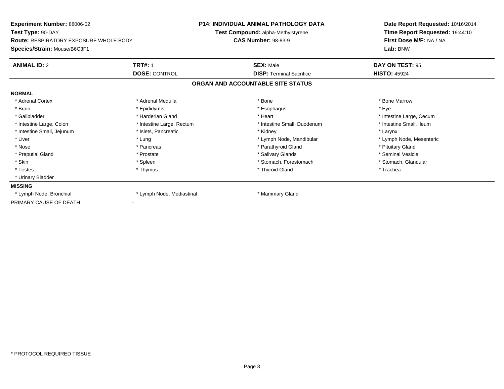| Experiment Number: 88006-02                                        |                           | <b>P14: INDIVIDUAL ANIMAL PATHOLOGY DATA</b> | Date Report Requested: 10/16/2014 |
|--------------------------------------------------------------------|---------------------------|----------------------------------------------|-----------------------------------|
| Test Type: 90-DAY<br><b>Route: RESPIRATORY EXPOSURE WHOLE BODY</b> |                           | Test Compound: alpha-Methylstyrene           | Time Report Requested: 19:44:10   |
|                                                                    |                           | <b>CAS Number: 98-83-9</b>                   | First Dose M/F: NA / NA           |
| Species/Strain: Mouse/B6C3F1                                       |                           |                                              | Lab: BNW                          |
| <b>ANIMAL ID: 2</b>                                                | <b>TRT#: 1</b>            | <b>SEX: Male</b>                             | DAY ON TEST: 95                   |
|                                                                    | <b>DOSE: CONTROL</b>      | <b>DISP: Terminal Sacrifice</b>              | <b>HISTO: 45924</b>               |
|                                                                    |                           | ORGAN AND ACCOUNTABLE SITE STATUS            |                                   |
| <b>NORMAL</b>                                                      |                           |                                              |                                   |
| * Adrenal Cortex                                                   | * Adrenal Medulla         | * Bone                                       | * Bone Marrow                     |
| * Brain                                                            | * Epididymis              | * Esophagus                                  | * Eye                             |
| * Gallbladder                                                      | * Harderian Gland         | * Heart                                      | * Intestine Large, Cecum          |
| * Intestine Large, Colon                                           | * Intestine Large, Rectum | * Intestine Small, Duodenum                  | * Intestine Small, Ileum          |
| * Intestine Small, Jejunum                                         | * Islets, Pancreatic      | * Kidney                                     | * Larynx                          |
| * Liver                                                            | * Lung                    | * Lymph Node, Mandibular                     | * Lymph Node, Mesenteric          |
| * Nose                                                             | * Pancreas                | * Parathyroid Gland                          | * Pituitary Gland                 |
| * Preputial Gland                                                  | * Prostate                | * Salivary Glands                            | * Seminal Vesicle                 |
| * Skin                                                             | * Spleen                  | * Stomach, Forestomach                       | * Stomach, Glandular              |
| * Testes                                                           | * Thymus                  | * Thyroid Gland                              | * Trachea                         |
| * Urinary Bladder                                                  |                           |                                              |                                   |
| <b>MISSING</b>                                                     |                           |                                              |                                   |
| * Lymph Node, Bronchial                                            | * Lymph Node, Mediastinal | * Mammary Gland                              |                                   |
| PRIMARY CAUSE OF DEATH                                             |                           |                                              |                                   |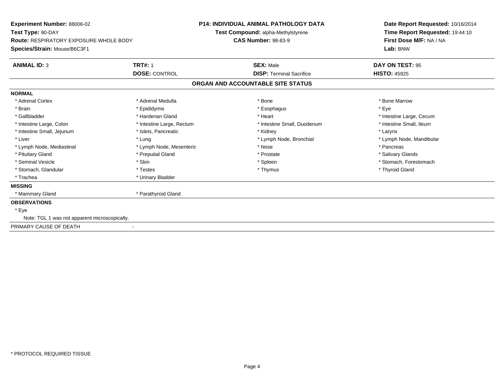| Experiment Number: 88006-02<br>Test Type: 90-DAY<br><b>Route: RESPIRATORY EXPOSURE WHOLE BODY</b> |                              | <b>P14: INDIVIDUAL ANIMAL PATHOLOGY DATA</b> | Date Report Requested: 10/16/2014<br>Time Report Requested: 19:44:10<br>First Dose M/F: NA / NA |
|---------------------------------------------------------------------------------------------------|------------------------------|----------------------------------------------|-------------------------------------------------------------------------------------------------|
|                                                                                                   |                              | Test Compound: alpha-Methylstyrene           |                                                                                                 |
|                                                                                                   |                              | <b>CAS Number: 98-83-9</b>                   |                                                                                                 |
| Species/Strain: Mouse/B6C3F1                                                                      |                              |                                              | Lab: BNW                                                                                        |
| <b>ANIMAL ID: 3</b>                                                                               | <b>TRT#: 1</b>               | <b>SEX: Male</b>                             | DAY ON TEST: 95                                                                                 |
|                                                                                                   | <b>DOSE: CONTROL</b>         | <b>DISP: Terminal Sacrifice</b>              | <b>HISTO: 45925</b>                                                                             |
|                                                                                                   |                              | ORGAN AND ACCOUNTABLE SITE STATUS            |                                                                                                 |
| <b>NORMAL</b>                                                                                     |                              |                                              |                                                                                                 |
| * Adrenal Cortex                                                                                  | * Adrenal Medulla            | * Bone                                       | * Bone Marrow                                                                                   |
| * Brain                                                                                           | * Epididymis                 | * Esophagus                                  | * Eve                                                                                           |
| * Gallbladder                                                                                     | * Harderian Gland            | * Heart                                      | * Intestine Large, Cecum                                                                        |
| * Intestine Large, Colon                                                                          | * Intestine Large, Rectum    | * Intestine Small, Duodenum                  | * Intestine Small. Ileum                                                                        |
| * Intestine Small, Jejunum                                                                        | * Islets, Pancreatic         | * Kidney                                     | * Larynx                                                                                        |
| * Liver                                                                                           | * Lung                       | * Lymph Node, Bronchial                      | * Lymph Node, Mandibular                                                                        |
| * Lymph Node, Mediastinal                                                                         | * Lymph Node, Mesenteric     | * Nose                                       | * Pancreas                                                                                      |
| * Pituitary Gland                                                                                 | * Preputial Gland            | * Prostate                                   | * Salivary Glands                                                                               |
| * Seminal Vesicle                                                                                 | * Skin                       | * Spleen                                     | * Stomach, Forestomach                                                                          |
| * Stomach, Glandular                                                                              | * Testes                     | * Thymus                                     | * Thyroid Gland                                                                                 |
| * Trachea                                                                                         | * Urinary Bladder            |                                              |                                                                                                 |
| <b>MISSING</b>                                                                                    |                              |                                              |                                                                                                 |
| * Mammary Gland                                                                                   | * Parathyroid Gland          |                                              |                                                                                                 |
| <b>OBSERVATIONS</b>                                                                               |                              |                                              |                                                                                                 |
| * Eye                                                                                             |                              |                                              |                                                                                                 |
| Note: TGL 1 was not apparent microscopically.                                                     |                              |                                              |                                                                                                 |
| PRIMARY CAUSE OF DEATH                                                                            | $\qquad \qquad \blacksquare$ |                                              |                                                                                                 |
|                                                                                                   |                              |                                              |                                                                                                 |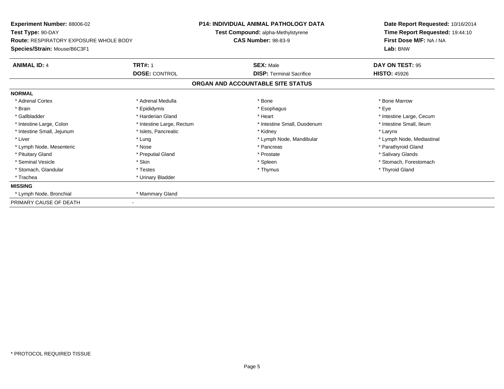| Experiment Number: 88006-02                                        |                           | <b>P14: INDIVIDUAL ANIMAL PATHOLOGY DATA</b> | Date Report Requested: 10/16/2014 |
|--------------------------------------------------------------------|---------------------------|----------------------------------------------|-----------------------------------|
| Test Type: 90-DAY<br><b>Route: RESPIRATORY EXPOSURE WHOLE BODY</b> |                           | Test Compound: alpha-Methylstyrene           | Time Report Requested: 19:44:10   |
|                                                                    |                           | <b>CAS Number: 98-83-9</b>                   | First Dose M/F: NA / NA           |
| Species/Strain: Mouse/B6C3F1                                       |                           |                                              | Lab: BNW                          |
| <b>ANIMAL ID: 4</b>                                                | <b>TRT#: 1</b>            | <b>SEX: Male</b>                             | DAY ON TEST: 95                   |
|                                                                    | <b>DOSE: CONTROL</b>      | <b>DISP: Terminal Sacrifice</b>              | <b>HISTO: 45926</b>               |
|                                                                    |                           | ORGAN AND ACCOUNTABLE SITE STATUS            |                                   |
| <b>NORMAL</b>                                                      |                           |                                              |                                   |
| * Adrenal Cortex                                                   | * Adrenal Medulla         | * Bone                                       | * Bone Marrow                     |
| * Brain                                                            | * Epididymis              | * Esophagus                                  | * Eye                             |
| * Gallbladder                                                      | * Harderian Gland         | * Heart                                      | * Intestine Large, Cecum          |
| * Intestine Large, Colon                                           | * Intestine Large, Rectum | * Intestine Small, Duodenum                  | * Intestine Small, Ileum          |
| * Intestine Small, Jejunum                                         | * Islets, Pancreatic      | * Kidney                                     | * Larynx                          |
| * Liver                                                            | * Lung                    | * Lymph Node, Mandibular                     | * Lymph Node, Mediastinal         |
| * Lymph Node, Mesenteric                                           | * Nose                    | * Pancreas                                   | * Parathyroid Gland               |
| * Pituitary Gland                                                  | * Preputial Gland         | * Prostate                                   | * Salivary Glands                 |
| * Seminal Vesicle                                                  | * Skin                    | * Spleen                                     | * Stomach, Forestomach            |
| * Stomach, Glandular                                               | * Testes                  | * Thymus                                     | * Thyroid Gland                   |
| * Trachea                                                          | * Urinary Bladder         |                                              |                                   |
| <b>MISSING</b>                                                     |                           |                                              |                                   |
| * Lymph Node, Bronchial                                            | * Mammary Gland           |                                              |                                   |
| PRIMARY CAUSE OF DEATH                                             |                           |                                              |                                   |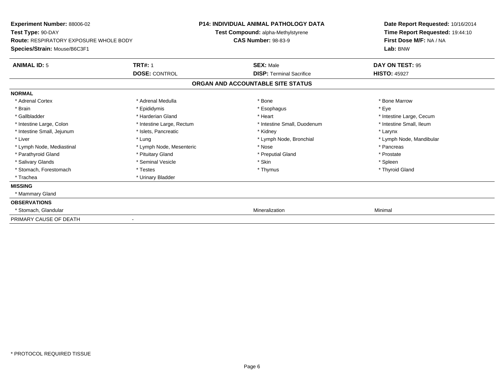| Experiment Number: 88006-02<br>Test Type: 90-DAY                              |                           | <b>P14: INDIVIDUAL ANIMAL PATHOLOGY DATA</b><br>Test Compound: alpha-Methylstyrene | Date Report Requested: 10/16/2014<br>Time Report Requested: 19:44:10 |  |
|-------------------------------------------------------------------------------|---------------------------|------------------------------------------------------------------------------------|----------------------------------------------------------------------|--|
| <b>Route: RESPIRATORY EXPOSURE WHOLE BODY</b><br>Species/Strain: Mouse/B6C3F1 |                           | <b>CAS Number: 98-83-9</b>                                                         | First Dose M/F: NA / NA<br>Lab: BNW                                  |  |
| <b>ANIMAL ID: 5</b>                                                           | <b>TRT#: 1</b>            | <b>SEX: Male</b>                                                                   | DAY ON TEST: 95                                                      |  |
|                                                                               | <b>DOSE: CONTROL</b>      | <b>DISP: Terminal Sacrifice</b>                                                    | <b>HISTO: 45927</b>                                                  |  |
|                                                                               |                           | ORGAN AND ACCOUNTABLE SITE STATUS                                                  |                                                                      |  |
| <b>NORMAL</b>                                                                 |                           |                                                                                    |                                                                      |  |
| * Adrenal Cortex                                                              | * Adrenal Medulla         | * Bone                                                                             | * Bone Marrow                                                        |  |
| * Brain                                                                       | * Epididymis              | * Esophagus                                                                        | * Eve                                                                |  |
| * Gallbladder                                                                 | * Harderian Gland         | * Heart                                                                            | * Intestine Large, Cecum                                             |  |
| * Intestine Large, Colon                                                      | * Intestine Large, Rectum | * Intestine Small, Duodenum                                                        | * Intestine Small, Ileum                                             |  |
| * Intestine Small, Jejunum                                                    | * Islets, Pancreatic      | * Kidney                                                                           | * Larynx                                                             |  |
| * Liver                                                                       | * Lung                    | * Lymph Node, Bronchial                                                            | * Lymph Node, Mandibular                                             |  |
| * Lymph Node, Mediastinal                                                     | * Lymph Node, Mesenteric  | * Nose                                                                             | * Pancreas                                                           |  |
| * Parathyroid Gland                                                           | * Pituitary Gland         | * Preputial Gland                                                                  | * Prostate                                                           |  |
| * Salivary Glands                                                             | * Seminal Vesicle         | * Skin                                                                             | * Spleen                                                             |  |
| * Stomach, Forestomach                                                        | * Testes                  | * Thymus                                                                           | * Thyroid Gland                                                      |  |
| * Trachea                                                                     | * Urinary Bladder         |                                                                                    |                                                                      |  |
| <b>MISSING</b>                                                                |                           |                                                                                    |                                                                      |  |
| * Mammary Gland                                                               |                           |                                                                                    |                                                                      |  |
| <b>OBSERVATIONS</b>                                                           |                           |                                                                                    |                                                                      |  |
| * Stomach, Glandular                                                          |                           | Mineralization                                                                     | Minimal                                                              |  |
| PRIMARY CAUSE OF DEATH                                                        |                           |                                                                                    |                                                                      |  |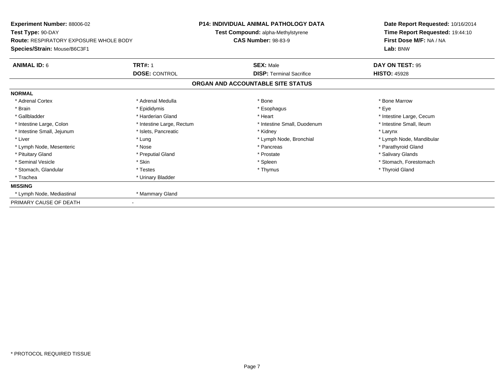| Experiment Number: 88006-02                                        |                           | <b>P14: INDIVIDUAL ANIMAL PATHOLOGY DATA</b> | Date Report Requested: 10/16/2014 |
|--------------------------------------------------------------------|---------------------------|----------------------------------------------|-----------------------------------|
| Test Type: 90-DAY<br><b>Route: RESPIRATORY EXPOSURE WHOLE BODY</b> |                           | Test Compound: alpha-Methylstyrene           | Time Report Requested: 19:44:10   |
|                                                                    |                           | <b>CAS Number: 98-83-9</b>                   | First Dose M/F: NA / NA           |
| Species/Strain: Mouse/B6C3F1                                       |                           |                                              | Lab: BNW                          |
| <b>ANIMAL ID: 6</b>                                                | <b>TRT#: 1</b>            | <b>SEX: Male</b>                             | DAY ON TEST: 95                   |
|                                                                    | <b>DOSE: CONTROL</b>      | <b>DISP: Terminal Sacrifice</b>              | <b>HISTO: 45928</b>               |
|                                                                    |                           | ORGAN AND ACCOUNTABLE SITE STATUS            |                                   |
| <b>NORMAL</b>                                                      |                           |                                              |                                   |
| * Adrenal Cortex                                                   | * Adrenal Medulla         | * Bone                                       | * Bone Marrow                     |
| * Brain                                                            | * Epididymis              | * Esophagus                                  | * Eye                             |
| * Gallbladder                                                      | * Harderian Gland         | * Heart                                      | * Intestine Large, Cecum          |
| * Intestine Large, Colon                                           | * Intestine Large, Rectum | * Intestine Small, Duodenum                  | * Intestine Small, Ileum          |
| * Intestine Small, Jejunum                                         | * Islets, Pancreatic      | * Kidney                                     | * Larynx                          |
| * Liver                                                            | * Lung                    | * Lymph Node, Bronchial                      | * Lymph Node, Mandibular          |
| * Lymph Node, Mesenteric                                           | * Nose                    | * Pancreas                                   | * Parathyroid Gland               |
| * Pituitary Gland                                                  | * Preputial Gland         | * Prostate                                   | * Salivary Glands                 |
| * Seminal Vesicle                                                  | * Skin                    | * Spleen                                     | * Stomach, Forestomach            |
| * Stomach, Glandular                                               | * Testes                  | * Thymus                                     | * Thyroid Gland                   |
| * Trachea                                                          | * Urinary Bladder         |                                              |                                   |
| <b>MISSING</b>                                                     |                           |                                              |                                   |
| * Lymph Node, Mediastinal                                          | * Mammary Gland           |                                              |                                   |
| PRIMARY CAUSE OF DEATH                                             |                           |                                              |                                   |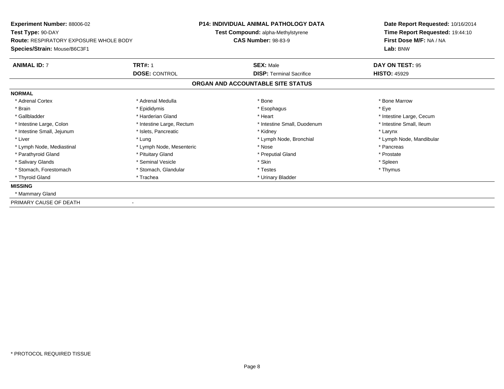| Experiment Number: 88006-02                   |                           | <b>P14: INDIVIDUAL ANIMAL PATHOLOGY DATA</b> | Date Report Requested: 10/16/2014 |
|-----------------------------------------------|---------------------------|----------------------------------------------|-----------------------------------|
| Test Type: 90-DAY                             |                           | <b>Test Compound: alpha-Methylstyrene</b>    | Time Report Requested: 19:44:10   |
| <b>Route: RESPIRATORY EXPOSURE WHOLE BODY</b> |                           | <b>CAS Number: 98-83-9</b>                   | First Dose M/F: NA / NA           |
| Species/Strain: Mouse/B6C3F1                  |                           |                                              | Lab: BNW                          |
| <b>ANIMAL ID: 7</b>                           | <b>TRT#: 1</b>            | <b>SEX: Male</b>                             | DAY ON TEST: 95                   |
|                                               | <b>DOSE: CONTROL</b>      | <b>DISP: Terminal Sacrifice</b>              | <b>HISTO: 45929</b>               |
|                                               |                           | ORGAN AND ACCOUNTABLE SITE STATUS            |                                   |
| <b>NORMAL</b>                                 |                           |                                              |                                   |
| * Adrenal Cortex                              | * Adrenal Medulla         | * Bone                                       | * Bone Marrow                     |
| * Brain                                       | * Epididymis              | * Esophagus                                  | * Eye                             |
| * Gallbladder                                 | * Harderian Gland         | * Heart                                      | * Intestine Large, Cecum          |
| * Intestine Large, Colon                      | * Intestine Large, Rectum | * Intestine Small, Duodenum                  | * Intestine Small, Ileum          |
| * Intestine Small, Jejunum                    | * Islets, Pancreatic      | * Kidney                                     | * Larynx                          |
| * Liver                                       | * Lung                    | * Lymph Node, Bronchial                      | * Lymph Node, Mandibular          |
| * Lymph Node, Mediastinal                     | * Lymph Node, Mesenteric  | * Nose                                       | * Pancreas                        |
| * Parathyroid Gland                           | * Pituitary Gland         | * Preputial Gland                            | * Prostate                        |
| * Salivary Glands                             | * Seminal Vesicle         | * Skin                                       | * Spleen                          |
| * Stomach, Forestomach                        | * Stomach, Glandular      | * Testes                                     | * Thymus                          |
| * Thyroid Gland                               | * Trachea                 | * Urinary Bladder                            |                                   |
| <b>MISSING</b>                                |                           |                                              |                                   |
| * Mammary Gland                               |                           |                                              |                                   |
| PRIMARY CAUSE OF DEATH                        |                           |                                              |                                   |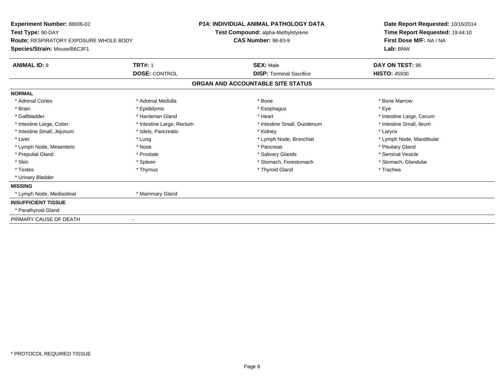| <b>Experiment Number: 88006-02</b>                                 |                           | <b>P14: INDIVIDUAL ANIMAL PATHOLOGY DATA</b> | Date Report Requested: 10/16/2014                          |
|--------------------------------------------------------------------|---------------------------|----------------------------------------------|------------------------------------------------------------|
| Test Type: 90-DAY<br><b>Route: RESPIRATORY EXPOSURE WHOLE BODY</b> |                           | Test Compound: alpha-Methylstyrene           | Time Report Requested: 19:44:10<br>First Dose M/F: NA / NA |
|                                                                    |                           | <b>CAS Number: 98-83-9</b>                   |                                                            |
| Species/Strain: Mouse/B6C3F1                                       |                           |                                              | Lab: BNW                                                   |
| <b>ANIMAL ID: 8</b>                                                | <b>TRT#: 1</b>            | <b>SEX: Male</b>                             | DAY ON TEST: 95                                            |
|                                                                    | <b>DOSE: CONTROL</b>      | <b>DISP: Terminal Sacrifice</b>              | <b>HISTO: 45930</b>                                        |
|                                                                    |                           | ORGAN AND ACCOUNTABLE SITE STATUS            |                                                            |
| <b>NORMAL</b>                                                      |                           |                                              |                                                            |
| * Adrenal Cortex                                                   | * Adrenal Medulla         | * Bone                                       | * Bone Marrow                                              |
| * Brain                                                            | * Epididymis              | * Esophagus                                  | * Eve                                                      |
| * Gallbladder                                                      | * Harderian Gland         | * Heart                                      | * Intestine Large, Cecum                                   |
| * Intestine Large, Colon                                           | * Intestine Large, Rectum | * Intestine Small, Duodenum                  | * Intestine Small. Ileum                                   |
| * Intestine Small, Jejunum                                         | * Islets, Pancreatic      | * Kidney                                     | * Larynx                                                   |
| * Liver                                                            | * Lung                    | * Lymph Node, Bronchial                      | * Lymph Node, Mandibular                                   |
| * Lymph Node, Mesenteric                                           | * Nose                    | * Pancreas                                   | * Pituitary Gland                                          |
| * Preputial Gland                                                  | * Prostate                | * Salivary Glands                            | * Seminal Vesicle                                          |
| * Skin                                                             | * Spleen                  | * Stomach, Forestomach                       | * Stomach, Glandular                                       |
| * Testes                                                           | * Thymus                  | * Thyroid Gland                              | * Trachea                                                  |
| * Urinary Bladder                                                  |                           |                                              |                                                            |
| <b>MISSING</b>                                                     |                           |                                              |                                                            |
| * Lymph Node, Mediastinal                                          | * Mammary Gland           |                                              |                                                            |
| <b>INSUFFICIENT TISSUE</b>                                         |                           |                                              |                                                            |
| * Parathyroid Gland                                                |                           |                                              |                                                            |
| PRIMARY CAUSE OF DEATH                                             |                           |                                              |                                                            |
|                                                                    |                           |                                              |                                                            |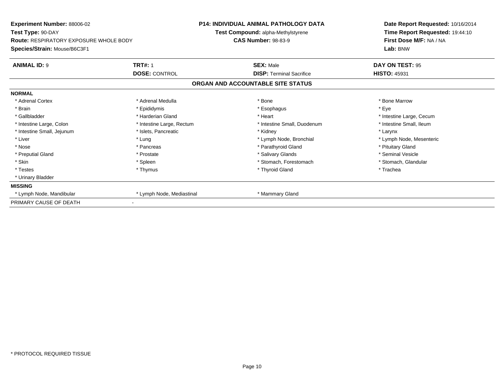| Experiment Number: 88006-02<br>Test Type: 90-DAY |                           | <b>P14: INDIVIDUAL ANIMAL PATHOLOGY DATA</b> | Date Report Requested: 10/16/2014<br>Time Report Requested: 19:44:10 |
|--------------------------------------------------|---------------------------|----------------------------------------------|----------------------------------------------------------------------|
|                                                  |                           | Test Compound: alpha-Methylstyrene           |                                                                      |
| <b>Route: RESPIRATORY EXPOSURE WHOLE BODY</b>    |                           | <b>CAS Number: 98-83-9</b>                   | First Dose M/F: NA / NA                                              |
| Species/Strain: Mouse/B6C3F1                     |                           |                                              | Lab: BNW                                                             |
| <b>ANIMAL ID: 9</b>                              | <b>TRT#: 1</b>            | <b>SEX: Male</b>                             | DAY ON TEST: 95                                                      |
|                                                  | <b>DOSE: CONTROL</b>      | <b>DISP: Terminal Sacrifice</b>              | <b>HISTO: 45931</b>                                                  |
|                                                  |                           | ORGAN AND ACCOUNTABLE SITE STATUS            |                                                                      |
| <b>NORMAL</b>                                    |                           |                                              |                                                                      |
| * Adrenal Cortex                                 | * Adrenal Medulla         | * Bone                                       | * Bone Marrow                                                        |
| * Brain                                          | * Epididymis              | * Esophagus                                  | * Eye                                                                |
| * Gallbladder                                    | * Harderian Gland         | * Heart                                      | * Intestine Large, Cecum                                             |
| * Intestine Large, Colon                         | * Intestine Large, Rectum | * Intestine Small, Duodenum                  | * Intestine Small, Ileum                                             |
| * Intestine Small, Jejunum                       | * Islets, Pancreatic      | * Kidney                                     | * Larynx                                                             |
| * Liver                                          | * Lung                    | * Lymph Node, Bronchial                      | * Lymph Node, Mesenteric                                             |
| * Nose                                           | * Pancreas                | * Parathyroid Gland                          | * Pituitary Gland                                                    |
| * Preputial Gland                                | * Prostate                | * Salivary Glands                            | * Seminal Vesicle                                                    |
| * Skin                                           | * Spleen                  | * Stomach, Forestomach                       | * Stomach, Glandular                                                 |
| * Testes                                         | * Thymus                  | * Thyroid Gland                              | * Trachea                                                            |
| * Urinary Bladder                                |                           |                                              |                                                                      |
| <b>MISSING</b>                                   |                           |                                              |                                                                      |
| * Lymph Node, Mandibular                         | * Lymph Node, Mediastinal | * Mammary Gland                              |                                                                      |
| PRIMARY CAUSE OF DEATH                           |                           |                                              |                                                                      |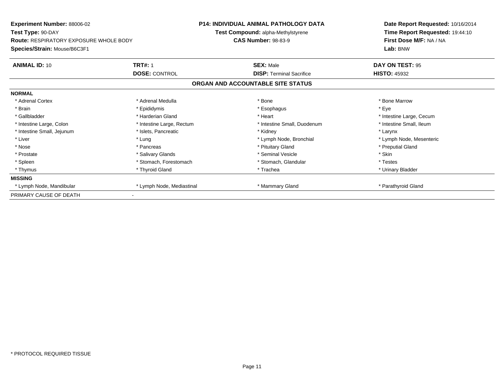| <b>Experiment Number: 88006-02</b><br>Test Type: 90-DAY |                           | <b>P14: INDIVIDUAL ANIMAL PATHOLOGY DATA</b> | Date Report Requested: 10/16/2014<br>Time Report Requested: 19:44:10 |
|---------------------------------------------------------|---------------------------|----------------------------------------------|----------------------------------------------------------------------|
|                                                         |                           | Test Compound: alpha-Methylstyrene           |                                                                      |
| <b>Route: RESPIRATORY EXPOSURE WHOLE BODY</b>           |                           | <b>CAS Number: 98-83-9</b>                   | First Dose M/F: NA / NA                                              |
| Species/Strain: Mouse/B6C3F1                            |                           |                                              | Lab: BNW                                                             |
| <b>ANIMAL ID: 10</b>                                    | <b>TRT#: 1</b>            | <b>SEX: Male</b>                             | DAY ON TEST: 95                                                      |
|                                                         | <b>DOSE: CONTROL</b>      | <b>DISP: Terminal Sacrifice</b>              | <b>HISTO: 45932</b>                                                  |
|                                                         |                           | ORGAN AND ACCOUNTABLE SITE STATUS            |                                                                      |
| <b>NORMAL</b>                                           |                           |                                              |                                                                      |
| * Adrenal Cortex                                        | * Adrenal Medulla         | * Bone                                       | * Bone Marrow                                                        |
| * Brain                                                 | * Epididymis              | * Esophagus                                  | * Eye                                                                |
| * Gallbladder                                           | * Harderian Gland         | * Heart                                      | * Intestine Large, Cecum                                             |
| * Intestine Large, Colon                                | * Intestine Large, Rectum | * Intestine Small, Duodenum                  | * Intestine Small, Ileum                                             |
| * Intestine Small, Jejunum                              | * Islets, Pancreatic      | * Kidney                                     | * Larynx                                                             |
| * Liver                                                 | * Lung                    | * Lymph Node, Bronchial                      | * Lymph Node, Mesenteric                                             |
| * Nose                                                  | * Pancreas                | * Pituitary Gland                            | * Preputial Gland                                                    |
| * Prostate                                              | * Salivary Glands         | * Seminal Vesicle                            | * Skin                                                               |
| * Spleen                                                | * Stomach, Forestomach    | * Stomach, Glandular                         | * Testes                                                             |
| * Thymus                                                | * Thyroid Gland           | * Trachea                                    | * Urinary Bladder                                                    |
| <b>MISSING</b>                                          |                           |                                              |                                                                      |
| * Lymph Node, Mandibular                                | * Lymph Node, Mediastinal | * Mammary Gland                              | * Parathyroid Gland                                                  |
| PRIMARY CAUSE OF DEATH                                  |                           |                                              |                                                                      |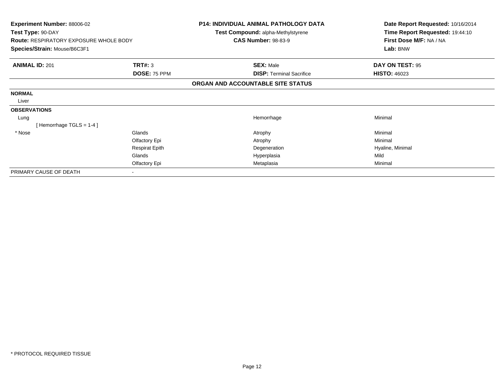| Experiment Number: 88006-02<br>Test Type: 90-DAY<br><b>Route: RESPIRATORY EXPOSURE WHOLE BODY</b> |                       | <b>P14: INDIVIDUAL ANIMAL PATHOLOGY DATA</b><br>Test Compound: alpha-Methylstyrene<br><b>CAS Number: 98-83-9</b> | Date Report Requested: 10/16/2014<br>Time Report Requested: 19:44:10<br>First Dose M/F: NA / NA |
|---------------------------------------------------------------------------------------------------|-----------------------|------------------------------------------------------------------------------------------------------------------|-------------------------------------------------------------------------------------------------|
| Species/Strain: Mouse/B6C3F1                                                                      |                       |                                                                                                                  | Lab: BNW                                                                                        |
| <b>ANIMAL ID: 201</b>                                                                             | TRT#: 3               | <b>SEX: Male</b>                                                                                                 | DAY ON TEST: 95                                                                                 |
|                                                                                                   | DOSE: 75 PPM          | <b>DISP: Terminal Sacrifice</b>                                                                                  | <b>HISTO: 46023</b>                                                                             |
|                                                                                                   |                       | ORGAN AND ACCOUNTABLE SITE STATUS                                                                                |                                                                                                 |
| <b>NORMAL</b>                                                                                     |                       |                                                                                                                  |                                                                                                 |
| Liver                                                                                             |                       |                                                                                                                  |                                                                                                 |
| <b>OBSERVATIONS</b>                                                                               |                       |                                                                                                                  |                                                                                                 |
| Lung                                                                                              |                       | Hemorrhage                                                                                                       | Minimal                                                                                         |
| [Hemorrhage TGLS = $1-4$ ]                                                                        |                       |                                                                                                                  |                                                                                                 |
| * Nose                                                                                            | Glands                | Atrophy                                                                                                          | Minimal                                                                                         |
|                                                                                                   | Olfactory Epi         | Atrophy                                                                                                          | Minimal                                                                                         |
|                                                                                                   | <b>Respirat Epith</b> | Degeneration                                                                                                     | Hyaline, Minimal                                                                                |
|                                                                                                   | Glands                | Hyperplasia                                                                                                      | Mild                                                                                            |
|                                                                                                   | Olfactory Epi         | Metaplasia                                                                                                       | Minimal                                                                                         |
| PRIMARY CAUSE OF DEATH                                                                            |                       |                                                                                                                  |                                                                                                 |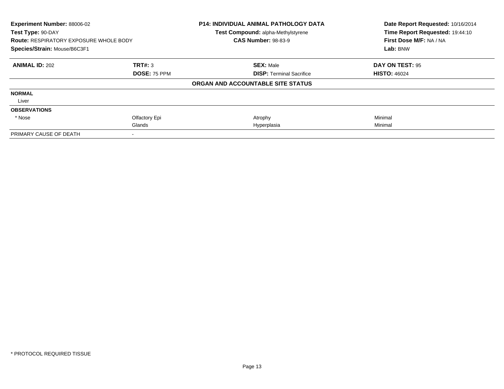| Experiment Number: 88006-02<br>Test Type: 90-DAY<br><b>Route: RESPIRATORY EXPOSURE WHOLE BODY</b><br>Species/Strain: Mouse/B6C3F1 |                     | P14: INDIVIDUAL ANIMAL PATHOLOGY DATA<br>Test Compound: alpha-Methylstyrene | Date Report Requested: 10/16/2014<br>Time Report Requested: 19:44:10<br>First Dose M/F: NA / NA<br>Lab: BNW |
|-----------------------------------------------------------------------------------------------------------------------------------|---------------------|-----------------------------------------------------------------------------|-------------------------------------------------------------------------------------------------------------|
|                                                                                                                                   |                     | <b>CAS Number: 98-83-9</b>                                                  |                                                                                                             |
|                                                                                                                                   |                     |                                                                             |                                                                                                             |
| <b>ANIMAL ID: 202</b>                                                                                                             | TRT#: 3             | <b>SEX: Male</b>                                                            | DAY ON TEST: 95                                                                                             |
|                                                                                                                                   | <b>DOSE: 75 PPM</b> | <b>DISP: Terminal Sacrifice</b>                                             | <b>HISTO: 46024</b>                                                                                         |
|                                                                                                                                   |                     | ORGAN AND ACCOUNTABLE SITE STATUS                                           |                                                                                                             |
| <b>NORMAL</b>                                                                                                                     |                     |                                                                             |                                                                                                             |
| Liver                                                                                                                             |                     |                                                                             |                                                                                                             |
| <b>OBSERVATIONS</b>                                                                                                               |                     |                                                                             |                                                                                                             |
| * Nose                                                                                                                            | Olfactory Epi       | Atrophy                                                                     | Minimal                                                                                                     |
|                                                                                                                                   | Glands              | Hyperplasia                                                                 | Minimal                                                                                                     |
| PRIMARY CAUSE OF DEATH                                                                                                            |                     |                                                                             |                                                                                                             |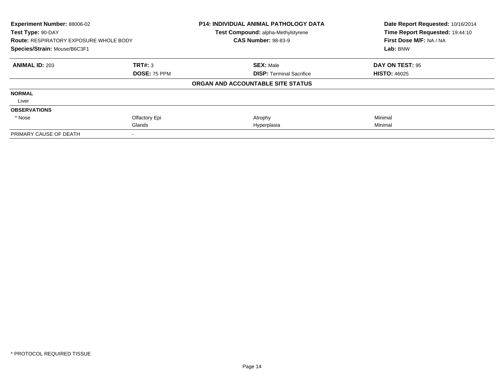| Experiment Number: 88006-02<br>Test Type: 90-DAY |                     | P14: INDIVIDUAL ANIMAL PATHOLOGY DATA<br>Test Compound: alpha-Methylstyrene | Date Report Requested: 10/16/2014<br>Time Report Requested: 19:44:10 |
|--------------------------------------------------|---------------------|-----------------------------------------------------------------------------|----------------------------------------------------------------------|
| <b>Route: RESPIRATORY EXPOSURE WHOLE BODY</b>    |                     | <b>CAS Number: 98-83-9</b>                                                  | First Dose M/F: NA / NA                                              |
| Species/Strain: Mouse/B6C3F1                     |                     |                                                                             | Lab: BNW                                                             |
| <b>ANIMAL ID: 203</b>                            | TRT#: 3             | <b>SEX: Male</b>                                                            | DAY ON TEST: 95                                                      |
|                                                  | <b>DOSE: 75 PPM</b> | <b>DISP: Terminal Sacrifice</b>                                             | <b>HISTO: 46025</b>                                                  |
|                                                  |                     | ORGAN AND ACCOUNTABLE SITE STATUS                                           |                                                                      |
| <b>NORMAL</b>                                    |                     |                                                                             |                                                                      |
| Liver                                            |                     |                                                                             |                                                                      |
| <b>OBSERVATIONS</b>                              |                     |                                                                             |                                                                      |
| * Nose                                           | Olfactory Epi       | Atrophy                                                                     | Minimal                                                              |
|                                                  | Glands              | Hyperplasia                                                                 | Minimal                                                              |
| PRIMARY CAUSE OF DEATH                           |                     |                                                                             |                                                                      |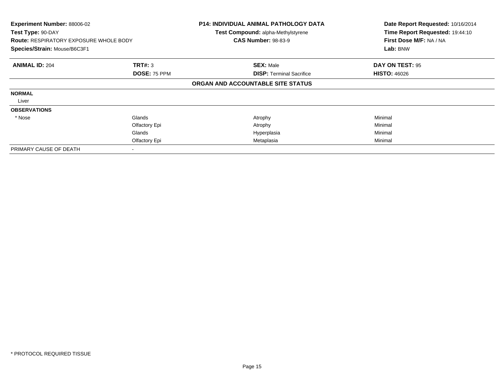| Experiment Number: 88006-02<br>Test Type: 90-DAY<br><b>Route: RESPIRATORY EXPOSURE WHOLE BODY</b><br>Species/Strain: Mouse/B6C3F1 |                     | <b>P14: INDIVIDUAL ANIMAL PATHOLOGY DATA</b><br>Test Compound: alpha-Methylstyrene<br><b>CAS Number: 98-83-9</b> | Date Report Requested: 10/16/2014<br>Time Report Requested: 19:44:10<br>First Dose M/F: NA / NA<br>Lab: BNW |
|-----------------------------------------------------------------------------------------------------------------------------------|---------------------|------------------------------------------------------------------------------------------------------------------|-------------------------------------------------------------------------------------------------------------|
| <b>ANIMAL ID: 204</b>                                                                                                             | <b>TRT#: 3</b>      | <b>SEX: Male</b>                                                                                                 | DAY ON TEST: 95                                                                                             |
|                                                                                                                                   | <b>DOSE: 75 PPM</b> | <b>DISP:</b> Terminal Sacrifice                                                                                  | <b>HISTO: 46026</b>                                                                                         |
|                                                                                                                                   |                     | ORGAN AND ACCOUNTABLE SITE STATUS                                                                                |                                                                                                             |
| <b>NORMAL</b>                                                                                                                     |                     |                                                                                                                  |                                                                                                             |
| Liver                                                                                                                             |                     |                                                                                                                  |                                                                                                             |
| <b>OBSERVATIONS</b>                                                                                                               |                     |                                                                                                                  |                                                                                                             |
| * Nose                                                                                                                            | Glands              | Atrophy                                                                                                          | Minimal                                                                                                     |
|                                                                                                                                   | Olfactory Epi       | Atrophy                                                                                                          | Minimal                                                                                                     |
|                                                                                                                                   | Glands              | Hyperplasia                                                                                                      | Minimal                                                                                                     |
|                                                                                                                                   | Olfactory Epi       | Metaplasia                                                                                                       | Minimal                                                                                                     |
| PRIMARY CAUSE OF DEATH                                                                                                            |                     |                                                                                                                  |                                                                                                             |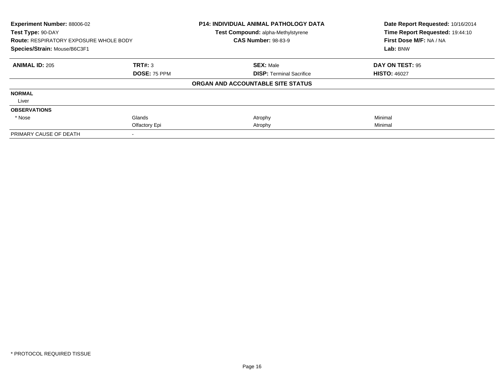| <b>Experiment Number: 88006-02</b>            |                     | <b>P14: INDIVIDUAL ANIMAL PATHOLOGY DATA</b>                     | Date Report Requested: 10/16/2014 |
|-----------------------------------------------|---------------------|------------------------------------------------------------------|-----------------------------------|
| Test Type: 90-DAY                             |                     | Test Compound: alpha-Methylstyrene<br><b>CAS Number: 98-83-9</b> | Time Report Requested: 19:44:10   |
| <b>Route: RESPIRATORY EXPOSURE WHOLE BODY</b> |                     |                                                                  | First Dose M/F: NA / NA           |
| Species/Strain: Mouse/B6C3F1                  |                     |                                                                  | Lab: BNW                          |
| <b>ANIMAL ID: 205</b>                         | TRT#: 3             | <b>SEX: Male</b>                                                 | DAY ON TEST: 95                   |
|                                               | <b>DOSE: 75 PPM</b> | <b>DISP:</b> Terminal Sacrifice                                  | <b>HISTO: 46027</b>               |
|                                               |                     | ORGAN AND ACCOUNTABLE SITE STATUS                                |                                   |
| <b>NORMAL</b>                                 |                     |                                                                  |                                   |
| Liver                                         |                     |                                                                  |                                   |
| <b>OBSERVATIONS</b>                           |                     |                                                                  |                                   |
| * Nose                                        | Glands              | Atrophy                                                          | Minimal                           |
|                                               | Olfactory Epi       | Atrophy                                                          | Minimal                           |
| PRIMARY CAUSE OF DEATH                        |                     |                                                                  |                                   |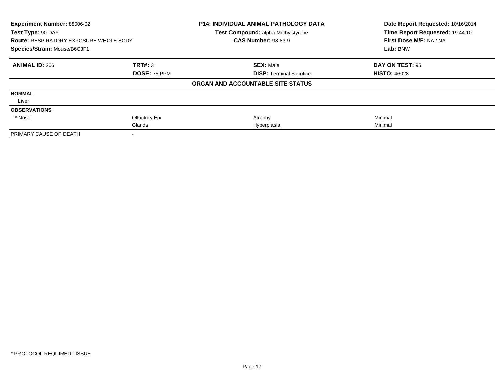| <b>Experiment Number: 88006-02</b>            |                     | <b>P14: INDIVIDUAL ANIMAL PATHOLOGY DATA</b> | Date Report Requested: 10/16/2014 |
|-----------------------------------------------|---------------------|----------------------------------------------|-----------------------------------|
| Test Type: 90-DAY                             |                     | Test Compound: alpha-Methylstyrene           | Time Report Requested: 19:44:10   |
| <b>Route: RESPIRATORY EXPOSURE WHOLE BODY</b> |                     | <b>CAS Number: 98-83-9</b>                   | First Dose M/F: NA / NA           |
| Species/Strain: Mouse/B6C3F1                  |                     |                                              | Lab: BNW                          |
| <b>ANIMAL ID: 206</b>                         | TRT#: 3             | <b>SEX: Male</b>                             | DAY ON TEST: 95                   |
|                                               | <b>DOSE: 75 PPM</b> | <b>DISP:</b> Terminal Sacrifice              | <b>HISTO: 46028</b>               |
|                                               |                     | ORGAN AND ACCOUNTABLE SITE STATUS            |                                   |
| <b>NORMAL</b>                                 |                     |                                              |                                   |
| Liver                                         |                     |                                              |                                   |
| <b>OBSERVATIONS</b>                           |                     |                                              |                                   |
| * Nose                                        | Olfactory Epi       | Atrophy                                      | Minimal                           |
|                                               | Glands              | Hyperplasia                                  | Minimal                           |
| PRIMARY CAUSE OF DEATH                        |                     |                                              |                                   |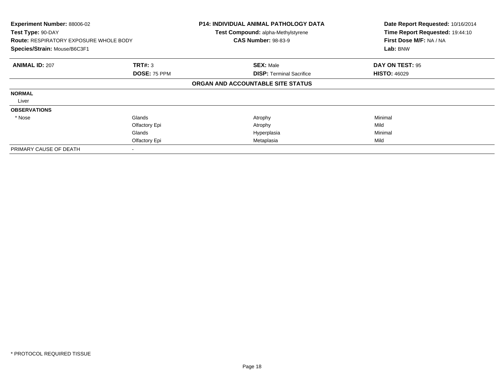| Experiment Number: 88006-02<br>Test Type: 90-DAY<br><b>Route: RESPIRATORY EXPOSURE WHOLE BODY</b><br>Species/Strain: Mouse/B6C3F1 |                                | <b>P14: INDIVIDUAL ANIMAL PATHOLOGY DATA</b><br>Test Compound: alpha-Methylstyrene<br><b>CAS Number: 98-83-9</b> | Date Report Requested: 10/16/2014<br>Time Report Requested: 19:44:10<br>First Dose M/F: NA / NA<br>Lab: BNW |
|-----------------------------------------------------------------------------------------------------------------------------------|--------------------------------|------------------------------------------------------------------------------------------------------------------|-------------------------------------------------------------------------------------------------------------|
| <b>ANIMAL ID: 207</b>                                                                                                             | <b>TRT#: 3</b><br>DOSE: 75 PPM | <b>SEX: Male</b><br><b>DISP:</b> Terminal Sacrifice                                                              | DAY ON TEST: 95<br><b>HISTO: 46029</b>                                                                      |
|                                                                                                                                   |                                | ORGAN AND ACCOUNTABLE SITE STATUS                                                                                |                                                                                                             |
| <b>NORMAL</b>                                                                                                                     |                                |                                                                                                                  |                                                                                                             |
| Liver                                                                                                                             |                                |                                                                                                                  |                                                                                                             |
| <b>OBSERVATIONS</b>                                                                                                               |                                |                                                                                                                  |                                                                                                             |
| * Nose                                                                                                                            | Glands                         | Atrophy                                                                                                          | Minimal                                                                                                     |
|                                                                                                                                   | Olfactory Epi                  | Atrophy                                                                                                          | Mild                                                                                                        |
|                                                                                                                                   | Glands                         | Hyperplasia                                                                                                      | Minimal                                                                                                     |
|                                                                                                                                   | Olfactory Epi                  | Metaplasia                                                                                                       | Mild                                                                                                        |
| PRIMARY CAUSE OF DEATH                                                                                                            |                                |                                                                                                                  |                                                                                                             |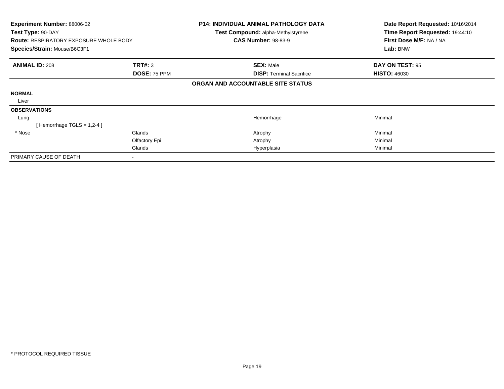| <b>Experiment Number: 88006-02</b><br>Test Type: 90-DAY |               | P14: INDIVIDUAL ANIMAL PATHOLOGY DATA<br><b>Test Compound: alpha-Methylstyrene</b> | Date Report Requested: 10/16/2014<br>Time Report Requested: 19:44:10 |
|---------------------------------------------------------|---------------|------------------------------------------------------------------------------------|----------------------------------------------------------------------|
| <b>Route: RESPIRATORY EXPOSURE WHOLE BODY</b>           |               | <b>CAS Number: 98-83-9</b>                                                         | First Dose M/F: NA / NA                                              |
| Species/Strain: Mouse/B6C3F1                            |               |                                                                                    | Lab: BNW                                                             |
| <b>ANIMAL ID: 208</b>                                   | TRT#: 3       | <b>SEX: Male</b>                                                                   | DAY ON TEST: 95                                                      |
|                                                         | DOSE: 75 PPM  | <b>DISP: Terminal Sacrifice</b>                                                    | <b>HISTO: 46030</b>                                                  |
|                                                         |               | ORGAN AND ACCOUNTABLE SITE STATUS                                                  |                                                                      |
| <b>NORMAL</b>                                           |               |                                                                                    |                                                                      |
| Liver                                                   |               |                                                                                    |                                                                      |
| <b>OBSERVATIONS</b>                                     |               |                                                                                    |                                                                      |
| Lung                                                    |               | Hemorrhage                                                                         | Minimal                                                              |
| [Hemorrhage TGLS = $1,2-4$ ]                            |               |                                                                                    |                                                                      |
| * Nose                                                  | Glands        | Atrophy                                                                            | Minimal                                                              |
|                                                         | Olfactory Epi | Atrophy                                                                            | Minimal                                                              |
|                                                         | Glands        | Hyperplasia                                                                        | Minimal                                                              |
| PRIMARY CAUSE OF DEATH                                  |               |                                                                                    |                                                                      |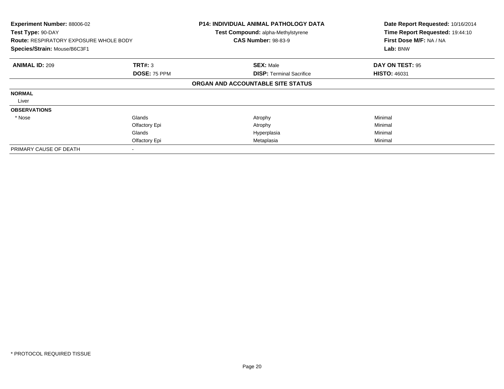| Experiment Number: 88006-02<br>Test Type: 90-DAY<br><b>Route: RESPIRATORY EXPOSURE WHOLE BODY</b><br>Species/Strain: Mouse/B6C3F1 |                     | <b>P14: INDIVIDUAL ANIMAL PATHOLOGY DATA</b><br>Test Compound: alpha-Methylstyrene<br><b>CAS Number: 98-83-9</b> | Date Report Requested: 10/16/2014<br>Time Report Requested: 19:44:10<br>First Dose M/F: NA / NA<br>Lab: BNW |
|-----------------------------------------------------------------------------------------------------------------------------------|---------------------|------------------------------------------------------------------------------------------------------------------|-------------------------------------------------------------------------------------------------------------|
| <b>ANIMAL ID: 209</b>                                                                                                             | TRT#: 3             | <b>SEX: Male</b>                                                                                                 | DAY ON TEST: 95                                                                                             |
|                                                                                                                                   | <b>DOSE: 75 PPM</b> | <b>DISP:</b> Terminal Sacrifice                                                                                  | <b>HISTO: 46031</b>                                                                                         |
|                                                                                                                                   |                     | ORGAN AND ACCOUNTABLE SITE STATUS                                                                                |                                                                                                             |
| <b>NORMAL</b>                                                                                                                     |                     |                                                                                                                  |                                                                                                             |
| Liver                                                                                                                             |                     |                                                                                                                  |                                                                                                             |
| <b>OBSERVATIONS</b>                                                                                                               |                     |                                                                                                                  |                                                                                                             |
| * Nose                                                                                                                            | Glands              | Atrophy                                                                                                          | Minimal                                                                                                     |
|                                                                                                                                   | Olfactory Epi       | Atrophy                                                                                                          | Minimal                                                                                                     |
|                                                                                                                                   | Glands              | Hyperplasia                                                                                                      | Minimal                                                                                                     |
|                                                                                                                                   | Olfactory Epi       | Metaplasia                                                                                                       | Minimal                                                                                                     |
| PRIMARY CAUSE OF DEATH                                                                                                            |                     |                                                                                                                  |                                                                                                             |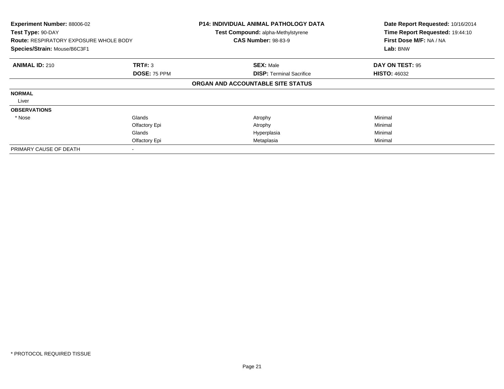| Experiment Number: 88006-02<br>Test Type: 90-DAY<br><b>Route: RESPIRATORY EXPOSURE WHOLE BODY</b><br>Species/Strain: Mouse/B6C3F1 |               | P14: INDIVIDUAL ANIMAL PATHOLOGY DATA<br><b>Test Compound: alpha-Methylstyrene</b><br><b>CAS Number: 98-83-9</b> | Date Report Requested: 10/16/2014<br>Time Report Requested: 19:44:10<br>First Dose M/F: NA / NA<br>Lab: BNW |
|-----------------------------------------------------------------------------------------------------------------------------------|---------------|------------------------------------------------------------------------------------------------------------------|-------------------------------------------------------------------------------------------------------------|
| <b>ANIMAL ID: 210</b>                                                                                                             | TRT#: 3       | <b>SEX: Male</b>                                                                                                 | DAY ON TEST: 95                                                                                             |
|                                                                                                                                   | DOSE: 75 PPM  | <b>DISP:</b> Terminal Sacrifice                                                                                  | <b>HISTO: 46032</b>                                                                                         |
|                                                                                                                                   |               | ORGAN AND ACCOUNTABLE SITE STATUS                                                                                |                                                                                                             |
| <b>NORMAL</b>                                                                                                                     |               |                                                                                                                  |                                                                                                             |
| Liver                                                                                                                             |               |                                                                                                                  |                                                                                                             |
| <b>OBSERVATIONS</b>                                                                                                               |               |                                                                                                                  |                                                                                                             |
| * Nose                                                                                                                            | Glands        | Atrophy                                                                                                          | Minimal                                                                                                     |
|                                                                                                                                   | Olfactory Epi | Atrophy                                                                                                          | Minimal                                                                                                     |
|                                                                                                                                   | Glands        | Hyperplasia                                                                                                      | Minimal                                                                                                     |
|                                                                                                                                   | Olfactory Epi | Metaplasia                                                                                                       | Minimal                                                                                                     |
| PRIMARY CAUSE OF DEATH                                                                                                            |               |                                                                                                                  |                                                                                                             |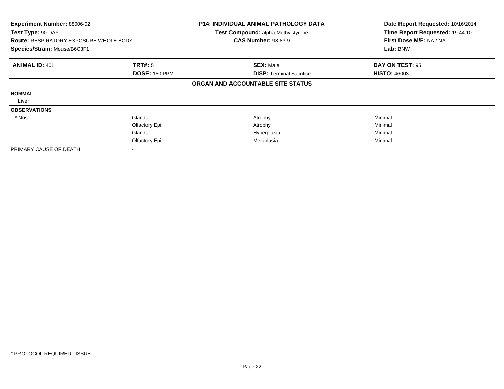| Experiment Number: 88006-02<br>Test Type: 90-DAY<br><b>Route: RESPIRATORY EXPOSURE WHOLE BODY</b><br>Species/Strain: Mouse/B6C3F1 |                      | <b>P14: INDIVIDUAL ANIMAL PATHOLOGY DATA</b><br><b>Test Compound: alpha-Methylstyrene</b><br><b>CAS Number: 98-83-9</b> | Date Report Requested: 10/16/2014<br>Time Report Requested: 19:44:10<br>First Dose M/F: NA / NA<br>Lab: BNW |
|-----------------------------------------------------------------------------------------------------------------------------------|----------------------|-------------------------------------------------------------------------------------------------------------------------|-------------------------------------------------------------------------------------------------------------|
| <b>ANIMAL ID: 401</b>                                                                                                             | TRT#: 5              | <b>SEX: Male</b>                                                                                                        | DAY ON TEST: 95                                                                                             |
|                                                                                                                                   | <b>DOSE: 150 PPM</b> | <b>DISP:</b> Terminal Sacrifice                                                                                         | <b>HISTO: 46003</b>                                                                                         |
|                                                                                                                                   |                      | ORGAN AND ACCOUNTABLE SITE STATUS                                                                                       |                                                                                                             |
| <b>NORMAL</b>                                                                                                                     |                      |                                                                                                                         |                                                                                                             |
| Liver                                                                                                                             |                      |                                                                                                                         |                                                                                                             |
| <b>OBSERVATIONS</b>                                                                                                               |                      |                                                                                                                         |                                                                                                             |
| * Nose                                                                                                                            | Glands               | Atrophy                                                                                                                 | Minimal                                                                                                     |
|                                                                                                                                   | Olfactory Epi        | Atrophy                                                                                                                 | Minimal                                                                                                     |
|                                                                                                                                   | Glands               | Hyperplasia                                                                                                             | Minimal                                                                                                     |
|                                                                                                                                   | Olfactory Epi        | Metaplasia                                                                                                              | Minimal                                                                                                     |
| PRIMARY CAUSE OF DEATH                                                                                                            |                      |                                                                                                                         |                                                                                                             |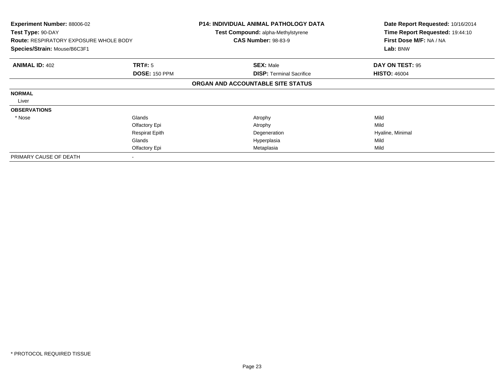| <b>Experiment Number: 88006-02</b><br>Test Type: 90-DAY |                       | <b>P14: INDIVIDUAL ANIMAL PATHOLOGY DATA</b><br><b>Test Compound: alpha-Methylstyrene</b> | Date Report Requested: 10/16/2014<br>Time Report Requested: 19:44:10 |
|---------------------------------------------------------|-----------------------|-------------------------------------------------------------------------------------------|----------------------------------------------------------------------|
| <b>Route: RESPIRATORY EXPOSURE WHOLE BODY</b>           |                       | <b>CAS Number: 98-83-9</b>                                                                | First Dose M/F: NA / NA                                              |
| Species/Strain: Mouse/B6C3F1                            |                       |                                                                                           | Lab: BNW                                                             |
| <b>ANIMAL ID: 402</b>                                   | TRT#: 5               | <b>SEX: Male</b>                                                                          | DAY ON TEST: 95                                                      |
|                                                         | <b>DOSE: 150 PPM</b>  | <b>DISP: Terminal Sacrifice</b>                                                           | <b>HISTO: 46004</b>                                                  |
|                                                         |                       | ORGAN AND ACCOUNTABLE SITE STATUS                                                         |                                                                      |
| <b>NORMAL</b>                                           |                       |                                                                                           |                                                                      |
| Liver                                                   |                       |                                                                                           |                                                                      |
| <b>OBSERVATIONS</b>                                     |                       |                                                                                           |                                                                      |
| * Nose                                                  | Glands                | Atrophy                                                                                   | Mild                                                                 |
|                                                         | Olfactory Epi         | Atrophy                                                                                   | Mild                                                                 |
|                                                         | <b>Respirat Epith</b> | Degeneration                                                                              | Hyaline, Minimal                                                     |
|                                                         | Glands                | Hyperplasia                                                                               | Mild                                                                 |
|                                                         | Olfactory Epi         | Metaplasia                                                                                | Mild                                                                 |
| PRIMARY CAUSE OF DEATH                                  |                       |                                                                                           |                                                                      |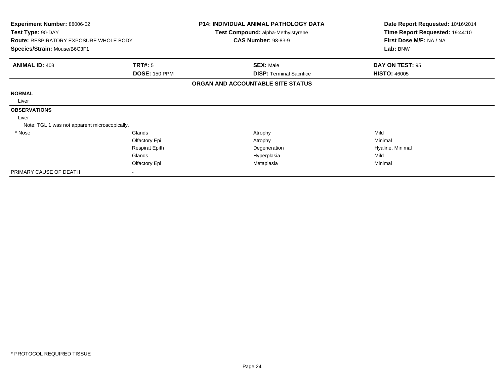| <b>Experiment Number: 88006-02</b><br>Test Type: 90-DAY |                       | P14: INDIVIDUAL ANIMAL PATHOLOGY DATA<br>Test Compound: alpha-Methylstyrene | Date Report Requested: 10/16/2014<br>Time Report Requested: 19:44:10 |
|---------------------------------------------------------|-----------------------|-----------------------------------------------------------------------------|----------------------------------------------------------------------|
| <b>Route: RESPIRATORY EXPOSURE WHOLE BODY</b>           |                       | <b>CAS Number: 98-83-9</b>                                                  | First Dose M/F: NA / NA                                              |
| Species/Strain: Mouse/B6C3F1                            |                       |                                                                             | Lab: BNW                                                             |
| <b>ANIMAL ID: 403</b>                                   | TRT#: 5               | <b>SEX: Male</b>                                                            | DAY ON TEST: 95                                                      |
|                                                         | <b>DOSE: 150 PPM</b>  | <b>DISP: Terminal Sacrifice</b>                                             | <b>HISTO: 46005</b>                                                  |
|                                                         |                       | ORGAN AND ACCOUNTABLE SITE STATUS                                           |                                                                      |
| <b>NORMAL</b>                                           |                       |                                                                             |                                                                      |
| Liver                                                   |                       |                                                                             |                                                                      |
| <b>OBSERVATIONS</b>                                     |                       |                                                                             |                                                                      |
| Liver                                                   |                       |                                                                             |                                                                      |
| Note: TGL 1 was not apparent microscopically.           |                       |                                                                             |                                                                      |
| * Nose                                                  | Glands                | Atrophy                                                                     | Mild                                                                 |
|                                                         | Olfactory Epi         | Atrophy                                                                     | Minimal                                                              |
|                                                         | <b>Respirat Epith</b> | Degeneration                                                                | Hyaline, Minimal                                                     |
|                                                         | Glands                | Hyperplasia                                                                 | Mild                                                                 |
|                                                         | Olfactory Epi         | Metaplasia                                                                  | Minimal                                                              |
| PRIMARY CAUSE OF DEATH                                  |                       |                                                                             |                                                                      |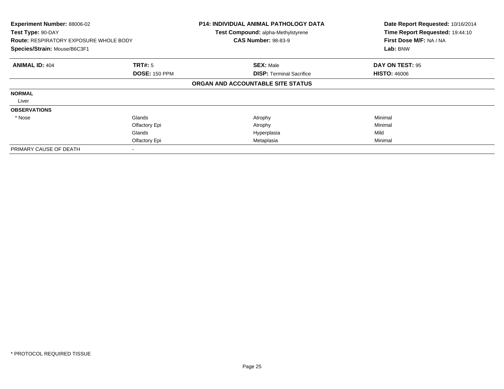| Experiment Number: 88006-02<br>Test Type: 90-DAY<br><b>Route: RESPIRATORY EXPOSURE WHOLE BODY</b><br>Species/Strain: Mouse/B6C3F1 |                      | <b>P14: INDIVIDUAL ANIMAL PATHOLOGY DATA</b><br>Test Compound: alpha-Methylstyrene<br><b>CAS Number: 98-83-9</b> | Date Report Requested: 10/16/2014<br>Time Report Requested: 19:44:10<br>First Dose M/F: NA / NA<br>Lab: BNW |
|-----------------------------------------------------------------------------------------------------------------------------------|----------------------|------------------------------------------------------------------------------------------------------------------|-------------------------------------------------------------------------------------------------------------|
| <b>ANIMAL ID: 404</b>                                                                                                             | <b>TRT#:</b> 5       | <b>SEX: Male</b>                                                                                                 | DAY ON TEST: 95                                                                                             |
|                                                                                                                                   | <b>DOSE: 150 PPM</b> | <b>DISP:</b> Terminal Sacrifice                                                                                  | <b>HISTO: 46006</b>                                                                                         |
|                                                                                                                                   |                      | ORGAN AND ACCOUNTABLE SITE STATUS                                                                                |                                                                                                             |
| <b>NORMAL</b>                                                                                                                     |                      |                                                                                                                  |                                                                                                             |
| Liver                                                                                                                             |                      |                                                                                                                  |                                                                                                             |
| <b>OBSERVATIONS</b>                                                                                                               |                      |                                                                                                                  |                                                                                                             |
| * Nose                                                                                                                            | Glands               | Atrophy                                                                                                          | Minimal                                                                                                     |
|                                                                                                                                   | Olfactory Epi        | Atrophy                                                                                                          | Minimal                                                                                                     |
|                                                                                                                                   | Glands               | Hyperplasia                                                                                                      | Mild                                                                                                        |
|                                                                                                                                   | Olfactory Epi        | Metaplasia                                                                                                       | Minimal                                                                                                     |
| PRIMARY CAUSE OF DEATH                                                                                                            |                      |                                                                                                                  |                                                                                                             |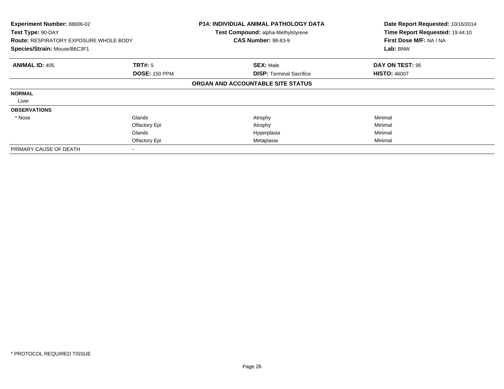| Experiment Number: 88006-02<br>Test Type: 90-DAY<br><b>Route: RESPIRATORY EXPOSURE WHOLE BODY</b><br>Species/Strain: Mouse/B6C3F1 |                      | <b>P14: INDIVIDUAL ANIMAL PATHOLOGY DATA</b><br><b>Test Compound: alpha-Methylstyrene</b><br><b>CAS Number: 98-83-9</b> | Date Report Requested: 10/16/2014<br>Time Report Requested: 19:44:10<br>First Dose M/F: NA / NA<br>Lab: BNW |
|-----------------------------------------------------------------------------------------------------------------------------------|----------------------|-------------------------------------------------------------------------------------------------------------------------|-------------------------------------------------------------------------------------------------------------|
| <b>ANIMAL ID: 405</b>                                                                                                             | TRT#: 5              | <b>SEX: Male</b>                                                                                                        | DAY ON TEST: 95                                                                                             |
|                                                                                                                                   | <b>DOSE: 150 PPM</b> | <b>DISP:</b> Terminal Sacrifice                                                                                         | <b>HISTO: 46007</b>                                                                                         |
|                                                                                                                                   |                      | ORGAN AND ACCOUNTABLE SITE STATUS                                                                                       |                                                                                                             |
| <b>NORMAL</b>                                                                                                                     |                      |                                                                                                                         |                                                                                                             |
| Liver                                                                                                                             |                      |                                                                                                                         |                                                                                                             |
| <b>OBSERVATIONS</b>                                                                                                               |                      |                                                                                                                         |                                                                                                             |
| * Nose                                                                                                                            | Glands               | Atrophy                                                                                                                 | Minimal                                                                                                     |
|                                                                                                                                   | Olfactory Epi        | Atrophy                                                                                                                 | Minimal                                                                                                     |
|                                                                                                                                   | Glands               | Hyperplasia                                                                                                             | Minimal                                                                                                     |
|                                                                                                                                   | Olfactory Epi        | Metaplasia                                                                                                              | Minimal                                                                                                     |
| PRIMARY CAUSE OF DEATH                                                                                                            |                      |                                                                                                                         |                                                                                                             |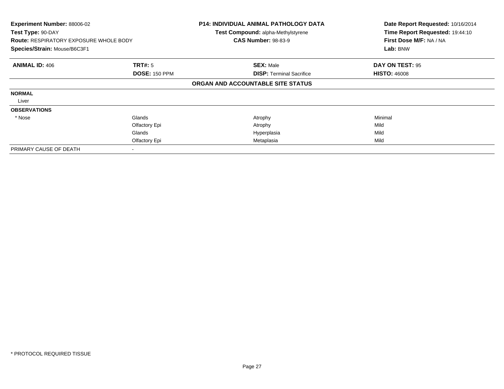| <b>Experiment Number: 88006-02</b><br>Test Type: 90-DAY<br><b>Route: RESPIRATORY EXPOSURE WHOLE BODY</b><br>Species/Strain: Mouse/B6C3F1 |                      | <b>P14: INDIVIDUAL ANIMAL PATHOLOGY DATA</b><br>Test Compound: alpha-Methylstyrene<br><b>CAS Number: 98-83-9</b> | Date Report Requested: 10/16/2014<br>Time Report Requested: 19:44:10<br>First Dose M/F: NA / NA<br>Lab: BNW |
|------------------------------------------------------------------------------------------------------------------------------------------|----------------------|------------------------------------------------------------------------------------------------------------------|-------------------------------------------------------------------------------------------------------------|
| <b>ANIMAL ID: 406</b>                                                                                                                    | TRT#: 5              | <b>SEX: Male</b>                                                                                                 | DAY ON TEST: 95                                                                                             |
|                                                                                                                                          | <b>DOSE: 150 PPM</b> | <b>DISP: Terminal Sacrifice</b>                                                                                  | <b>HISTO: 46008</b>                                                                                         |
|                                                                                                                                          |                      | ORGAN AND ACCOUNTABLE SITE STATUS                                                                                |                                                                                                             |
| <b>NORMAL</b>                                                                                                                            |                      |                                                                                                                  |                                                                                                             |
| Liver                                                                                                                                    |                      |                                                                                                                  |                                                                                                             |
| <b>OBSERVATIONS</b>                                                                                                                      |                      |                                                                                                                  |                                                                                                             |
| * Nose                                                                                                                                   | Glands               | Atrophy                                                                                                          | Minimal                                                                                                     |
|                                                                                                                                          | Olfactory Epi        | Atrophy                                                                                                          | Mild                                                                                                        |
|                                                                                                                                          | Glands               | Hyperplasia                                                                                                      | Mild                                                                                                        |
|                                                                                                                                          | Olfactory Epi        | Metaplasia                                                                                                       | Mild                                                                                                        |
| PRIMARY CAUSE OF DEATH                                                                                                                   |                      |                                                                                                                  |                                                                                                             |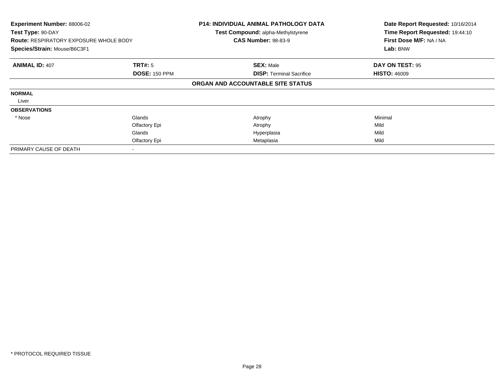| Experiment Number: 88006-02<br>Test Type: 90-DAY<br><b>Route: RESPIRATORY EXPOSURE WHOLE BODY</b><br>Species/Strain: Mouse/B6C3F1 |                      | <b>P14: INDIVIDUAL ANIMAL PATHOLOGY DATA</b><br>Test Compound: alpha-Methylstyrene<br><b>CAS Number: 98-83-9</b> | Date Report Requested: 10/16/2014<br>Time Report Requested: 19:44:10<br>First Dose M/F: NA / NA<br>Lab: BNW |
|-----------------------------------------------------------------------------------------------------------------------------------|----------------------|------------------------------------------------------------------------------------------------------------------|-------------------------------------------------------------------------------------------------------------|
| <b>ANIMAL ID: 407</b>                                                                                                             | <b>TRT#: 5</b>       | <b>SEX: Male</b>                                                                                                 | DAY ON TEST: 95                                                                                             |
|                                                                                                                                   | <b>DOSE: 150 PPM</b> | <b>DISP: Terminal Sacrifice</b>                                                                                  | <b>HISTO: 46009</b>                                                                                         |
|                                                                                                                                   |                      | ORGAN AND ACCOUNTABLE SITE STATUS                                                                                |                                                                                                             |
| <b>NORMAL</b>                                                                                                                     |                      |                                                                                                                  |                                                                                                             |
| Liver                                                                                                                             |                      |                                                                                                                  |                                                                                                             |
| <b>OBSERVATIONS</b>                                                                                                               |                      |                                                                                                                  |                                                                                                             |
| * Nose                                                                                                                            | Glands               | Atrophy                                                                                                          | Minimal                                                                                                     |
|                                                                                                                                   | Olfactory Epi        | Atrophy                                                                                                          | Mild                                                                                                        |
|                                                                                                                                   | Glands               | Hyperplasia                                                                                                      | Mild                                                                                                        |
|                                                                                                                                   | Olfactory Epi        | Metaplasia                                                                                                       | Mild                                                                                                        |
| PRIMARY CAUSE OF DEATH                                                                                                            |                      |                                                                                                                  |                                                                                                             |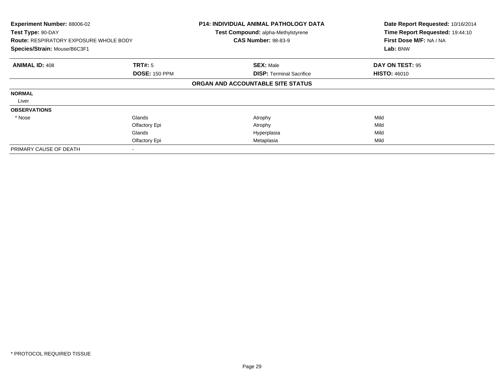| <b>Experiment Number: 88006-02</b><br>Test Type: 90-DAY<br><b>Route: RESPIRATORY EXPOSURE WHOLE BODY</b><br>Species/Strain: Mouse/B6C3F1 |                      | <b>P14: INDIVIDUAL ANIMAL PATHOLOGY DATA</b><br>Test Compound: alpha-Methylstyrene<br><b>CAS Number: 98-83-9</b> | Date Report Requested: 10/16/2014<br>Time Report Requested: 19:44:10<br>First Dose M/F: NA / NA<br>Lab: BNW |
|------------------------------------------------------------------------------------------------------------------------------------------|----------------------|------------------------------------------------------------------------------------------------------------------|-------------------------------------------------------------------------------------------------------------|
| <b>ANIMAL ID: 408</b>                                                                                                                    | <b>TRT#: 5</b>       | <b>SEX: Male</b>                                                                                                 | DAY ON TEST: 95                                                                                             |
|                                                                                                                                          | <b>DOSE: 150 PPM</b> | <b>DISP:</b> Terminal Sacrifice                                                                                  | <b>HISTO: 46010</b>                                                                                         |
|                                                                                                                                          |                      | ORGAN AND ACCOUNTABLE SITE STATUS                                                                                |                                                                                                             |
| <b>NORMAL</b>                                                                                                                            |                      |                                                                                                                  |                                                                                                             |
| Liver                                                                                                                                    |                      |                                                                                                                  |                                                                                                             |
| <b>OBSERVATIONS</b>                                                                                                                      |                      |                                                                                                                  |                                                                                                             |
| * Nose                                                                                                                                   | Glands               | Atrophy                                                                                                          | Mild                                                                                                        |
|                                                                                                                                          | Olfactory Epi        | Atrophy                                                                                                          | Mild                                                                                                        |
|                                                                                                                                          | Glands               | Hyperplasia                                                                                                      | Mild                                                                                                        |
|                                                                                                                                          | Olfactory Epi        | Metaplasia                                                                                                       | Mild                                                                                                        |
| PRIMARY CAUSE OF DEATH                                                                                                                   |                      |                                                                                                                  |                                                                                                             |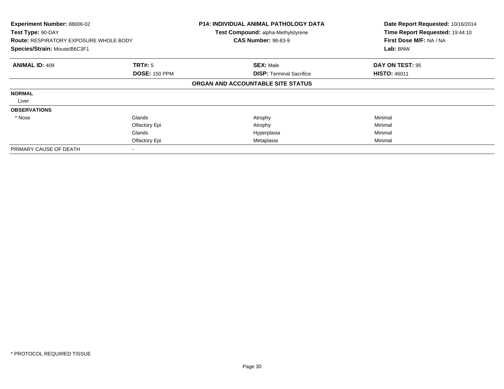| Experiment Number: 88006-02<br>Test Type: 90-DAY<br><b>Route: RESPIRATORY EXPOSURE WHOLE BODY</b><br>Species/Strain: Mouse/B6C3F1 |                      | <b>P14: INDIVIDUAL ANIMAL PATHOLOGY DATA</b><br><b>Test Compound: alpha-Methylstyrene</b><br><b>CAS Number: 98-83-9</b> | Date Report Requested: 10/16/2014<br>Time Report Requested: 19:44:10<br>First Dose M/F: NA / NA<br>Lab: BNW |
|-----------------------------------------------------------------------------------------------------------------------------------|----------------------|-------------------------------------------------------------------------------------------------------------------------|-------------------------------------------------------------------------------------------------------------|
| <b>ANIMAL ID: 409</b>                                                                                                             | <b>TRT#:</b> 5       | <b>SEX: Male</b>                                                                                                        | DAY ON TEST: 95                                                                                             |
|                                                                                                                                   | <b>DOSE: 150 PPM</b> | <b>DISP:</b> Terminal Sacrifice                                                                                         | <b>HISTO: 46011</b>                                                                                         |
|                                                                                                                                   |                      | ORGAN AND ACCOUNTABLE SITE STATUS                                                                                       |                                                                                                             |
| <b>NORMAL</b>                                                                                                                     |                      |                                                                                                                         |                                                                                                             |
| Liver                                                                                                                             |                      |                                                                                                                         |                                                                                                             |
| <b>OBSERVATIONS</b>                                                                                                               |                      |                                                                                                                         |                                                                                                             |
| * Nose                                                                                                                            | Glands               | Atrophy                                                                                                                 | Minimal                                                                                                     |
|                                                                                                                                   | Olfactory Epi        | Atrophy                                                                                                                 | Minimal                                                                                                     |
|                                                                                                                                   | Glands               | Hyperplasia                                                                                                             | Minimal                                                                                                     |
|                                                                                                                                   | Olfactory Epi        | Metaplasia                                                                                                              | Minimal                                                                                                     |
| PRIMARY CAUSE OF DEATH                                                                                                            |                      |                                                                                                                         |                                                                                                             |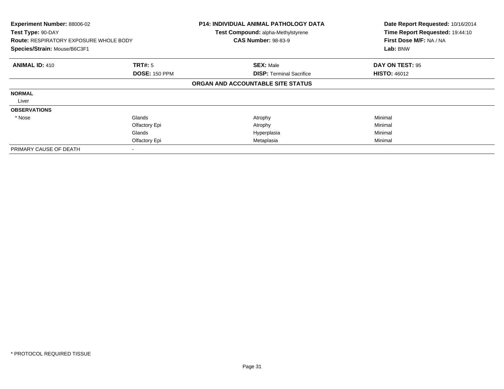| Experiment Number: 88006-02<br>Test Type: 90-DAY<br><b>Route: RESPIRATORY EXPOSURE WHOLE BODY</b><br>Species/Strain: Mouse/B6C3F1 |                      | <b>P14: INDIVIDUAL ANIMAL PATHOLOGY DATA</b><br>Test Compound: alpha-Methylstyrene<br><b>CAS Number: 98-83-9</b> | Date Report Requested: 10/16/2014<br>Time Report Requested: 19:44:10<br>First Dose M/F: NA / NA<br>Lab: BNW |
|-----------------------------------------------------------------------------------------------------------------------------------|----------------------|------------------------------------------------------------------------------------------------------------------|-------------------------------------------------------------------------------------------------------------|
| <b>ANIMAL ID: 410</b>                                                                                                             | <b>TRT#: 5</b>       | <b>SEX: Male</b>                                                                                                 | DAY ON TEST: 95                                                                                             |
|                                                                                                                                   | <b>DOSE: 150 PPM</b> | <b>DISP:</b> Terminal Sacrifice                                                                                  | <b>HISTO: 46012</b>                                                                                         |
|                                                                                                                                   |                      | ORGAN AND ACCOUNTABLE SITE STATUS                                                                                |                                                                                                             |
| <b>NORMAL</b>                                                                                                                     |                      |                                                                                                                  |                                                                                                             |
| Liver                                                                                                                             |                      |                                                                                                                  |                                                                                                             |
| <b>OBSERVATIONS</b>                                                                                                               |                      |                                                                                                                  |                                                                                                             |
| * Nose                                                                                                                            | Glands               | Atrophy                                                                                                          | Minimal                                                                                                     |
|                                                                                                                                   | Olfactory Epi        | Atrophy                                                                                                          | Minimal                                                                                                     |
|                                                                                                                                   | Glands               | Hyperplasia                                                                                                      | Minimal                                                                                                     |
|                                                                                                                                   | Olfactory Epi        | Metaplasia                                                                                                       | Minimal                                                                                                     |
| PRIMARY CAUSE OF DEATH                                                                                                            |                      |                                                                                                                  |                                                                                                             |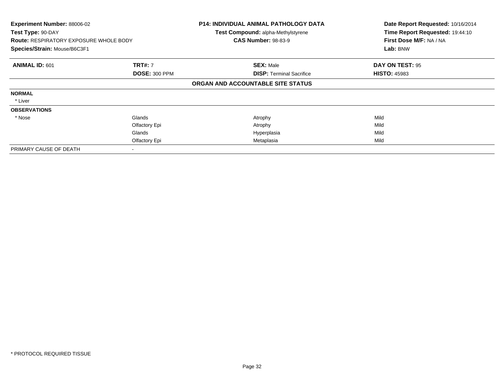| Experiment Number: 88006-02<br>Test Type: 90-DAY<br><b>Route: RESPIRATORY EXPOSURE WHOLE BODY</b><br>Species/Strain: Mouse/B6C3F1 |                      | <b>P14: INDIVIDUAL ANIMAL PATHOLOGY DATA</b><br><b>Test Compound: alpha-Methylstyrene</b><br><b>CAS Number: 98-83-9</b> | Date Report Requested: 10/16/2014<br>Time Report Requested: 19:44:10<br>First Dose M/F: NA / NA<br>Lab: BNW |
|-----------------------------------------------------------------------------------------------------------------------------------|----------------------|-------------------------------------------------------------------------------------------------------------------------|-------------------------------------------------------------------------------------------------------------|
| <b>ANIMAL ID: 601</b>                                                                                                             | <b>TRT#: 7</b>       | <b>SEX: Male</b>                                                                                                        | DAY ON TEST: 95                                                                                             |
|                                                                                                                                   | <b>DOSE: 300 PPM</b> | <b>DISP:</b> Terminal Sacrifice                                                                                         | <b>HISTO: 45983</b>                                                                                         |
|                                                                                                                                   |                      | ORGAN AND ACCOUNTABLE SITE STATUS                                                                                       |                                                                                                             |
| <b>NORMAL</b>                                                                                                                     |                      |                                                                                                                         |                                                                                                             |
| * Liver                                                                                                                           |                      |                                                                                                                         |                                                                                                             |
| <b>OBSERVATIONS</b>                                                                                                               |                      |                                                                                                                         |                                                                                                             |
| * Nose                                                                                                                            | Glands               | Atrophy                                                                                                                 | Mild                                                                                                        |
|                                                                                                                                   | Olfactory Epi        | Atrophy                                                                                                                 | Mild                                                                                                        |
|                                                                                                                                   | Glands               | Hyperplasia                                                                                                             | Mild                                                                                                        |
|                                                                                                                                   | Olfactory Epi        | Metaplasia                                                                                                              | Mild                                                                                                        |
| PRIMARY CAUSE OF DEATH                                                                                                            |                      |                                                                                                                         |                                                                                                             |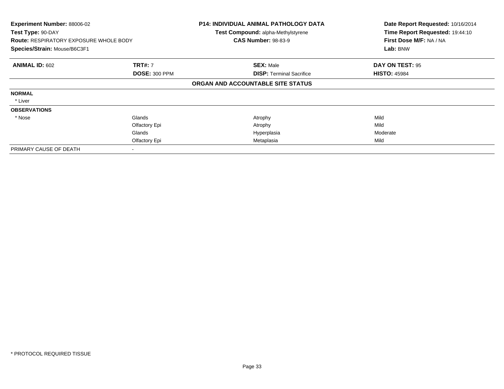| Experiment Number: 88006-02<br>Test Type: 90-DAY<br><b>Route: RESPIRATORY EXPOSURE WHOLE BODY</b><br>Species/Strain: Mouse/B6C3F1 |                      | <b>P14: INDIVIDUAL ANIMAL PATHOLOGY DATA</b><br>Test Compound: alpha-Methylstyrene<br><b>CAS Number: 98-83-9</b> | Date Report Requested: 10/16/2014<br>Time Report Requested: 19:44:10<br>First Dose M/F: NA / NA<br>Lab: BNW |
|-----------------------------------------------------------------------------------------------------------------------------------|----------------------|------------------------------------------------------------------------------------------------------------------|-------------------------------------------------------------------------------------------------------------|
| <b>ANIMAL ID: 602</b>                                                                                                             | <b>TRT#: 7</b>       | <b>SEX: Male</b>                                                                                                 | DAY ON TEST: 95                                                                                             |
|                                                                                                                                   | <b>DOSE: 300 PPM</b> | <b>DISP: Terminal Sacrifice</b>                                                                                  | <b>HISTO: 45984</b>                                                                                         |
|                                                                                                                                   |                      | ORGAN AND ACCOUNTABLE SITE STATUS                                                                                |                                                                                                             |
| <b>NORMAL</b>                                                                                                                     |                      |                                                                                                                  |                                                                                                             |
| * Liver                                                                                                                           |                      |                                                                                                                  |                                                                                                             |
| <b>OBSERVATIONS</b>                                                                                                               |                      |                                                                                                                  |                                                                                                             |
| * Nose                                                                                                                            | Glands               | Atrophy                                                                                                          | Mild                                                                                                        |
|                                                                                                                                   | Olfactory Epi        | Atrophy                                                                                                          | Mild                                                                                                        |
|                                                                                                                                   | Glands               | Hyperplasia                                                                                                      | Moderate                                                                                                    |
|                                                                                                                                   | Olfactory Epi        | Metaplasia                                                                                                       | Mild                                                                                                        |
| PRIMARY CAUSE OF DEATH                                                                                                            |                      |                                                                                                                  |                                                                                                             |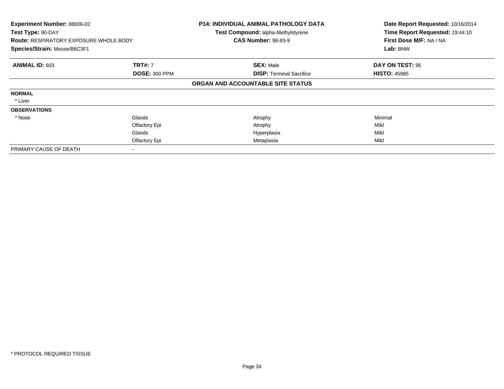| Experiment Number: 88006-02<br>Test Type: 90-DAY<br><b>Route: RESPIRATORY EXPOSURE WHOLE BODY</b><br>Species/Strain: Mouse/B6C3F1 |                      | <b>P14: INDIVIDUAL ANIMAL PATHOLOGY DATA</b><br>Test Compound: alpha-Methylstyrene<br><b>CAS Number: 98-83-9</b> | Date Report Requested: 10/16/2014<br>Time Report Requested: 19:44:10<br>First Dose M/F: NA / NA<br>Lab: BNW |
|-----------------------------------------------------------------------------------------------------------------------------------|----------------------|------------------------------------------------------------------------------------------------------------------|-------------------------------------------------------------------------------------------------------------|
| <b>ANIMAL ID: 603</b>                                                                                                             | <b>TRT#: 7</b>       | <b>SEX: Male</b>                                                                                                 | DAY ON TEST: 95                                                                                             |
|                                                                                                                                   | <b>DOSE: 300 PPM</b> | <b>DISP:</b> Terminal Sacrifice                                                                                  | <b>HISTO: 45985</b>                                                                                         |
|                                                                                                                                   |                      | ORGAN AND ACCOUNTABLE SITE STATUS                                                                                |                                                                                                             |
| <b>NORMAL</b>                                                                                                                     |                      |                                                                                                                  |                                                                                                             |
| * Liver                                                                                                                           |                      |                                                                                                                  |                                                                                                             |
| <b>OBSERVATIONS</b>                                                                                                               |                      |                                                                                                                  |                                                                                                             |
| * Nose                                                                                                                            | Glands               | Atrophy                                                                                                          | Minimal                                                                                                     |
|                                                                                                                                   | Olfactory Epi        | Atrophy                                                                                                          | Mild                                                                                                        |
|                                                                                                                                   | Glands               | Hyperplasia                                                                                                      | Mild                                                                                                        |
|                                                                                                                                   | Olfactory Epi        | Metaplasia                                                                                                       | Mild                                                                                                        |
| PRIMARY CAUSE OF DEATH                                                                                                            |                      |                                                                                                                  |                                                                                                             |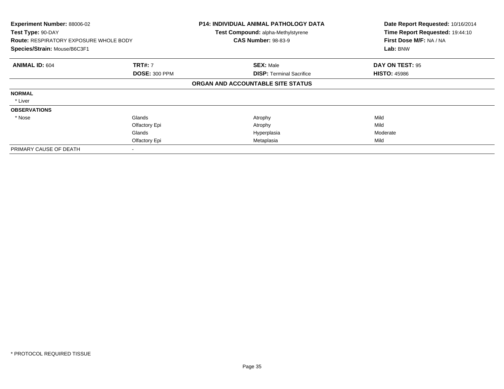| <b>Experiment Number: 88006-02</b><br>Test Type: 90-DAY<br><b>Route: RESPIRATORY EXPOSURE WHOLE BODY</b><br>Species/Strain: Mouse/B6C3F1 |                      | <b>P14: INDIVIDUAL ANIMAL PATHOLOGY DATA</b><br>Test Compound: alpha-Methylstyrene<br><b>CAS Number: 98-83-9</b> | Date Report Requested: 10/16/2014<br>Time Report Requested: 19:44:10<br>First Dose M/F: NA / NA<br>Lab: BNW |
|------------------------------------------------------------------------------------------------------------------------------------------|----------------------|------------------------------------------------------------------------------------------------------------------|-------------------------------------------------------------------------------------------------------------|
| <b>ANIMAL ID: 604</b>                                                                                                                    | <b>TRT#: 7</b>       | <b>SEX: Male</b>                                                                                                 | DAY ON TEST: 95                                                                                             |
|                                                                                                                                          | <b>DOSE: 300 PPM</b> | <b>DISP:</b> Terminal Sacrifice                                                                                  | <b>HISTO: 45986</b>                                                                                         |
|                                                                                                                                          |                      | ORGAN AND ACCOUNTABLE SITE STATUS                                                                                |                                                                                                             |
| <b>NORMAL</b>                                                                                                                            |                      |                                                                                                                  |                                                                                                             |
| * Liver                                                                                                                                  |                      |                                                                                                                  |                                                                                                             |
| <b>OBSERVATIONS</b>                                                                                                                      |                      |                                                                                                                  |                                                                                                             |
| * Nose                                                                                                                                   | Glands               | Atrophy                                                                                                          | Mild                                                                                                        |
|                                                                                                                                          | Olfactory Epi        | Atrophy                                                                                                          | Mild                                                                                                        |
|                                                                                                                                          | Glands               | Hyperplasia                                                                                                      | Moderate                                                                                                    |
|                                                                                                                                          | Olfactory Epi        | Metaplasia                                                                                                       | Mild                                                                                                        |
| PRIMARY CAUSE OF DEATH                                                                                                                   |                      |                                                                                                                  |                                                                                                             |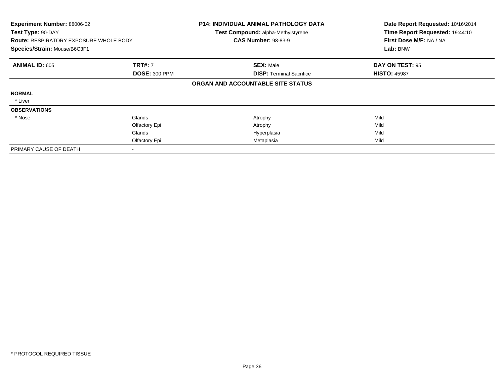| Experiment Number: 88006-02<br>Test Type: 90-DAY<br><b>Route: RESPIRATORY EXPOSURE WHOLE BODY</b><br>Species/Strain: Mouse/B6C3F1 |                      | <b>P14: INDIVIDUAL ANIMAL PATHOLOGY DATA</b><br><b>Test Compound: alpha-Methylstyrene</b><br><b>CAS Number: 98-83-9</b> | Date Report Requested: 10/16/2014<br>Time Report Requested: 19:44:10<br>First Dose M/F: NA / NA<br>Lab: BNW |
|-----------------------------------------------------------------------------------------------------------------------------------|----------------------|-------------------------------------------------------------------------------------------------------------------------|-------------------------------------------------------------------------------------------------------------|
| <b>ANIMAL ID: 605</b>                                                                                                             | <b>TRT#: 7</b>       | <b>SEX: Male</b>                                                                                                        | DAY ON TEST: 95                                                                                             |
|                                                                                                                                   | <b>DOSE: 300 PPM</b> | <b>DISP:</b> Terminal Sacrifice                                                                                         | <b>HISTO: 45987</b>                                                                                         |
|                                                                                                                                   |                      | ORGAN AND ACCOUNTABLE SITE STATUS                                                                                       |                                                                                                             |
| <b>NORMAL</b>                                                                                                                     |                      |                                                                                                                         |                                                                                                             |
| * Liver                                                                                                                           |                      |                                                                                                                         |                                                                                                             |
| <b>OBSERVATIONS</b>                                                                                                               |                      |                                                                                                                         |                                                                                                             |
| * Nose                                                                                                                            | Glands               | Atrophy                                                                                                                 | Mild                                                                                                        |
|                                                                                                                                   | Olfactory Epi        | Atrophy                                                                                                                 | Mild                                                                                                        |
|                                                                                                                                   | Glands               | Hyperplasia                                                                                                             | Mild                                                                                                        |
|                                                                                                                                   | Olfactory Epi        | Metaplasia                                                                                                              | Mild                                                                                                        |
| PRIMARY CAUSE OF DEATH                                                                                                            |                      |                                                                                                                         |                                                                                                             |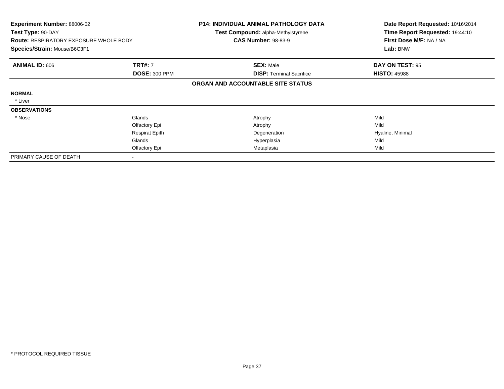| <b>Experiment Number: 88006-02</b><br>Test Type: 90-DAY<br><b>Route: RESPIRATORY EXPOSURE WHOLE BODY</b><br>Species/Strain: Mouse/B6C3F1 |                       | <b>P14: INDIVIDUAL ANIMAL PATHOLOGY DATA</b><br><b>Test Compound: alpha-Methylstyrene</b> | Date Report Requested: 10/16/2014<br>Time Report Requested: 19:44:10 |
|------------------------------------------------------------------------------------------------------------------------------------------|-----------------------|-------------------------------------------------------------------------------------------|----------------------------------------------------------------------|
|                                                                                                                                          |                       | <b>CAS Number: 98-83-9</b>                                                                | First Dose M/F: NA / NA                                              |
|                                                                                                                                          |                       |                                                                                           | Lab: BNW                                                             |
| <b>ANIMAL ID: 606</b>                                                                                                                    | <b>TRT#: 7</b>        | <b>SEX: Male</b>                                                                          | DAY ON TEST: 95                                                      |
|                                                                                                                                          | <b>DOSE: 300 PPM</b>  | <b>DISP: Terminal Sacrifice</b>                                                           | <b>HISTO: 45988</b>                                                  |
|                                                                                                                                          |                       | ORGAN AND ACCOUNTABLE SITE STATUS                                                         |                                                                      |
| <b>NORMAL</b>                                                                                                                            |                       |                                                                                           |                                                                      |
| * Liver                                                                                                                                  |                       |                                                                                           |                                                                      |
| <b>OBSERVATIONS</b>                                                                                                                      |                       |                                                                                           |                                                                      |
| * Nose                                                                                                                                   | Glands                | Atrophy                                                                                   | Mild                                                                 |
|                                                                                                                                          | Olfactory Epi         | Atrophy                                                                                   | Mild                                                                 |
|                                                                                                                                          | <b>Respirat Epith</b> | Degeneration                                                                              | Hyaline, Minimal                                                     |
|                                                                                                                                          | Glands                | Hyperplasia                                                                               | Mild                                                                 |
|                                                                                                                                          | Olfactory Epi         | Metaplasia                                                                                | Mild                                                                 |
| PRIMARY CAUSE OF DEATH                                                                                                                   |                       |                                                                                           |                                                                      |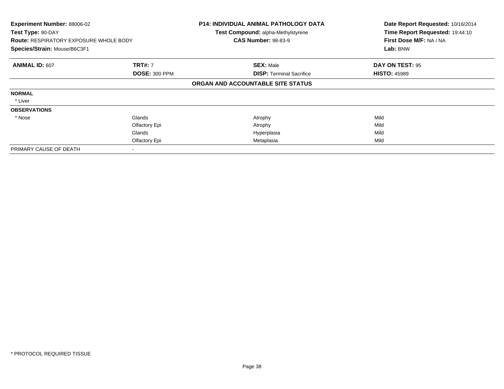| Experiment Number: 88006-02<br>Test Type: 90-DAY<br><b>Route: RESPIRATORY EXPOSURE WHOLE BODY</b><br>Species/Strain: Mouse/B6C3F1 |                      | <b>P14: INDIVIDUAL ANIMAL PATHOLOGY DATA</b><br><b>Test Compound: alpha-Methylstyrene</b><br><b>CAS Number: 98-83-9</b> | Date Report Requested: 10/16/2014<br>Time Report Requested: 19:44:10<br>First Dose M/F: NA / NA<br>Lab: BNW |
|-----------------------------------------------------------------------------------------------------------------------------------|----------------------|-------------------------------------------------------------------------------------------------------------------------|-------------------------------------------------------------------------------------------------------------|
| <b>ANIMAL ID: 607</b>                                                                                                             | <b>TRT#: 7</b>       | <b>SEX: Male</b>                                                                                                        | DAY ON TEST: 95                                                                                             |
|                                                                                                                                   | <b>DOSE: 300 PPM</b> | <b>DISP:</b> Terminal Sacrifice                                                                                         | <b>HISTO: 45989</b>                                                                                         |
|                                                                                                                                   |                      | ORGAN AND ACCOUNTABLE SITE STATUS                                                                                       |                                                                                                             |
| <b>NORMAL</b>                                                                                                                     |                      |                                                                                                                         |                                                                                                             |
| * Liver                                                                                                                           |                      |                                                                                                                         |                                                                                                             |
| <b>OBSERVATIONS</b>                                                                                                               |                      |                                                                                                                         |                                                                                                             |
| * Nose                                                                                                                            | Glands               | Atrophy                                                                                                                 | Mild                                                                                                        |
|                                                                                                                                   | Olfactory Epi        | Atrophy                                                                                                                 | Mild                                                                                                        |
|                                                                                                                                   | Glands               | Hyperplasia                                                                                                             | Mild                                                                                                        |
|                                                                                                                                   | Olfactory Epi        | Metaplasia                                                                                                              | Mild                                                                                                        |
| PRIMARY CAUSE OF DEATH                                                                                                            |                      |                                                                                                                         |                                                                                                             |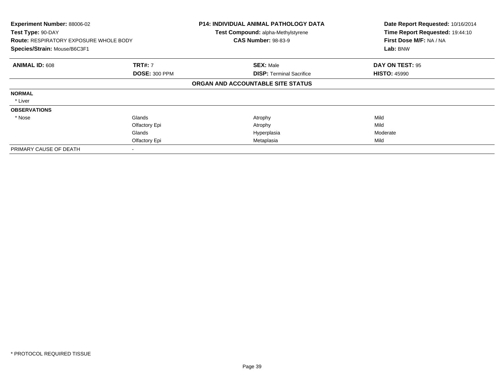| Experiment Number: 88006-02<br>Test Type: 90-DAY<br><b>Route: RESPIRATORY EXPOSURE WHOLE BODY</b><br>Species/Strain: Mouse/B6C3F1 |                      | <b>P14: INDIVIDUAL ANIMAL PATHOLOGY DATA</b><br>Test Compound: alpha-Methylstyrene<br><b>CAS Number: 98-83-9</b> | Date Report Requested: 10/16/2014<br>Time Report Requested: 19:44:10<br>First Dose M/F: NA / NA<br>Lab: BNW |
|-----------------------------------------------------------------------------------------------------------------------------------|----------------------|------------------------------------------------------------------------------------------------------------------|-------------------------------------------------------------------------------------------------------------|
| <b>ANIMAL ID: 608</b>                                                                                                             | <b>TRT#: 7</b>       | <b>SEX: Male</b>                                                                                                 | DAY ON TEST: 95                                                                                             |
|                                                                                                                                   | <b>DOSE: 300 PPM</b> | <b>DISP: Terminal Sacrifice</b>                                                                                  | <b>HISTO: 45990</b>                                                                                         |
|                                                                                                                                   |                      | ORGAN AND ACCOUNTABLE SITE STATUS                                                                                |                                                                                                             |
| <b>NORMAL</b>                                                                                                                     |                      |                                                                                                                  |                                                                                                             |
| * Liver                                                                                                                           |                      |                                                                                                                  |                                                                                                             |
| <b>OBSERVATIONS</b>                                                                                                               |                      |                                                                                                                  |                                                                                                             |
| * Nose                                                                                                                            | Glands               | Atrophy                                                                                                          | Mild                                                                                                        |
|                                                                                                                                   | Olfactory Epi        | Atrophy                                                                                                          | Mild                                                                                                        |
|                                                                                                                                   | Glands               | Hyperplasia                                                                                                      | Moderate                                                                                                    |
|                                                                                                                                   | Olfactory Epi        | Metaplasia                                                                                                       | Mild                                                                                                        |
| PRIMARY CAUSE OF DEATH                                                                                                            |                      |                                                                                                                  |                                                                                                             |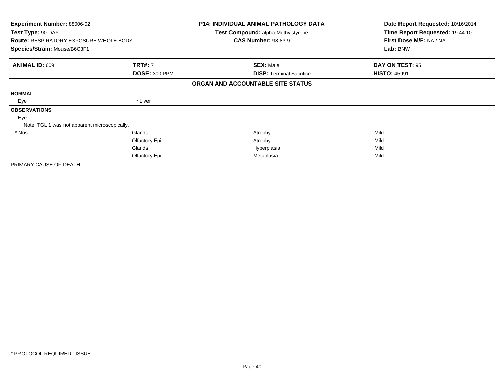| Experiment Number: 88006-02<br>Test Type: 90-DAY<br><b>Route: RESPIRATORY EXPOSURE WHOLE BODY</b> |                      | P14: INDIVIDUAL ANIMAL PATHOLOGY DATA<br>Test Compound: alpha-Methylstyrene<br><b>CAS Number: 98-83-9</b> | Date Report Requested: 10/16/2014<br>Time Report Requested: 19:44:10<br>First Dose M/F: NA / NA |
|---------------------------------------------------------------------------------------------------|----------------------|-----------------------------------------------------------------------------------------------------------|-------------------------------------------------------------------------------------------------|
| Species/Strain: Mouse/B6C3F1                                                                      |                      |                                                                                                           | Lab: BNW                                                                                        |
| <b>ANIMAL ID: 609</b>                                                                             | <b>TRT#: 7</b>       | <b>SEX: Male</b>                                                                                          | DAY ON TEST: 95                                                                                 |
|                                                                                                   | <b>DOSE: 300 PPM</b> | <b>DISP: Terminal Sacrifice</b>                                                                           | <b>HISTO: 45991</b>                                                                             |
|                                                                                                   |                      | ORGAN AND ACCOUNTABLE SITE STATUS                                                                         |                                                                                                 |
| <b>NORMAL</b>                                                                                     |                      |                                                                                                           |                                                                                                 |
| Eye                                                                                               | * Liver              |                                                                                                           |                                                                                                 |
| <b>OBSERVATIONS</b>                                                                               |                      |                                                                                                           |                                                                                                 |
| Eye                                                                                               |                      |                                                                                                           |                                                                                                 |
| Note: TGL 1 was not apparent microscopically.                                                     |                      |                                                                                                           |                                                                                                 |
| * Nose                                                                                            | Glands               | Atrophy                                                                                                   | Mild                                                                                            |
|                                                                                                   | Olfactory Epi        | Atrophy                                                                                                   | Mild                                                                                            |
|                                                                                                   | Glands               | Hyperplasia                                                                                               | Mild                                                                                            |
|                                                                                                   | Olfactory Epi        | Metaplasia                                                                                                | Mild                                                                                            |
| PRIMARY CAUSE OF DEATH                                                                            |                      |                                                                                                           |                                                                                                 |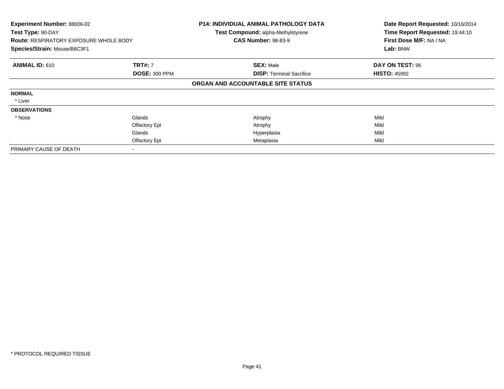| Experiment Number: 88006-02<br>Test Type: 90-DAY<br><b>Route: RESPIRATORY EXPOSURE WHOLE BODY</b><br>Species/Strain: Mouse/B6C3F1 |                      | <b>P14: INDIVIDUAL ANIMAL PATHOLOGY DATA</b><br><b>Test Compound: alpha-Methylstyrene</b><br><b>CAS Number: 98-83-9</b> | Date Report Requested: 10/16/2014<br>Time Report Requested: 19:44:10<br>First Dose M/F: NA / NA<br>Lab: BNW |
|-----------------------------------------------------------------------------------------------------------------------------------|----------------------|-------------------------------------------------------------------------------------------------------------------------|-------------------------------------------------------------------------------------------------------------|
| <b>ANIMAL ID: 610</b>                                                                                                             | <b>TRT#: 7</b>       | <b>SEX: Male</b>                                                                                                        | DAY ON TEST: 95                                                                                             |
|                                                                                                                                   | <b>DOSE: 300 PPM</b> | <b>DISP:</b> Terminal Sacrifice                                                                                         | <b>HISTO: 45992</b>                                                                                         |
|                                                                                                                                   |                      | ORGAN AND ACCOUNTABLE SITE STATUS                                                                                       |                                                                                                             |
| <b>NORMAL</b>                                                                                                                     |                      |                                                                                                                         |                                                                                                             |
| * Liver                                                                                                                           |                      |                                                                                                                         |                                                                                                             |
| <b>OBSERVATIONS</b>                                                                                                               |                      |                                                                                                                         |                                                                                                             |
| * Nose                                                                                                                            | Glands               | Atrophy                                                                                                                 | Mild                                                                                                        |
|                                                                                                                                   | Olfactory Epi        | Atrophy                                                                                                                 | Mild                                                                                                        |
|                                                                                                                                   | Glands               | Hyperplasia                                                                                                             | Mild                                                                                                        |
|                                                                                                                                   | Olfactory Epi        | Metaplasia                                                                                                              | Mild                                                                                                        |
| PRIMARY CAUSE OF DEATH                                                                                                            |                      |                                                                                                                         |                                                                                                             |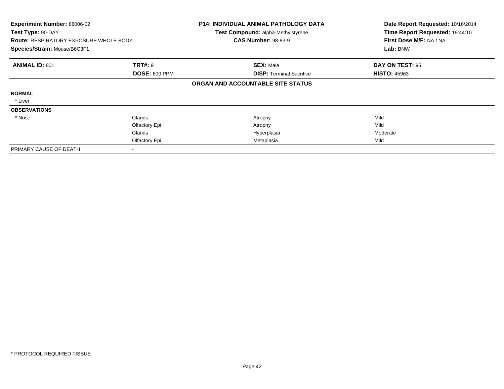| Experiment Number: 88006-02<br>Test Type: 90-DAY<br><b>Route: RESPIRATORY EXPOSURE WHOLE BODY</b><br>Species/Strain: Mouse/B6C3F1 |                      | <b>P14: INDIVIDUAL ANIMAL PATHOLOGY DATA</b><br>Test Compound: alpha-Methylstyrene<br><b>CAS Number: 98-83-9</b> | Date Report Requested: 10/16/2014<br>Time Report Requested: 19:44:10<br>First Dose M/F: NA / NA<br>Lab: BNW |
|-----------------------------------------------------------------------------------------------------------------------------------|----------------------|------------------------------------------------------------------------------------------------------------------|-------------------------------------------------------------------------------------------------------------|
| <b>ANIMAL ID: 801</b>                                                                                                             | <b>TRT#: 9</b>       | <b>SEX: Male</b>                                                                                                 | DAY ON TEST: 95                                                                                             |
|                                                                                                                                   | <b>DOSE: 600 PPM</b> | <b>DISP: Terminal Sacrifice</b>                                                                                  | <b>HISTO: 45963</b>                                                                                         |
|                                                                                                                                   |                      | ORGAN AND ACCOUNTABLE SITE STATUS                                                                                |                                                                                                             |
| <b>NORMAL</b>                                                                                                                     |                      |                                                                                                                  |                                                                                                             |
| * Liver                                                                                                                           |                      |                                                                                                                  |                                                                                                             |
| <b>OBSERVATIONS</b>                                                                                                               |                      |                                                                                                                  |                                                                                                             |
| * Nose                                                                                                                            | Glands               | Atrophy                                                                                                          | Mild                                                                                                        |
|                                                                                                                                   | Olfactory Epi        | Atrophy                                                                                                          | Mild                                                                                                        |
|                                                                                                                                   | Glands               | Hyperplasia                                                                                                      | Moderate                                                                                                    |
|                                                                                                                                   | Olfactory Epi        | Metaplasia                                                                                                       | Mild                                                                                                        |
| PRIMARY CAUSE OF DEATH                                                                                                            |                      |                                                                                                                  |                                                                                                             |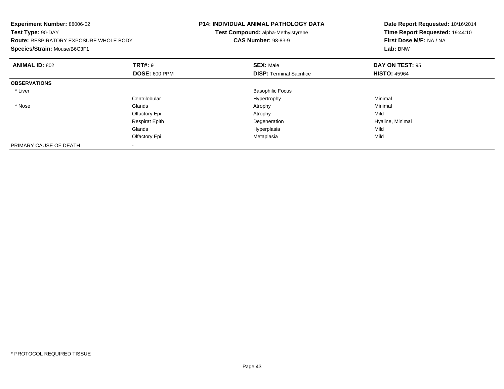| Experiment Number: 88006-02<br>Test Type: 90-DAY<br><b>Route: RESPIRATORY EXPOSURE WHOLE BODY</b><br>Species/Strain: Mouse/B6C3F1 |                       | <b>P14: INDIVIDUAL ANIMAL PATHOLOGY DATA</b><br>Test Compound: alpha-Methylstyrene<br><b>CAS Number: 98-83-9</b> | Date Report Requested: 10/16/2014<br>Time Report Requested: 19:44:10<br>First Dose M/F: NA / NA<br>Lab: BNW |
|-----------------------------------------------------------------------------------------------------------------------------------|-----------------------|------------------------------------------------------------------------------------------------------------------|-------------------------------------------------------------------------------------------------------------|
| <b>ANIMAL ID: 802</b>                                                                                                             | TRT#: 9               | <b>SEX: Male</b>                                                                                                 | DAY ON TEST: 95                                                                                             |
|                                                                                                                                   | <b>DOSE: 600 PPM</b>  | <b>DISP:</b> Terminal Sacrifice                                                                                  | <b>HISTO: 45964</b>                                                                                         |
| <b>OBSERVATIONS</b>                                                                                                               |                       |                                                                                                                  |                                                                                                             |
| * Liver                                                                                                                           |                       | <b>Basophilic Focus</b>                                                                                          |                                                                                                             |
|                                                                                                                                   | Centrilobular         | Hypertrophy                                                                                                      | Minimal                                                                                                     |
| * Nose                                                                                                                            | Glands                | Atrophy                                                                                                          | Minimal                                                                                                     |
|                                                                                                                                   | Olfactory Epi         | Atrophy                                                                                                          | Mild                                                                                                        |
|                                                                                                                                   | <b>Respirat Epith</b> | Degeneration                                                                                                     | Hyaline, Minimal                                                                                            |
|                                                                                                                                   | Glands                | Hyperplasia                                                                                                      | Mild                                                                                                        |
|                                                                                                                                   | Olfactory Epi         | Metaplasia                                                                                                       | Mild                                                                                                        |
| PRIMARY CAUSE OF DEATH                                                                                                            |                       |                                                                                                                  |                                                                                                             |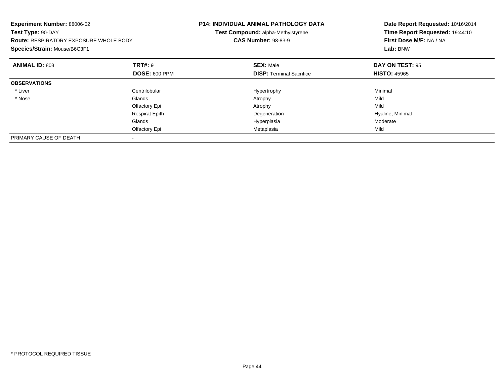| Experiment Number: 88006-02<br>Test Type: 90-DAY<br><b>Route: RESPIRATORY EXPOSURE WHOLE BODY</b><br>Species/Strain: Mouse/B6C3F1 |                       | <b>P14: INDIVIDUAL ANIMAL PATHOLOGY DATA</b><br>Test Compound: alpha-Methylstyrene<br><b>CAS Number: 98-83-9</b> | Date Report Requested: 10/16/2014<br>Time Report Requested: 19:44:10<br>First Dose M/F: NA / NA<br>Lab: BNW |
|-----------------------------------------------------------------------------------------------------------------------------------|-----------------------|------------------------------------------------------------------------------------------------------------------|-------------------------------------------------------------------------------------------------------------|
| <b>ANIMAL ID: 803</b>                                                                                                             | <b>TRT#: 9</b>        | <b>SEX: Male</b>                                                                                                 | DAY ON TEST: 95                                                                                             |
|                                                                                                                                   | <b>DOSE: 600 PPM</b>  | <b>DISP:</b> Terminal Sacrifice                                                                                  | <b>HISTO: 45965</b>                                                                                         |
| <b>OBSERVATIONS</b>                                                                                                               |                       |                                                                                                                  |                                                                                                             |
| * Liver                                                                                                                           | Centrilobular         | Hypertrophy                                                                                                      | Minimal                                                                                                     |
| * Nose                                                                                                                            | Glands                | Atrophy                                                                                                          | Mild                                                                                                        |
|                                                                                                                                   | Olfactory Epi         | Atrophy                                                                                                          | Mild                                                                                                        |
|                                                                                                                                   | <b>Respirat Epith</b> | Degeneration                                                                                                     | Hyaline, Minimal                                                                                            |
|                                                                                                                                   | Glands                | Hyperplasia                                                                                                      | Moderate                                                                                                    |
|                                                                                                                                   | Olfactory Epi         | Metaplasia                                                                                                       | Mild                                                                                                        |
| PRIMARY CAUSE OF DEATH                                                                                                            |                       |                                                                                                                  |                                                                                                             |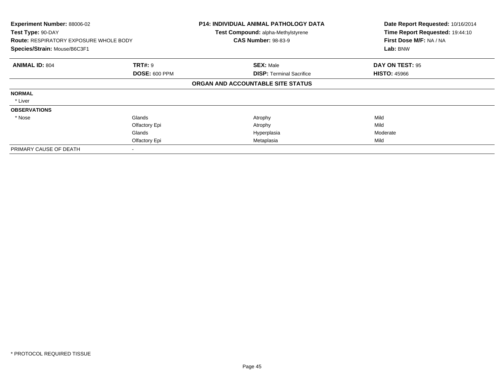| <b>Experiment Number: 88006-02</b><br>Test Type: 90-DAY<br><b>Route: RESPIRATORY EXPOSURE WHOLE BODY</b><br>Species/Strain: Mouse/B6C3F1 |                                        | <b>P14: INDIVIDUAL ANIMAL PATHOLOGY DATA</b><br>Test Compound: alpha-Methylstyrene<br><b>CAS Number: 98-83-9</b> | Date Report Requested: 10/16/2014<br>Time Report Requested: 19:44:10<br>First Dose M/F: NA / NA<br>Lab: BNW |
|------------------------------------------------------------------------------------------------------------------------------------------|----------------------------------------|------------------------------------------------------------------------------------------------------------------|-------------------------------------------------------------------------------------------------------------|
| <b>ANIMAL ID: 804</b>                                                                                                                    | <b>TRT#: 9</b><br><b>DOSE: 600 PPM</b> | <b>SEX: Male</b><br><b>DISP:</b> Terminal Sacrifice                                                              | DAY ON TEST: 95<br><b>HISTO: 45966</b>                                                                      |
|                                                                                                                                          |                                        | ORGAN AND ACCOUNTABLE SITE STATUS                                                                                |                                                                                                             |
| <b>NORMAL</b>                                                                                                                            |                                        |                                                                                                                  |                                                                                                             |
| * Liver                                                                                                                                  |                                        |                                                                                                                  |                                                                                                             |
| <b>OBSERVATIONS</b>                                                                                                                      |                                        |                                                                                                                  |                                                                                                             |
| * Nose                                                                                                                                   | Glands                                 | Atrophy                                                                                                          | Mild                                                                                                        |
|                                                                                                                                          | Olfactory Epi                          | Atrophy                                                                                                          | Mild                                                                                                        |
|                                                                                                                                          | Glands                                 | Hyperplasia                                                                                                      | Moderate                                                                                                    |
|                                                                                                                                          | Olfactory Epi                          | Metaplasia                                                                                                       | Mild                                                                                                        |
| PRIMARY CAUSE OF DEATH                                                                                                                   |                                        |                                                                                                                  |                                                                                                             |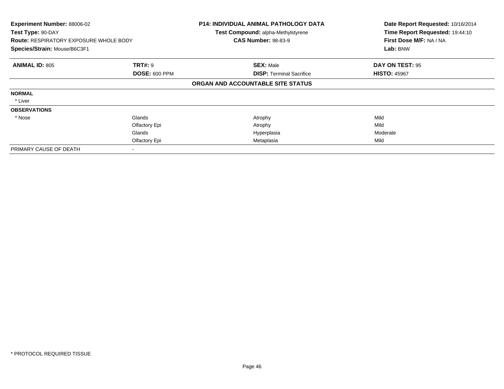| Experiment Number: 88006-02<br>Test Type: 90-DAY<br><b>Route: RESPIRATORY EXPOSURE WHOLE BODY</b><br>Species/Strain: Mouse/B6C3F1 |                      | <b>P14: INDIVIDUAL ANIMAL PATHOLOGY DATA</b><br>Test Compound: alpha-Methylstyrene<br><b>CAS Number: 98-83-9</b> | Date Report Requested: 10/16/2014<br>Time Report Requested: 19:44:10<br>First Dose M/F: NA / NA<br>Lab: BNW |
|-----------------------------------------------------------------------------------------------------------------------------------|----------------------|------------------------------------------------------------------------------------------------------------------|-------------------------------------------------------------------------------------------------------------|
| <b>ANIMAL ID: 805</b>                                                                                                             | <b>TRT#: 9</b>       | <b>SEX: Male</b>                                                                                                 | DAY ON TEST: 95                                                                                             |
|                                                                                                                                   | <b>DOSE: 600 PPM</b> | <b>DISP: Terminal Sacrifice</b>                                                                                  | <b>HISTO: 45967</b>                                                                                         |
|                                                                                                                                   |                      | ORGAN AND ACCOUNTABLE SITE STATUS                                                                                |                                                                                                             |
| <b>NORMAL</b>                                                                                                                     |                      |                                                                                                                  |                                                                                                             |
| * Liver                                                                                                                           |                      |                                                                                                                  |                                                                                                             |
| <b>OBSERVATIONS</b>                                                                                                               |                      |                                                                                                                  |                                                                                                             |
| * Nose                                                                                                                            | Glands               | Atrophy                                                                                                          | Mild                                                                                                        |
|                                                                                                                                   | Olfactory Epi        | Atrophy                                                                                                          | Mild                                                                                                        |
|                                                                                                                                   | Glands               | Hyperplasia                                                                                                      | Moderate                                                                                                    |
|                                                                                                                                   | Olfactory Epi        | Metaplasia                                                                                                       | Mild                                                                                                        |
| PRIMARY CAUSE OF DEATH                                                                                                            |                      |                                                                                                                  |                                                                                                             |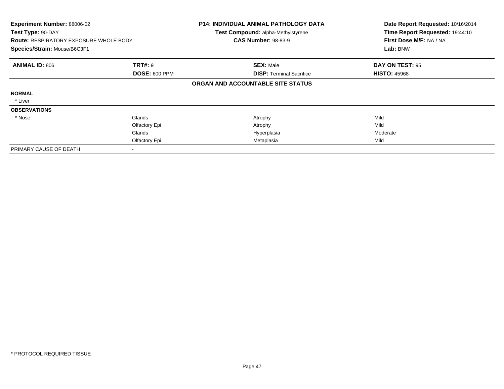| Experiment Number: 88006-02<br>Test Type: 90-DAY<br><b>Route: RESPIRATORY EXPOSURE WHOLE BODY</b><br>Species/Strain: Mouse/B6C3F1 |                                        | <b>P14: INDIVIDUAL ANIMAL PATHOLOGY DATA</b><br>Test Compound: alpha-Methylstyrene<br><b>CAS Number: 98-83-9</b> | Date Report Requested: 10/16/2014<br>Time Report Requested: 19:44:10<br>First Dose M/F: NA / NA<br>Lab: BNW |
|-----------------------------------------------------------------------------------------------------------------------------------|----------------------------------------|------------------------------------------------------------------------------------------------------------------|-------------------------------------------------------------------------------------------------------------|
| <b>ANIMAL ID: 806</b>                                                                                                             | <b>TRT#: 9</b><br><b>DOSE: 600 PPM</b> | <b>SEX: Male</b><br><b>DISP: Terminal Sacrifice</b>                                                              | DAY ON TEST: 95<br><b>HISTO: 45968</b>                                                                      |
|                                                                                                                                   |                                        | ORGAN AND ACCOUNTABLE SITE STATUS                                                                                |                                                                                                             |
| <b>NORMAL</b>                                                                                                                     |                                        |                                                                                                                  |                                                                                                             |
| * Liver                                                                                                                           |                                        |                                                                                                                  |                                                                                                             |
| <b>OBSERVATIONS</b>                                                                                                               |                                        |                                                                                                                  |                                                                                                             |
| * Nose                                                                                                                            | Glands                                 | Atrophy                                                                                                          | Mild                                                                                                        |
|                                                                                                                                   | Olfactory Epi                          | Atrophy                                                                                                          | Mild                                                                                                        |
|                                                                                                                                   | Glands                                 | Hyperplasia                                                                                                      | Moderate                                                                                                    |
|                                                                                                                                   | Olfactory Epi                          | Metaplasia                                                                                                       | Mild                                                                                                        |
| PRIMARY CAUSE OF DEATH                                                                                                            |                                        |                                                                                                                  |                                                                                                             |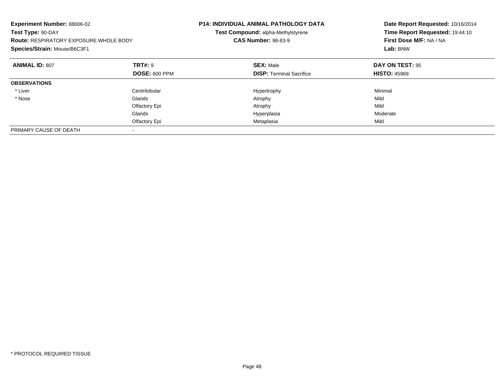| Experiment Number: 88006-02<br>Test Type: 90-DAY<br><b>Route: RESPIRATORY EXPOSURE WHOLE BODY</b><br>Species/Strain: Mouse/B6C3F1 |                      | P14: INDIVIDUAL ANIMAL PATHOLOGY DATA<br>Test Compound: alpha-Methylstyrene<br><b>CAS Number: 98-83-9</b> | Date Report Requested: 10/16/2014<br>Time Report Requested: 19:44:10<br>First Dose M/F: NA / NA<br>Lab: BNW |
|-----------------------------------------------------------------------------------------------------------------------------------|----------------------|-----------------------------------------------------------------------------------------------------------|-------------------------------------------------------------------------------------------------------------|
| <b>ANIMAL ID: 807</b>                                                                                                             | TRT#: 9              | <b>SEX: Male</b>                                                                                          | DAY ON TEST: 95                                                                                             |
|                                                                                                                                   | <b>DOSE: 600 PPM</b> | <b>DISP:</b> Terminal Sacrifice                                                                           | <b>HISTO: 45969</b>                                                                                         |
| <b>OBSERVATIONS</b>                                                                                                               |                      |                                                                                                           |                                                                                                             |
| * Liver                                                                                                                           | Centrilobular        | Hypertrophy                                                                                               | Minimal                                                                                                     |
| * Nose                                                                                                                            | Glands               | Atrophy                                                                                                   | Mild                                                                                                        |
|                                                                                                                                   | Olfactory Epi        | Atrophy                                                                                                   | Mild                                                                                                        |
|                                                                                                                                   | Glands               | Hyperplasia                                                                                               | Moderate                                                                                                    |
|                                                                                                                                   | Olfactory Epi        | Metaplasia                                                                                                | Mild                                                                                                        |
| PRIMARY CAUSE OF DEATH                                                                                                            |                      |                                                                                                           |                                                                                                             |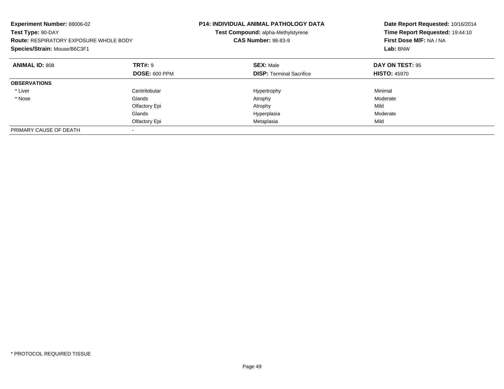| Experiment Number: 88006-02<br>Test Type: 90-DAY<br><b>Route: RESPIRATORY EXPOSURE WHOLE BODY</b><br>Species/Strain: Mouse/B6C3F1 |                      | P14: INDIVIDUAL ANIMAL PATHOLOGY DATA<br>Test Compound: alpha-Methylstyrene<br><b>CAS Number: 98-83-9</b> | Date Report Requested: 10/16/2014<br>Time Report Requested: 19:44:10<br>First Dose M/F: NA / NA<br>Lab: BNW |
|-----------------------------------------------------------------------------------------------------------------------------------|----------------------|-----------------------------------------------------------------------------------------------------------|-------------------------------------------------------------------------------------------------------------|
| <b>ANIMAL ID: 808</b>                                                                                                             | TRT#: 9              | <b>SEX: Male</b>                                                                                          | DAY ON TEST: 95                                                                                             |
|                                                                                                                                   | <b>DOSE: 600 PPM</b> | <b>DISP:</b> Terminal Sacrifice                                                                           | <b>HISTO: 45970</b>                                                                                         |
| <b>OBSERVATIONS</b>                                                                                                               |                      |                                                                                                           |                                                                                                             |
| * Liver                                                                                                                           | Centrilobular        | Hypertrophy                                                                                               | Minimal                                                                                                     |
| * Nose                                                                                                                            | Glands               | Atrophy                                                                                                   | Moderate                                                                                                    |
|                                                                                                                                   | Olfactory Epi        | Atrophy                                                                                                   | Mild                                                                                                        |
|                                                                                                                                   | Glands               | Hyperplasia                                                                                               | Moderate                                                                                                    |
|                                                                                                                                   | Olfactory Epi        | Metaplasia                                                                                                | Mild                                                                                                        |
| PRIMARY CAUSE OF DEATH                                                                                                            |                      |                                                                                                           |                                                                                                             |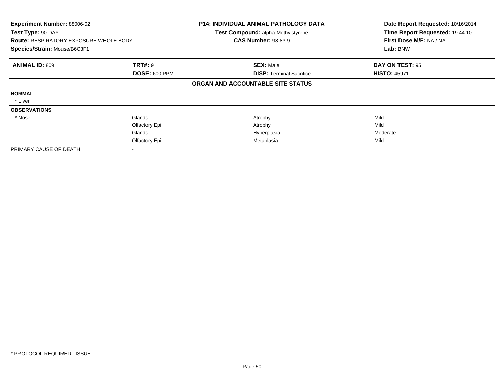| Experiment Number: 88006-02<br>Test Type: 90-DAY<br><b>Route: RESPIRATORY EXPOSURE WHOLE BODY</b><br>Species/Strain: Mouse/B6C3F1 |                      | <b>P14: INDIVIDUAL ANIMAL PATHOLOGY DATA</b><br>Test Compound: alpha-Methylstyrene<br><b>CAS Number: 98-83-9</b> | Date Report Requested: 10/16/2014<br>Time Report Requested: 19:44:10<br>First Dose M/F: NA / NA<br>Lab: BNW |  |
|-----------------------------------------------------------------------------------------------------------------------------------|----------------------|------------------------------------------------------------------------------------------------------------------|-------------------------------------------------------------------------------------------------------------|--|
| <b>TRT#: 9</b><br><b>ANIMAL ID: 809</b>                                                                                           |                      | <b>SEX: Male</b>                                                                                                 | DAY ON TEST: 95                                                                                             |  |
|                                                                                                                                   | <b>DOSE: 600 PPM</b> | <b>DISP: Terminal Sacrifice</b><br>ORGAN AND ACCOUNTABLE SITE STATUS                                             | <b>HISTO: 45971</b>                                                                                         |  |
| <b>NORMAL</b>                                                                                                                     |                      |                                                                                                                  |                                                                                                             |  |
| * Liver                                                                                                                           |                      |                                                                                                                  |                                                                                                             |  |
| <b>OBSERVATIONS</b>                                                                                                               |                      |                                                                                                                  |                                                                                                             |  |
| * Nose                                                                                                                            | Glands               | Atrophy                                                                                                          | Mild                                                                                                        |  |
|                                                                                                                                   | Olfactory Epi        | Atrophy                                                                                                          | Mild                                                                                                        |  |
|                                                                                                                                   | Glands               | Hyperplasia                                                                                                      | Moderate                                                                                                    |  |
|                                                                                                                                   | Olfactory Epi        | Metaplasia                                                                                                       | Mild                                                                                                        |  |
| PRIMARY CAUSE OF DEATH                                                                                                            |                      |                                                                                                                  |                                                                                                             |  |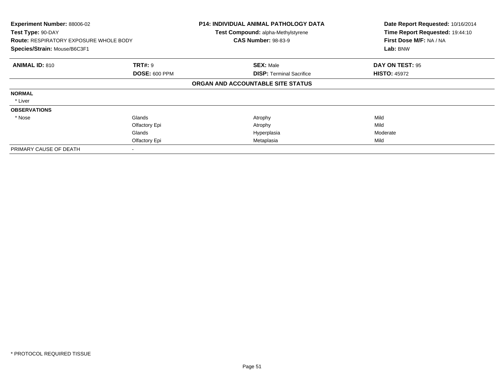| Experiment Number: 88006-02<br>Test Type: 90-DAY<br><b>Route: RESPIRATORY EXPOSURE WHOLE BODY</b><br>Species/Strain: Mouse/B6C3F1 |                      | <b>P14: INDIVIDUAL ANIMAL PATHOLOGY DATA</b><br>Test Compound: alpha-Methylstyrene<br><b>CAS Number: 98-83-9</b> | Date Report Requested: 10/16/2014<br>Time Report Requested: 19:44:10<br>First Dose M/F: NA / NA<br>Lab: BNW |  |
|-----------------------------------------------------------------------------------------------------------------------------------|----------------------|------------------------------------------------------------------------------------------------------------------|-------------------------------------------------------------------------------------------------------------|--|
| <b>ANIMAL ID: 810</b>                                                                                                             | <b>TRT#: 9</b>       | <b>SEX: Male</b>                                                                                                 | DAY ON TEST: 95                                                                                             |  |
|                                                                                                                                   | <b>DOSE: 600 PPM</b> | <b>DISP: Terminal Sacrifice</b>                                                                                  | <b>HISTO: 45972</b>                                                                                         |  |
|                                                                                                                                   |                      | ORGAN AND ACCOUNTABLE SITE STATUS                                                                                |                                                                                                             |  |
| <b>NORMAL</b>                                                                                                                     |                      |                                                                                                                  |                                                                                                             |  |
| * Liver                                                                                                                           |                      |                                                                                                                  |                                                                                                             |  |
| <b>OBSERVATIONS</b>                                                                                                               |                      |                                                                                                                  |                                                                                                             |  |
| * Nose                                                                                                                            | Glands               | Atrophy                                                                                                          | Mild                                                                                                        |  |
|                                                                                                                                   | Olfactory Epi        | Atrophy                                                                                                          | Mild                                                                                                        |  |
|                                                                                                                                   | Glands               | Hyperplasia                                                                                                      | Moderate                                                                                                    |  |
|                                                                                                                                   | Olfactory Epi        | Metaplasia                                                                                                       | Mild                                                                                                        |  |
| PRIMARY CAUSE OF DEATH                                                                                                            |                      |                                                                                                                  |                                                                                                             |  |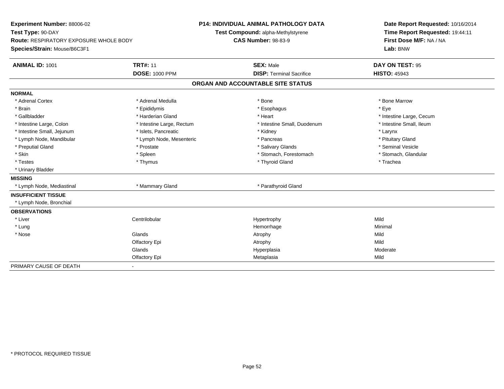| <b>Experiment Number: 88006-02</b><br>Test Type: 90-DAY |                           | <b>P14: INDIVIDUAL ANIMAL PATHOLOGY DATA</b> | Date Report Requested: 10/16/2014 |
|---------------------------------------------------------|---------------------------|----------------------------------------------|-----------------------------------|
|                                                         |                           | Test Compound: alpha-Methylstyrene           | Time Report Requested: 19:44:11   |
| <b>Route: RESPIRATORY EXPOSURE WHOLE BODY</b>           |                           | <b>CAS Number: 98-83-9</b>                   | First Dose M/F: NA / NA           |
| Species/Strain: Mouse/B6C3F1                            |                           |                                              | Lab: BNW                          |
| <b>ANIMAL ID: 1001</b>                                  | <b>TRT#: 11</b>           | <b>SEX: Male</b>                             | DAY ON TEST: 95                   |
|                                                         | <b>DOSE: 1000 PPM</b>     | <b>DISP: Terminal Sacrifice</b>              | <b>HISTO: 45943</b>               |
|                                                         |                           | ORGAN AND ACCOUNTABLE SITE STATUS            |                                   |
| <b>NORMAL</b>                                           |                           |                                              |                                   |
| * Adrenal Cortex                                        | * Adrenal Medulla         | * Bone                                       | * Bone Marrow                     |
| * Brain                                                 | * Epididymis              | * Esophagus                                  | * Eve                             |
| * Gallbladder                                           | * Harderian Gland         | * Heart                                      | * Intestine Large, Cecum          |
| * Intestine Large, Colon                                | * Intestine Large, Rectum | * Intestine Small, Duodenum                  | * Intestine Small, Ileum          |
| * Intestine Small, Jejunum                              | * Islets, Pancreatic      | * Kidney                                     | * Larynx                          |
| * Lymph Node, Mandibular                                | * Lymph Node, Mesenteric  | * Pancreas                                   | * Pituitary Gland                 |
| * Preputial Gland                                       | * Prostate                | * Salivary Glands                            | * Seminal Vesicle                 |
| * Skin                                                  | * Spleen                  | * Stomach, Forestomach                       | * Stomach, Glandular              |
| * Testes                                                | * Thymus                  | * Thyroid Gland                              | * Trachea                         |
| * Urinary Bladder                                       |                           |                                              |                                   |
| <b>MISSING</b>                                          |                           |                                              |                                   |
| * Lymph Node, Mediastinal                               | * Mammary Gland           | * Parathyroid Gland                          |                                   |
| <b>INSUFFICIENT TISSUE</b>                              |                           |                                              |                                   |
| * Lymph Node, Bronchial                                 |                           |                                              |                                   |
| <b>OBSERVATIONS</b>                                     |                           |                                              |                                   |
| * Liver                                                 | Centrilobular             | Hypertrophy                                  | Mild                              |
| * Lung                                                  |                           | Hemorrhage                                   | Minimal                           |
| * Nose                                                  | Glands                    | Atrophy                                      | Mild                              |
|                                                         | Olfactory Epi             | Atrophy                                      | Mild                              |
|                                                         | Glands                    | Hyperplasia                                  | Moderate                          |
|                                                         | Olfactory Epi             | Metaplasia                                   | Mild                              |
| PRIMARY CAUSE OF DEATH                                  |                           |                                              |                                   |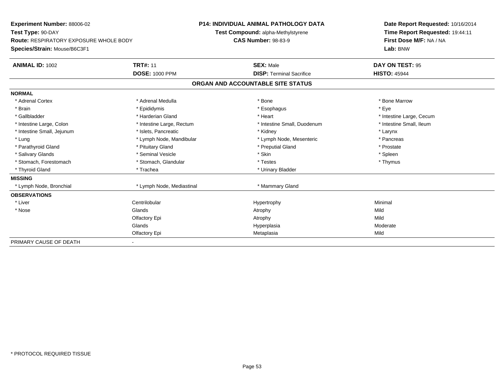| Experiment Number: 88006-02                   |                           | <b>P14: INDIVIDUAL ANIMAL PATHOLOGY DATA</b> |                                    | Date Report Requested: 10/16/2014 |                                 |  |
|-----------------------------------------------|---------------------------|----------------------------------------------|------------------------------------|-----------------------------------|---------------------------------|--|
| Test Type: 90-DAY                             |                           |                                              | Test Compound: alpha-Methylstyrene |                                   | Time Report Requested: 19:44:11 |  |
| <b>Route: RESPIRATORY EXPOSURE WHOLE BODY</b> |                           | <b>CAS Number: 98-83-9</b>                   |                                    |                                   | First Dose M/F: NA / NA         |  |
| Species/Strain: Mouse/B6C3F1                  |                           |                                              |                                    |                                   | Lab: BNW                        |  |
| <b>ANIMAL ID: 1002</b>                        | <b>TRT#: 11</b>           |                                              | <b>SEX: Male</b>                   |                                   | DAY ON TEST: 95                 |  |
|                                               | <b>DOSE: 1000 PPM</b>     |                                              | <b>DISP: Terminal Sacrifice</b>    |                                   | <b>HISTO: 45944</b>             |  |
|                                               |                           |                                              | ORGAN AND ACCOUNTABLE SITE STATUS  |                                   |                                 |  |
| <b>NORMAL</b>                                 |                           |                                              |                                    |                                   |                                 |  |
| * Adrenal Cortex                              | * Adrenal Medulla         |                                              | * Bone                             |                                   | * Bone Marrow                   |  |
| * Brain                                       | * Epididymis              |                                              | * Esophagus                        |                                   | * Eve                           |  |
| * Gallbladder                                 | * Harderian Gland         |                                              | * Heart                            |                                   | * Intestine Large, Cecum        |  |
| * Intestine Large, Colon                      | * Intestine Large, Rectum |                                              | * Intestine Small, Duodenum        |                                   | * Intestine Small, Ileum        |  |
| * Intestine Small, Jejunum                    | * Islets, Pancreatic      |                                              | * Kidney                           |                                   | * Larynx                        |  |
| * Lung                                        | * Lymph Node, Mandibular  |                                              | * Lymph Node, Mesenteric           |                                   | * Pancreas                      |  |
| * Parathyroid Gland                           | * Pituitary Gland         |                                              | * Preputial Gland                  |                                   | * Prostate                      |  |
| * Salivary Glands                             | * Seminal Vesicle         |                                              | * Skin                             |                                   | * Spleen                        |  |
| * Stomach, Forestomach                        | * Stomach, Glandular      |                                              | * Testes                           |                                   | * Thymus                        |  |
| * Thyroid Gland                               | * Trachea                 |                                              | * Urinary Bladder                  |                                   |                                 |  |
| <b>MISSING</b>                                |                           |                                              |                                    |                                   |                                 |  |
| * Lymph Node, Bronchial                       | * Lymph Node, Mediastinal |                                              | * Mammary Gland                    |                                   |                                 |  |
| <b>OBSERVATIONS</b>                           |                           |                                              |                                    |                                   |                                 |  |
| * Liver                                       | Centrilobular             |                                              | Hypertrophy                        |                                   | Minimal                         |  |
| * Nose                                        | Glands                    |                                              | Atrophy                            |                                   | Mild                            |  |
|                                               | Olfactory Epi             |                                              | Atrophy                            |                                   | Mild                            |  |
|                                               | Glands                    |                                              | Hyperplasia                        |                                   | Moderate                        |  |
|                                               | Olfactory Epi             |                                              | Metaplasia                         |                                   | Mild                            |  |
| PRIMARY CAUSE OF DEATH                        |                           |                                              |                                    |                                   |                                 |  |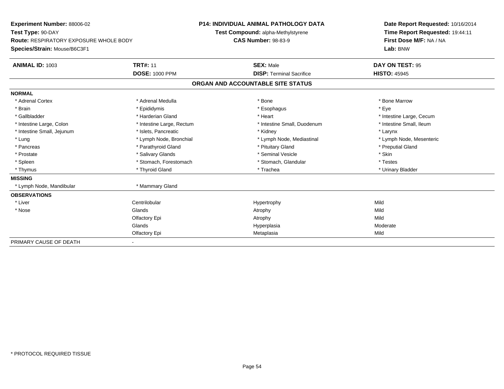| <b>Experiment Number: 88006-02</b>            | <b>P14: INDIVIDUAL ANIMAL PATHOLOGY DATA</b> |                                    |                                   |  | Date Report Requested: 10/16/2014<br>Time Report Requested: 19:44:11 |  |  |
|-----------------------------------------------|----------------------------------------------|------------------------------------|-----------------------------------|--|----------------------------------------------------------------------|--|--|
| Test Type: 90-DAY                             |                                              | Test Compound: alpha-Methylstyrene |                                   |  |                                                                      |  |  |
| <b>Route: RESPIRATORY EXPOSURE WHOLE BODY</b> |                                              | <b>CAS Number: 98-83-9</b>         |                                   |  | First Dose M/F: NA / NA                                              |  |  |
| Species/Strain: Mouse/B6C3F1                  |                                              |                                    |                                   |  | Lab: BNW                                                             |  |  |
| <b>ANIMAL ID: 1003</b>                        | <b>TRT#: 11</b>                              |                                    | <b>SEX: Male</b>                  |  | DAY ON TEST: 95                                                      |  |  |
|                                               | <b>DOSE: 1000 PPM</b>                        |                                    | <b>DISP: Terminal Sacrifice</b>   |  | <b>HISTO: 45945</b>                                                  |  |  |
|                                               |                                              |                                    | ORGAN AND ACCOUNTABLE SITE STATUS |  |                                                                      |  |  |
| <b>NORMAL</b>                                 |                                              |                                    |                                   |  |                                                                      |  |  |
| * Adrenal Cortex                              | * Adrenal Medulla                            |                                    | * Bone                            |  | * Bone Marrow                                                        |  |  |
| * Brain                                       | * Epididymis                                 |                                    | * Esophagus                       |  | * Eve                                                                |  |  |
| * Gallbladder                                 | * Harderian Gland                            |                                    | * Heart                           |  | * Intestine Large, Cecum                                             |  |  |
| * Intestine Large, Colon                      | * Intestine Large, Rectum                    |                                    | * Intestine Small, Duodenum       |  | * Intestine Small, Ileum                                             |  |  |
| * Intestine Small, Jejunum                    | * Islets, Pancreatic                         |                                    | * Kidney                          |  | * Larynx                                                             |  |  |
| * Lung                                        | * Lymph Node, Bronchial                      |                                    | * Lymph Node, Mediastinal         |  | * Lymph Node, Mesenteric                                             |  |  |
| * Pancreas                                    | * Parathyroid Gland                          |                                    | * Pituitary Gland                 |  | * Preputial Gland                                                    |  |  |
| * Prostate                                    | * Salivary Glands                            |                                    | * Seminal Vesicle                 |  | * Skin                                                               |  |  |
| * Spleen                                      | * Stomach, Forestomach                       |                                    | * Stomach, Glandular              |  | * Testes                                                             |  |  |
| * Thymus                                      | * Thyroid Gland                              |                                    | * Trachea                         |  | * Urinary Bladder                                                    |  |  |
| <b>MISSING</b>                                |                                              |                                    |                                   |  |                                                                      |  |  |
| * Lymph Node, Mandibular                      | * Mammary Gland                              |                                    |                                   |  |                                                                      |  |  |
| <b>OBSERVATIONS</b>                           |                                              |                                    |                                   |  |                                                                      |  |  |
| * Liver                                       | Centrilobular                                |                                    | Hypertrophy                       |  | Mild                                                                 |  |  |
| * Nose                                        | Glands                                       |                                    | Atrophy                           |  | Mild                                                                 |  |  |
|                                               | Olfactory Epi                                |                                    | Atrophy                           |  | Mild                                                                 |  |  |
|                                               | Glands                                       |                                    | Hyperplasia                       |  | Moderate                                                             |  |  |
|                                               | Olfactory Epi                                |                                    | Metaplasia                        |  | Mild                                                                 |  |  |
| PRIMARY CAUSE OF DEATH                        |                                              |                                    |                                   |  |                                                                      |  |  |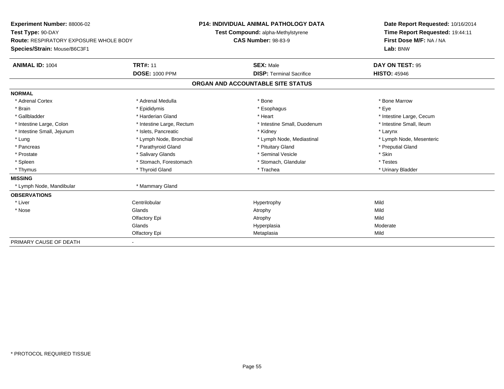| Experiment Number: 88006-02                   |                           | <b>P14: INDIVIDUAL ANIMAL PATHOLOGY DATA</b> |                                    | Date Report Requested: 10/16/2014 |                                 |  |
|-----------------------------------------------|---------------------------|----------------------------------------------|------------------------------------|-----------------------------------|---------------------------------|--|
| Test Type: 90-DAY                             |                           |                                              | Test Compound: alpha-Methylstyrene |                                   | Time Report Requested: 19:44:11 |  |
| <b>Route: RESPIRATORY EXPOSURE WHOLE BODY</b> |                           | <b>CAS Number: 98-83-9</b>                   |                                    |                                   | First Dose M/F: NA / NA         |  |
| Species/Strain: Mouse/B6C3F1                  |                           |                                              |                                    |                                   | Lab: BNW                        |  |
| <b>ANIMAL ID: 1004</b>                        | <b>TRT#: 11</b>           |                                              | <b>SEX: Male</b>                   |                                   | DAY ON TEST: 95                 |  |
|                                               | <b>DOSE: 1000 PPM</b>     |                                              | <b>DISP: Terminal Sacrifice</b>    |                                   | <b>HISTO: 45946</b>             |  |
|                                               |                           |                                              | ORGAN AND ACCOUNTABLE SITE STATUS  |                                   |                                 |  |
| <b>NORMAL</b>                                 |                           |                                              |                                    |                                   |                                 |  |
| * Adrenal Cortex                              | * Adrenal Medulla         |                                              | * Bone                             |                                   | * Bone Marrow                   |  |
| * Brain                                       | * Epididymis              |                                              | * Esophagus                        |                                   | * Eve                           |  |
| * Gallbladder                                 | * Harderian Gland         |                                              | * Heart                            |                                   | * Intestine Large, Cecum        |  |
| * Intestine Large, Colon                      | * Intestine Large, Rectum |                                              | * Intestine Small, Duodenum        |                                   | * Intestine Small, Ileum        |  |
| * Intestine Small, Jejunum                    | * Islets, Pancreatic      |                                              | * Kidney                           |                                   | * Larynx                        |  |
| * Lung                                        | * Lymph Node, Bronchial   |                                              | * Lymph Node, Mediastinal          |                                   | * Lymph Node, Mesenteric        |  |
| * Pancreas                                    | * Parathyroid Gland       |                                              | * Pituitary Gland                  |                                   | * Preputial Gland               |  |
| * Prostate                                    | * Salivary Glands         |                                              | * Seminal Vesicle                  |                                   | * Skin                          |  |
| * Spleen                                      | * Stomach, Forestomach    |                                              | * Stomach, Glandular               |                                   | * Testes                        |  |
| * Thymus                                      | * Thyroid Gland           |                                              | * Trachea                          |                                   | * Urinary Bladder               |  |
| <b>MISSING</b>                                |                           |                                              |                                    |                                   |                                 |  |
| * Lymph Node, Mandibular                      | * Mammary Gland           |                                              |                                    |                                   |                                 |  |
| <b>OBSERVATIONS</b>                           |                           |                                              |                                    |                                   |                                 |  |
| * Liver                                       | Centrilobular             |                                              | Hypertrophy                        |                                   | Mild                            |  |
| * Nose                                        | Glands                    |                                              | Atrophy                            |                                   | Mild                            |  |
|                                               | Olfactory Epi             |                                              | Atrophy                            |                                   | Mild                            |  |
|                                               | Glands                    |                                              | Hyperplasia                        |                                   | Moderate                        |  |
|                                               | Olfactory Epi             |                                              | Metaplasia                         |                                   | Mild                            |  |
| PRIMARY CAUSE OF DEATH                        |                           |                                              |                                    |                                   |                                 |  |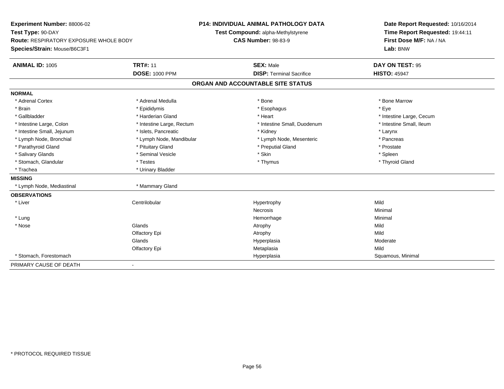| <b>Experiment Number: 88006-02</b><br>Test Type: 90-DAY |                           | <b>P14: INDIVIDUAL ANIMAL PATHOLOGY DATA</b> | Date Report Requested: 10/16/2014<br>Time Report Requested: 19:44:11 |  |  |
|---------------------------------------------------------|---------------------------|----------------------------------------------|----------------------------------------------------------------------|--|--|
|                                                         |                           | Test Compound: alpha-Methylstyrene           |                                                                      |  |  |
| Route: RESPIRATORY EXPOSURE WHOLE BODY                  |                           | <b>CAS Number: 98-83-9</b>                   | First Dose M/F: NA / NA                                              |  |  |
| Species/Strain: Mouse/B6C3F1                            |                           |                                              | Lab: BNW                                                             |  |  |
| <b>ANIMAL ID: 1005</b>                                  | <b>TRT#: 11</b>           | <b>SEX: Male</b>                             | DAY ON TEST: 95                                                      |  |  |
|                                                         | <b>DOSE: 1000 PPM</b>     | <b>DISP: Terminal Sacrifice</b>              | <b>HISTO: 45947</b>                                                  |  |  |
|                                                         |                           | ORGAN AND ACCOUNTABLE SITE STATUS            |                                                                      |  |  |
| <b>NORMAL</b>                                           |                           |                                              |                                                                      |  |  |
| * Adrenal Cortex                                        | * Adrenal Medulla         | * Bone                                       | * Bone Marrow                                                        |  |  |
| * Brain                                                 | * Epididymis              | * Esophagus                                  | * Eye                                                                |  |  |
| * Gallbladder                                           | * Harderian Gland         | * Heart                                      | * Intestine Large, Cecum                                             |  |  |
| * Intestine Large, Colon                                | * Intestine Large, Rectum | * Intestine Small, Duodenum                  | * Intestine Small, Ileum                                             |  |  |
| * Intestine Small, Jejunum                              | * Islets. Pancreatic      | * Kidney                                     | * Larynx                                                             |  |  |
| * Lymph Node, Bronchial                                 | * Lymph Node, Mandibular  | * Lymph Node, Mesenteric                     | * Pancreas                                                           |  |  |
| * Parathyroid Gland                                     | * Pituitary Gland         | * Preputial Gland                            | * Prostate                                                           |  |  |
| * Salivary Glands                                       | * Seminal Vesicle         | * Skin                                       | * Spleen                                                             |  |  |
| * Stomach, Glandular                                    | * Testes                  | * Thymus                                     | * Thyroid Gland                                                      |  |  |
| * Trachea                                               | * Urinary Bladder         |                                              |                                                                      |  |  |
| <b>MISSING</b>                                          |                           |                                              |                                                                      |  |  |
| * Lymph Node, Mediastinal                               | * Mammary Gland           |                                              |                                                                      |  |  |
| <b>OBSERVATIONS</b>                                     |                           |                                              |                                                                      |  |  |
| * Liver                                                 | Centrilobular             | Hypertrophy                                  | Mild                                                                 |  |  |
|                                                         |                           | Necrosis                                     | Minimal                                                              |  |  |
| * Lung                                                  |                           | Hemorrhage                                   | Minimal                                                              |  |  |
| * Nose                                                  | Glands                    | Atrophy                                      | Mild                                                                 |  |  |
|                                                         | Olfactory Epi             | Atrophy                                      | Mild                                                                 |  |  |
|                                                         | Glands                    | Hyperplasia                                  | Moderate                                                             |  |  |
|                                                         | Olfactory Epi             | Metaplasia                                   | Mild                                                                 |  |  |
| * Stomach, Forestomach                                  |                           | Hyperplasia                                  | Squamous, Minimal                                                    |  |  |
| PRIMARY CAUSE OF DEATH                                  |                           |                                              |                                                                      |  |  |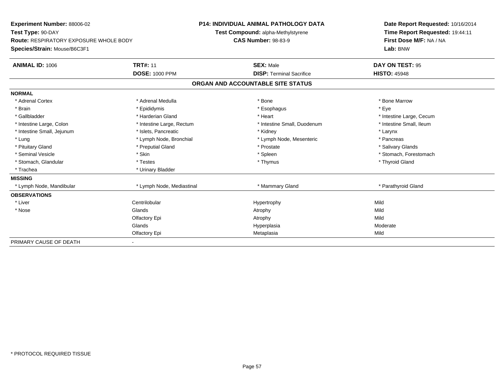| <b>Experiment Number: 88006-02</b>            |                           |                            | <b>P14: INDIVIDUAL ANIMAL PATHOLOGY DATA</b> |  | Date Report Requested: 10/16/2014 |  |  |
|-----------------------------------------------|---------------------------|----------------------------|----------------------------------------------|--|-----------------------------------|--|--|
| Test Type: 90-DAY                             |                           |                            | Test Compound: alpha-Methylstyrene           |  | Time Report Requested: 19:44:11   |  |  |
| <b>Route: RESPIRATORY EXPOSURE WHOLE BODY</b> |                           | <b>CAS Number: 98-83-9</b> |                                              |  | First Dose M/F: NA / NA           |  |  |
| Species/Strain: Mouse/B6C3F1                  |                           |                            |                                              |  | Lab: BNW                          |  |  |
| <b>ANIMAL ID: 1006</b>                        | <b>TRT#: 11</b>           |                            | <b>SEX: Male</b>                             |  | DAY ON TEST: 95                   |  |  |
|                                               | <b>DOSE: 1000 PPM</b>     |                            | <b>DISP: Terminal Sacrifice</b>              |  | <b>HISTO: 45948</b>               |  |  |
|                                               |                           |                            | ORGAN AND ACCOUNTABLE SITE STATUS            |  |                                   |  |  |
| <b>NORMAL</b>                                 |                           |                            |                                              |  |                                   |  |  |
| * Adrenal Cortex                              | * Adrenal Medulla         |                            | * Bone                                       |  | * Bone Marrow                     |  |  |
| * Brain                                       | * Epididymis              |                            | * Esophagus                                  |  | * Eve                             |  |  |
| * Gallbladder                                 | * Harderian Gland         |                            | * Heart                                      |  | * Intestine Large, Cecum          |  |  |
| * Intestine Large, Colon                      | * Intestine Large, Rectum |                            | * Intestine Small, Duodenum                  |  | * Intestine Small, Ileum          |  |  |
| * Intestine Small, Jejunum                    | * Islets, Pancreatic      |                            | * Kidney                                     |  | * Larynx                          |  |  |
| * Lung                                        | * Lymph Node, Bronchial   |                            | * Lymph Node, Mesenteric                     |  | * Pancreas                        |  |  |
| * Pituitary Gland                             | * Preputial Gland         |                            | * Prostate                                   |  | * Salivary Glands                 |  |  |
| * Seminal Vesicle                             | * Skin                    |                            | * Spleen                                     |  | * Stomach, Forestomach            |  |  |
| * Stomach, Glandular                          | * Testes                  |                            | * Thymus                                     |  | * Thyroid Gland                   |  |  |
| * Trachea                                     | * Urinary Bladder         |                            |                                              |  |                                   |  |  |
| <b>MISSING</b>                                |                           |                            |                                              |  |                                   |  |  |
| * Lymph Node, Mandibular                      | * Lymph Node, Mediastinal |                            | * Mammary Gland                              |  | * Parathyroid Gland               |  |  |
| <b>OBSERVATIONS</b>                           |                           |                            |                                              |  |                                   |  |  |
| * Liver                                       | Centrilobular             |                            | Hypertrophy                                  |  | Mild                              |  |  |
| * Nose                                        | Glands                    |                            | Atrophy                                      |  | Mild                              |  |  |
|                                               | Olfactory Epi             |                            | Atrophy                                      |  | Mild                              |  |  |
|                                               | Glands                    |                            | Hyperplasia                                  |  | Moderate                          |  |  |
|                                               | Olfactory Epi             |                            | Metaplasia                                   |  | Mild                              |  |  |
| PRIMARY CAUSE OF DEATH                        |                           |                            |                                              |  |                                   |  |  |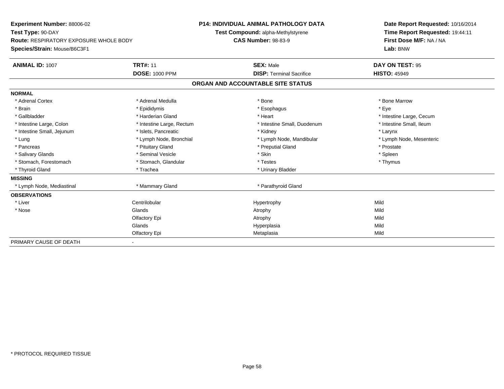| Experiment Number: 88006-02                   |                           |                            | <b>P14: INDIVIDUAL ANIMAL PATHOLOGY DATA</b> |  | Date Report Requested: 10/16/2014 |  |  |
|-----------------------------------------------|---------------------------|----------------------------|----------------------------------------------|--|-----------------------------------|--|--|
| Test Type: 90-DAY                             |                           |                            | Test Compound: alpha-Methylstyrene           |  | Time Report Requested: 19:44:11   |  |  |
| <b>Route: RESPIRATORY EXPOSURE WHOLE BODY</b> |                           | <b>CAS Number: 98-83-9</b> |                                              |  | First Dose M/F: NA / NA           |  |  |
| Species/Strain: Mouse/B6C3F1                  |                           |                            |                                              |  | Lab: BNW                          |  |  |
| <b>ANIMAL ID: 1007</b>                        | <b>TRT#: 11</b>           |                            | <b>SEX: Male</b>                             |  | DAY ON TEST: 95                   |  |  |
|                                               | <b>DOSE: 1000 PPM</b>     |                            | <b>DISP: Terminal Sacrifice</b>              |  | <b>HISTO: 45949</b>               |  |  |
|                                               |                           |                            | ORGAN AND ACCOUNTABLE SITE STATUS            |  |                                   |  |  |
| <b>NORMAL</b>                                 |                           |                            |                                              |  |                                   |  |  |
| * Adrenal Cortex                              | * Adrenal Medulla         |                            | * Bone                                       |  | * Bone Marrow                     |  |  |
| * Brain                                       | * Epididymis              |                            | * Esophagus                                  |  | * Eve                             |  |  |
| * Gallbladder                                 | * Harderian Gland         |                            | * Heart                                      |  | * Intestine Large, Cecum          |  |  |
| * Intestine Large, Colon                      | * Intestine Large, Rectum |                            | * Intestine Small, Duodenum                  |  | * Intestine Small, Ileum          |  |  |
| * Intestine Small, Jejunum                    | * Islets, Pancreatic      |                            | * Kidney                                     |  | * Larynx                          |  |  |
| * Lung                                        | * Lymph Node, Bronchial   |                            | * Lymph Node, Mandibular                     |  | * Lymph Node, Mesenteric          |  |  |
| * Pancreas                                    | * Pituitary Gland         |                            | * Preputial Gland                            |  | * Prostate                        |  |  |
| * Salivary Glands                             | * Seminal Vesicle         |                            | * Skin                                       |  | * Spleen                          |  |  |
| * Stomach, Forestomach                        | * Stomach, Glandular      |                            | * Testes                                     |  | * Thymus                          |  |  |
| * Thyroid Gland                               | * Trachea                 |                            | * Urinary Bladder                            |  |                                   |  |  |
| <b>MISSING</b>                                |                           |                            |                                              |  |                                   |  |  |
| * Lymph Node, Mediastinal                     | * Mammary Gland           |                            | * Parathyroid Gland                          |  |                                   |  |  |
| <b>OBSERVATIONS</b>                           |                           |                            |                                              |  |                                   |  |  |
| * Liver                                       | Centrilobular             |                            | Hypertrophy                                  |  | Mild                              |  |  |
| * Nose                                        | Glands                    |                            | Atrophy                                      |  | Mild                              |  |  |
|                                               | Olfactory Epi             |                            | Atrophy                                      |  | Mild                              |  |  |
|                                               | Glands                    |                            | Hyperplasia                                  |  | Mild                              |  |  |
|                                               | Olfactory Epi             |                            | Metaplasia                                   |  | Mild                              |  |  |
| PRIMARY CAUSE OF DEATH                        |                           |                            |                                              |  |                                   |  |  |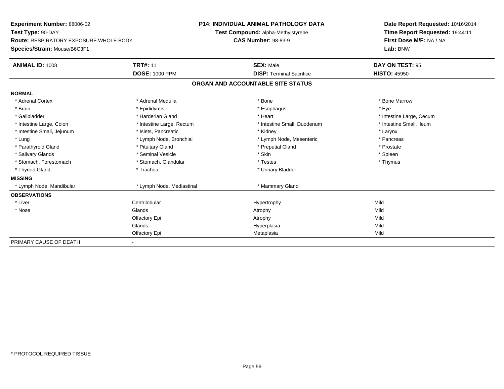| Experiment Number: 88006-02                   |                           | <b>P14: INDIVIDUAL ANIMAL PATHOLOGY DATA</b> |                                    | Date Report Requested: 10/16/2014 |                                 |  |
|-----------------------------------------------|---------------------------|----------------------------------------------|------------------------------------|-----------------------------------|---------------------------------|--|
| Test Type: 90-DAY                             |                           |                                              | Test Compound: alpha-Methylstyrene |                                   | Time Report Requested: 19:44:11 |  |
| <b>Route: RESPIRATORY EXPOSURE WHOLE BODY</b> |                           | <b>CAS Number: 98-83-9</b>                   |                                    |                                   | First Dose M/F: NA / NA         |  |
| Species/Strain: Mouse/B6C3F1                  |                           |                                              |                                    |                                   | Lab: BNW                        |  |
| <b>ANIMAL ID: 1008</b>                        | <b>TRT#: 11</b>           |                                              | <b>SEX: Male</b>                   |                                   | DAY ON TEST: 95                 |  |
|                                               | <b>DOSE: 1000 PPM</b>     |                                              | <b>DISP: Terminal Sacrifice</b>    |                                   | <b>HISTO: 45950</b>             |  |
|                                               |                           |                                              | ORGAN AND ACCOUNTABLE SITE STATUS  |                                   |                                 |  |
| <b>NORMAL</b>                                 |                           |                                              |                                    |                                   |                                 |  |
| * Adrenal Cortex                              | * Adrenal Medulla         |                                              | * Bone                             |                                   | * Bone Marrow                   |  |
| * Brain                                       | * Epididymis              |                                              | * Esophagus                        |                                   | * Eve                           |  |
| * Gallbladder                                 | * Harderian Gland         |                                              | * Heart                            |                                   | * Intestine Large, Cecum        |  |
| * Intestine Large, Colon                      | * Intestine Large, Rectum |                                              | * Intestine Small, Duodenum        |                                   | * Intestine Small, Ileum        |  |
| * Intestine Small, Jejunum                    | * Islets, Pancreatic      |                                              | * Kidney                           |                                   | * Larynx                        |  |
| * Lung                                        | * Lymph Node, Bronchial   |                                              | * Lymph Node, Mesenteric           |                                   | * Pancreas                      |  |
| * Parathyroid Gland                           | * Pituitary Gland         |                                              | * Preputial Gland                  |                                   | * Prostate                      |  |
| * Salivary Glands                             | * Seminal Vesicle         |                                              | * Skin                             |                                   | * Spleen                        |  |
| * Stomach, Forestomach                        | * Stomach, Glandular      |                                              | * Testes                           |                                   | * Thymus                        |  |
| * Thyroid Gland                               | * Trachea                 |                                              | * Urinary Bladder                  |                                   |                                 |  |
| <b>MISSING</b>                                |                           |                                              |                                    |                                   |                                 |  |
| * Lymph Node, Mandibular                      | * Lymph Node, Mediastinal |                                              | * Mammary Gland                    |                                   |                                 |  |
| <b>OBSERVATIONS</b>                           |                           |                                              |                                    |                                   |                                 |  |
| * Liver                                       | Centrilobular             |                                              | Hypertrophy                        |                                   | Mild                            |  |
| * Nose                                        | Glands                    |                                              | Atrophy                            |                                   | Mild                            |  |
|                                               | Olfactory Epi             |                                              | Atrophy                            |                                   | Mild                            |  |
|                                               | Glands                    |                                              | Hyperplasia                        |                                   | Mild                            |  |
|                                               | Olfactory Epi             |                                              | Metaplasia                         |                                   | Mild                            |  |
| PRIMARY CAUSE OF DEATH                        |                           |                                              |                                    |                                   |                                 |  |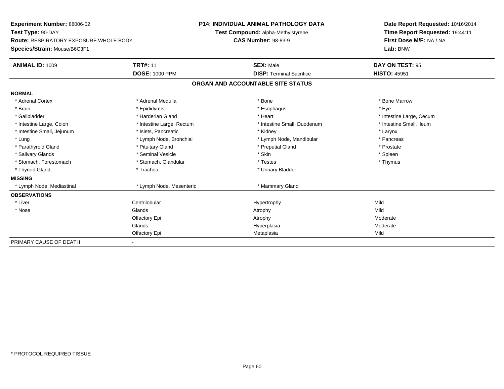| <b>Experiment Number: 88006-02</b>            | <b>P14: INDIVIDUAL ANIMAL PATHOLOGY DATA</b> |                            |                                    |  | Date Report Requested: 10/16/2014 |  |  |
|-----------------------------------------------|----------------------------------------------|----------------------------|------------------------------------|--|-----------------------------------|--|--|
| Test Type: 90-DAY                             |                                              |                            | Test Compound: alpha-Methylstyrene |  | Time Report Requested: 19:44:11   |  |  |
| <b>Route: RESPIRATORY EXPOSURE WHOLE BODY</b> |                                              | <b>CAS Number: 98-83-9</b> |                                    |  | First Dose M/F: NA / NA           |  |  |
| Species/Strain: Mouse/B6C3F1                  |                                              |                            |                                    |  | Lab: BNW                          |  |  |
| <b>ANIMAL ID: 1009</b>                        | <b>TRT#: 11</b>                              |                            | <b>SEX: Male</b>                   |  | DAY ON TEST: 95                   |  |  |
|                                               | <b>DOSE: 1000 PPM</b>                        |                            | <b>DISP: Terminal Sacrifice</b>    |  | <b>HISTO: 45951</b>               |  |  |
|                                               |                                              |                            | ORGAN AND ACCOUNTABLE SITE STATUS  |  |                                   |  |  |
| <b>NORMAL</b>                                 |                                              |                            |                                    |  |                                   |  |  |
| * Adrenal Cortex                              | * Adrenal Medulla                            |                            | * Bone                             |  | * Bone Marrow                     |  |  |
| * Brain                                       | * Epididymis                                 |                            | * Esophagus                        |  | * Eve                             |  |  |
| * Gallbladder                                 | * Harderian Gland                            |                            | * Heart                            |  | * Intestine Large, Cecum          |  |  |
| * Intestine Large, Colon                      | * Intestine Large, Rectum                    |                            | * Intestine Small, Duodenum        |  | * Intestine Small, Ileum          |  |  |
| * Intestine Small, Jejunum                    | * Islets, Pancreatic                         |                            | * Kidney                           |  | * Larynx                          |  |  |
| * Lung                                        | * Lymph Node, Bronchial                      |                            | * Lymph Node, Mandibular           |  | * Pancreas                        |  |  |
| * Parathyroid Gland                           | * Pituitary Gland                            |                            | * Preputial Gland                  |  | * Prostate                        |  |  |
| * Salivary Glands                             | * Seminal Vesicle                            |                            | * Skin                             |  | * Spleen                          |  |  |
| * Stomach, Forestomach                        | * Stomach, Glandular                         |                            | * Testes                           |  | * Thymus                          |  |  |
| * Thyroid Gland                               | * Trachea                                    |                            | * Urinary Bladder                  |  |                                   |  |  |
| <b>MISSING</b>                                |                                              |                            |                                    |  |                                   |  |  |
| * Lymph Node, Mediastinal                     | * Lymph Node, Mesenteric                     |                            | * Mammary Gland                    |  |                                   |  |  |
| <b>OBSERVATIONS</b>                           |                                              |                            |                                    |  |                                   |  |  |
| * Liver                                       | Centrilobular                                |                            | Hypertrophy                        |  | Mild                              |  |  |
| * Nose                                        | Glands                                       |                            | Atrophy                            |  | Mild                              |  |  |
|                                               | Olfactory Epi                                |                            | Atrophy                            |  | Moderate                          |  |  |
|                                               | Glands                                       |                            | Hyperplasia                        |  | Moderate                          |  |  |
|                                               | Olfactory Epi                                |                            | Metaplasia                         |  | Mild                              |  |  |
| PRIMARY CAUSE OF DEATH                        |                                              |                            |                                    |  |                                   |  |  |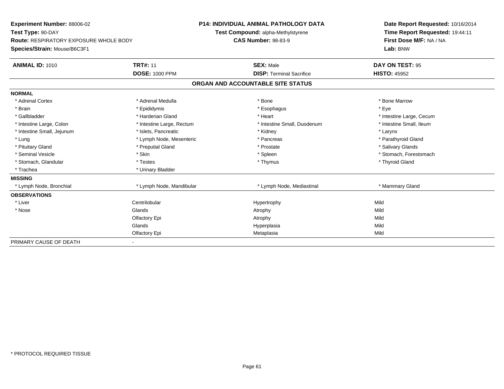| <b>Experiment Number: 88006-02</b>            |                           | <b>P14: INDIVIDUAL ANIMAL PATHOLOGY DATA</b> |                                    |  | Date Report Requested: 10/16/2014 |  |
|-----------------------------------------------|---------------------------|----------------------------------------------|------------------------------------|--|-----------------------------------|--|
| Test Type: 90-DAY                             |                           |                                              | Test Compound: alpha-Methylstyrene |  | Time Report Requested: 19:44:11   |  |
| <b>Route: RESPIRATORY EXPOSURE WHOLE BODY</b> |                           | <b>CAS Number: 98-83-9</b>                   |                                    |  | First Dose M/F: NA / NA           |  |
| Species/Strain: Mouse/B6C3F1                  |                           |                                              |                                    |  | Lab: BNW                          |  |
| <b>ANIMAL ID: 1010</b>                        | <b>TRT#: 11</b>           |                                              | <b>SEX: Male</b>                   |  | DAY ON TEST: 95                   |  |
|                                               | <b>DOSE: 1000 PPM</b>     |                                              | <b>DISP: Terminal Sacrifice</b>    |  | <b>HISTO: 45952</b>               |  |
|                                               |                           |                                              | ORGAN AND ACCOUNTABLE SITE STATUS  |  |                                   |  |
| <b>NORMAL</b>                                 |                           |                                              |                                    |  |                                   |  |
| * Adrenal Cortex                              | * Adrenal Medulla         |                                              | * Bone                             |  | * Bone Marrow                     |  |
| * Brain                                       | * Epididymis              |                                              | * Esophagus                        |  | * Eve                             |  |
| * Gallbladder                                 | * Harderian Gland         |                                              | * Heart                            |  | * Intestine Large, Cecum          |  |
| * Intestine Large, Colon                      | * Intestine Large, Rectum |                                              | * Intestine Small, Duodenum        |  | * Intestine Small, Ileum          |  |
| * Intestine Small, Jejunum                    | * Islets, Pancreatic      |                                              | * Kidney                           |  | * Larynx                          |  |
| * Lung                                        | * Lymph Node, Mesenteric  |                                              | * Pancreas                         |  | * Parathyroid Gland               |  |
| * Pituitary Gland                             | * Preputial Gland         |                                              | * Prostate                         |  | * Salivary Glands                 |  |
| * Seminal Vesicle                             | * Skin                    |                                              | * Spleen                           |  | * Stomach, Forestomach            |  |
| * Stomach, Glandular                          | * Testes                  |                                              | * Thymus                           |  | * Thyroid Gland                   |  |
| * Trachea                                     | * Urinary Bladder         |                                              |                                    |  |                                   |  |
| <b>MISSING</b>                                |                           |                                              |                                    |  |                                   |  |
| * Lymph Node, Bronchial                       | * Lymph Node, Mandibular  |                                              | * Lymph Node, Mediastinal          |  | * Mammary Gland                   |  |
| <b>OBSERVATIONS</b>                           |                           |                                              |                                    |  |                                   |  |
| * Liver                                       | Centrilobular             |                                              | Hypertrophy                        |  | Mild                              |  |
| * Nose                                        | Glands                    |                                              | Atrophy                            |  | Mild                              |  |
|                                               | Olfactory Epi             |                                              | Atrophy                            |  | Mild                              |  |
|                                               | Glands                    |                                              | Hyperplasia                        |  | Mild                              |  |
|                                               | Olfactory Epi             |                                              | Metaplasia                         |  | Mild                              |  |
| PRIMARY CAUSE OF DEATH                        |                           |                                              |                                    |  |                                   |  |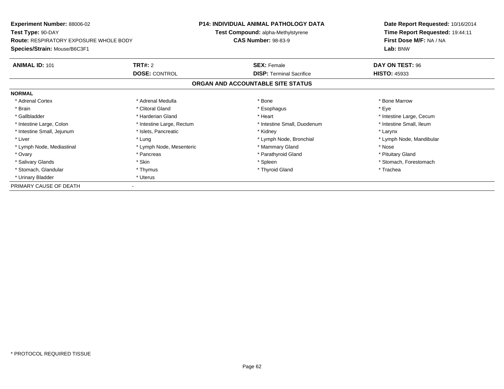| Experiment Number: 88006-02                   |                           | <b>P14: INDIVIDUAL ANIMAL PATHOLOGY DATA</b> | Date Report Requested: 10/16/2014 |
|-----------------------------------------------|---------------------------|----------------------------------------------|-----------------------------------|
| Test Type: 90-DAY                             |                           | Test Compound: alpha-Methylstyrene           | Time Report Requested: 19:44:11   |
| <b>Route: RESPIRATORY EXPOSURE WHOLE BODY</b> |                           | <b>CAS Number: 98-83-9</b>                   | First Dose M/F: NA / NA           |
| Species/Strain: Mouse/B6C3F1                  |                           |                                              | Lab: BNW                          |
| <b>ANIMAL ID: 101</b>                         | <b>TRT#: 2</b>            | <b>SEX: Female</b>                           | DAY ON TEST: 96                   |
|                                               | <b>DOSE: CONTROL</b>      | <b>DISP:</b> Terminal Sacrifice              | <b>HISTO: 45933</b>               |
|                                               |                           | ORGAN AND ACCOUNTABLE SITE STATUS            |                                   |
| <b>NORMAL</b>                                 |                           |                                              |                                   |
| * Adrenal Cortex                              | * Adrenal Medulla         | * Bone                                       | * Bone Marrow                     |
| * Brain                                       | * Clitoral Gland          | * Esophagus                                  | * Eye                             |
| * Gallbladder                                 | * Harderian Gland         | * Heart                                      | * Intestine Large, Cecum          |
| * Intestine Large, Colon                      | * Intestine Large, Rectum | * Intestine Small, Duodenum                  | * Intestine Small, Ileum          |
| * Intestine Small, Jejunum                    | * Islets, Pancreatic      | * Kidney                                     | * Larynx                          |
| * Liver                                       | * Lung                    | * Lymph Node, Bronchial                      | * Lymph Node, Mandibular          |
| * Lymph Node, Mediastinal                     | * Lymph Node, Mesenteric  | * Mammary Gland                              | * Nose                            |
| * Ovary                                       | * Pancreas                | * Parathyroid Gland                          | * Pituitary Gland                 |
| * Salivary Glands                             | * Skin                    | * Spleen                                     | * Stomach, Forestomach            |
| * Stomach, Glandular                          | * Thymus                  | * Thyroid Gland                              | * Trachea                         |
| * Urinary Bladder                             | * Uterus                  |                                              |                                   |
| PRIMARY CAUSE OF DEATH                        |                           |                                              |                                   |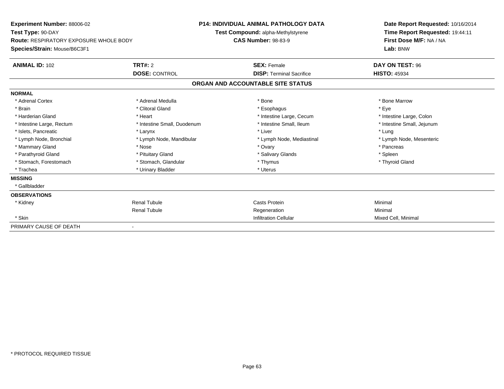| Experiment Number: 88006-02                   |                             | <b>P14: INDIVIDUAL ANIMAL PATHOLOGY DATA</b> | Date Report Requested: 10/16/2014 |
|-----------------------------------------------|-----------------------------|----------------------------------------------|-----------------------------------|
| Test Type: 90-DAY                             |                             | Test Compound: alpha-Methylstyrene           | Time Report Requested: 19:44:11   |
| <b>Route: RESPIRATORY EXPOSURE WHOLE BODY</b> |                             | <b>CAS Number: 98-83-9</b>                   | First Dose M/F: NA / NA           |
| Species/Strain: Mouse/B6C3F1                  |                             |                                              | Lab: BNW                          |
| <b>ANIMAL ID: 102</b>                         | TRT#: 2                     | <b>SEX: Female</b>                           | DAY ON TEST: 96                   |
|                                               | <b>DOSE: CONTROL</b>        | <b>DISP:</b> Terminal Sacrifice              | <b>HISTO: 45934</b>               |
|                                               |                             | ORGAN AND ACCOUNTABLE SITE STATUS            |                                   |
| <b>NORMAL</b>                                 |                             |                                              |                                   |
| * Adrenal Cortex                              | * Adrenal Medulla           | * Bone                                       | * Bone Marrow                     |
| * Brain                                       | * Clitoral Gland            | * Esophagus                                  | * Eye                             |
| * Harderian Gland                             | * Heart                     | * Intestine Large, Cecum                     | * Intestine Large, Colon          |
| * Intestine Large, Rectum                     | * Intestine Small, Duodenum | * Intestine Small, Ileum                     | * Intestine Small, Jejunum        |
| * Islets, Pancreatic                          | * Larynx                    | * Liver                                      | * Lung                            |
| * Lymph Node, Bronchial                       | * Lymph Node, Mandibular    | * Lymph Node, Mediastinal                    | * Lymph Node, Mesenteric          |
| * Mammary Gland                               | * Nose                      | * Ovary                                      | * Pancreas                        |
| * Parathyroid Gland                           | * Pituitary Gland           | * Salivary Glands                            | * Spleen                          |
| * Stomach, Forestomach                        | * Stomach, Glandular        | * Thymus                                     | * Thyroid Gland                   |
| * Trachea                                     | * Urinary Bladder           | * Uterus                                     |                                   |
| <b>MISSING</b>                                |                             |                                              |                                   |
| * Gallbladder                                 |                             |                                              |                                   |
| <b>OBSERVATIONS</b>                           |                             |                                              |                                   |
| * Kidney                                      | Renal Tubule                | <b>Casts Protein</b>                         | Minimal                           |
|                                               | <b>Renal Tubule</b>         | Regeneration                                 | Minimal                           |
| * Skin                                        |                             | <b>Infiltration Cellular</b>                 | Mixed Cell, Minimal               |
| PRIMARY CAUSE OF DEATH                        |                             |                                              |                                   |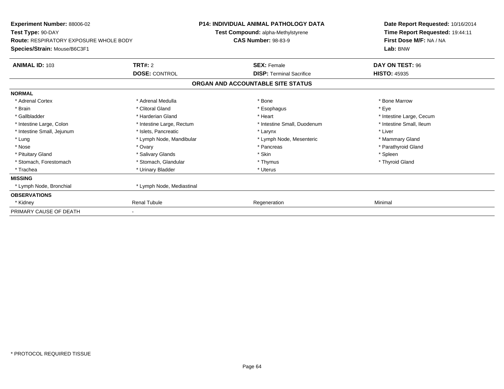| <b>Experiment Number: 88006-02</b><br>Test Type: 90-DAY<br><b>Route: RESPIRATORY EXPOSURE WHOLE BODY</b> |                           | <b>P14: INDIVIDUAL ANIMAL PATHOLOGY DATA</b>                     | Date Report Requested: 10/16/2014<br>Time Report Requested: 19:44:11<br>First Dose M/F: NA / NA<br>Lab: BNW |
|----------------------------------------------------------------------------------------------------------|---------------------------|------------------------------------------------------------------|-------------------------------------------------------------------------------------------------------------|
|                                                                                                          |                           | Test Compound: alpha-Methylstyrene<br><b>CAS Number: 98-83-9</b> |                                                                                                             |
| Species/Strain: Mouse/B6C3F1                                                                             |                           |                                                                  |                                                                                                             |
| <b>ANIMAL ID: 103</b>                                                                                    | TRT#: 2                   | <b>SEX: Female</b>                                               | DAY ON TEST: 96                                                                                             |
|                                                                                                          | <b>DOSE: CONTROL</b>      | <b>DISP: Terminal Sacrifice</b>                                  | <b>HISTO: 45935</b>                                                                                         |
|                                                                                                          |                           | ORGAN AND ACCOUNTABLE SITE STATUS                                |                                                                                                             |
| <b>NORMAL</b>                                                                                            |                           |                                                                  |                                                                                                             |
| * Adrenal Cortex                                                                                         | * Adrenal Medulla         | * Bone                                                           | * Bone Marrow                                                                                               |
| * Brain                                                                                                  | * Clitoral Gland          | * Esophagus                                                      | * Eye                                                                                                       |
| * Gallbladder                                                                                            | * Harderian Gland         | * Heart                                                          | * Intestine Large, Cecum                                                                                    |
| * Intestine Large, Colon                                                                                 | * Intestine Large, Rectum | * Intestine Small, Duodenum                                      | * Intestine Small, Ileum                                                                                    |
| * Intestine Small, Jejunum                                                                               | * Islets, Pancreatic      | * Larynx                                                         | * Liver                                                                                                     |
| * Lung                                                                                                   | * Lymph Node, Mandibular  | * Lymph Node, Mesenteric                                         | * Mammary Gland                                                                                             |
| * Nose                                                                                                   | * Ovary                   | * Pancreas                                                       | * Parathyroid Gland                                                                                         |
| * Pituitary Gland                                                                                        | * Salivary Glands         | * Skin                                                           | * Spleen                                                                                                    |
| * Stomach, Forestomach                                                                                   | * Stomach, Glandular      | * Thymus                                                         | * Thyroid Gland                                                                                             |
| * Trachea                                                                                                | * Urinary Bladder         | * Uterus                                                         |                                                                                                             |
| <b>MISSING</b>                                                                                           |                           |                                                                  |                                                                                                             |
| * Lymph Node, Bronchial                                                                                  | * Lymph Node, Mediastinal |                                                                  |                                                                                                             |
| <b>OBSERVATIONS</b>                                                                                      |                           |                                                                  |                                                                                                             |
| * Kidney                                                                                                 | <b>Renal Tubule</b>       | Regeneration                                                     | Minimal                                                                                                     |
| PRIMARY CAUSE OF DEATH                                                                                   |                           |                                                                  |                                                                                                             |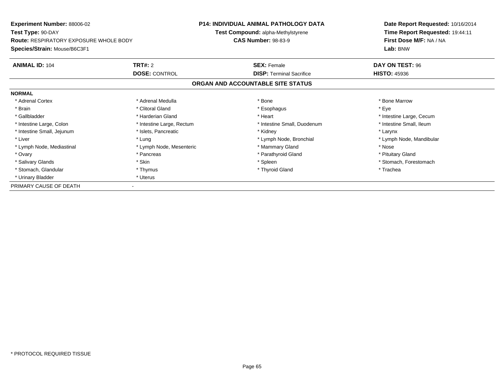| <b>Experiment Number: 88006-02</b><br>Test Type: 90-DAY |                           | <b>P14: INDIVIDUAL ANIMAL PATHOLOGY DATA</b> | Date Report Requested: 10/16/2014<br>Time Report Requested: 19:44:11 |
|---------------------------------------------------------|---------------------------|----------------------------------------------|----------------------------------------------------------------------|
|                                                         |                           | Test Compound: alpha-Methylstyrene           |                                                                      |
| <b>Route: RESPIRATORY EXPOSURE WHOLE BODY</b>           |                           | <b>CAS Number: 98-83-9</b>                   | First Dose M/F: NA / NA                                              |
| Species/Strain: Mouse/B6C3F1                            |                           |                                              | Lab: BNW                                                             |
| <b>ANIMAL ID: 104</b>                                   | <b>TRT#: 2</b>            | <b>SEX: Female</b>                           | DAY ON TEST: 96                                                      |
|                                                         | <b>DOSE: CONTROL</b>      | <b>DISP:</b> Terminal Sacrifice              | <b>HISTO: 45936</b>                                                  |
|                                                         |                           | ORGAN AND ACCOUNTABLE SITE STATUS            |                                                                      |
| <b>NORMAL</b>                                           |                           |                                              |                                                                      |
| * Adrenal Cortex                                        | * Adrenal Medulla         | * Bone                                       | * Bone Marrow                                                        |
| * Brain                                                 | * Clitoral Gland          | * Esophagus                                  | * Eye                                                                |
| * Gallbladder                                           | * Harderian Gland         | * Heart                                      | * Intestine Large, Cecum                                             |
| * Intestine Large, Colon                                | * Intestine Large, Rectum | * Intestine Small, Duodenum                  | * Intestine Small, Ileum                                             |
| * Intestine Small, Jejunum                              | * Islets, Pancreatic      | * Kidney                                     | * Larynx                                                             |
| * Liver                                                 | * Lung                    | * Lymph Node, Bronchial                      | * Lymph Node, Mandibular                                             |
| * Lymph Node, Mediastinal                               | * Lymph Node, Mesenteric  | * Mammary Gland                              | * Nose                                                               |
| * Ovary                                                 | * Pancreas                | * Parathyroid Gland                          | * Pituitary Gland                                                    |
| * Salivary Glands                                       | * Skin                    | * Spleen                                     | * Stomach, Forestomach                                               |
| * Stomach, Glandular                                    | * Thymus                  | * Thyroid Gland                              | * Trachea                                                            |
| * Urinary Bladder                                       | * Uterus                  |                                              |                                                                      |
| PRIMARY CAUSE OF DEATH                                  |                           |                                              |                                                                      |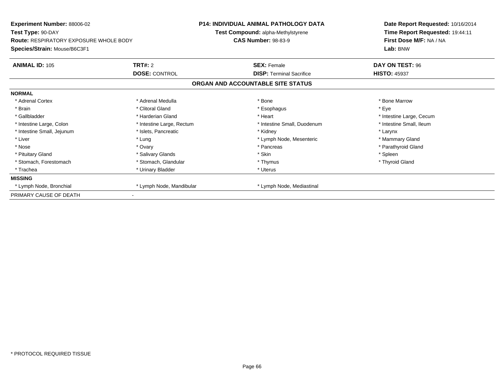| Experiment Number: 88006-02                        |                           | <b>P14: INDIVIDUAL ANIMAL PATHOLOGY DATA</b> | Date Report Requested: 10/16/2014 |
|----------------------------------------------------|---------------------------|----------------------------------------------|-----------------------------------|
| Test Type: 90-DAY                                  |                           | Test Compound: alpha-Methylstyrene           | Time Report Requested: 19:44:11   |
| <b>Route: RESPIRATORY EXPOSURE WHOLE BODY</b>      |                           | <b>CAS Number: 98-83-9</b>                   | First Dose M/F: NA / NA           |
| Species/Strain: Mouse/B6C3F1                       |                           |                                              | Lab: BNW                          |
| <b>ANIMAL ID: 105</b>                              | <b>TRT#: 2</b>            | <b>SEX: Female</b>                           | DAY ON TEST: 96                   |
|                                                    | <b>DOSE: CONTROL</b>      | <b>DISP: Terminal Sacrifice</b>              | <b>HISTO: 45937</b>               |
|                                                    |                           | ORGAN AND ACCOUNTABLE SITE STATUS            |                                   |
| <b>NORMAL</b>                                      |                           |                                              |                                   |
| * Adrenal Cortex                                   | * Adrenal Medulla         | * Bone                                       | * Bone Marrow                     |
| * Brain                                            | * Clitoral Gland          | * Esophagus                                  | * Eye                             |
| * Gallbladder                                      | * Harderian Gland         | * Heart                                      | * Intestine Large, Cecum          |
| * Intestine Large, Colon                           | * Intestine Large, Rectum | * Intestine Small, Duodenum                  | * Intestine Small, Ileum          |
| * Intestine Small, Jejunum                         | * Islets. Pancreatic      | * Kidney                                     | * Larynx                          |
| * Liver                                            | * Lung                    | * Lymph Node, Mesenteric                     | * Mammary Gland                   |
| * Nose                                             | * Ovary                   | * Pancreas                                   | * Parathyroid Gland               |
| * Pituitary Gland                                  | * Salivary Glands         | * Skin                                       | * Spleen                          |
| * Stomach, Forestomach                             | * Stomach, Glandular      | * Thymus                                     | * Thyroid Gland                   |
| * Trachea                                          | * Urinary Bladder         | * Uterus                                     |                                   |
| <b>MISSING</b>                                     |                           |                                              |                                   |
| * Lymph Node, Bronchial                            | * Lymph Node, Mandibular  | * Lymph Node, Mediastinal                    |                                   |
| PRIMARY CAUSE OF DEATH<br>$\overline{\phantom{a}}$ |                           |                                              |                                   |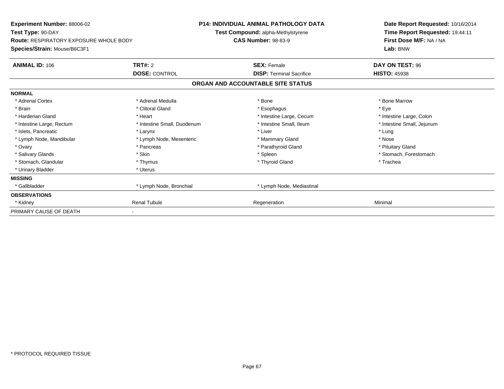| <b>Experiment Number: 88006-02</b><br>Test Type: 90-DAY                       |                             | <b>P14: INDIVIDUAL ANIMAL PATHOLOGY DATA</b><br>Test Compound: alpha-Methylstyrene | Date Report Requested: 10/16/2014<br>Time Report Requested: 19:44:11 |  |
|-------------------------------------------------------------------------------|-----------------------------|------------------------------------------------------------------------------------|----------------------------------------------------------------------|--|
| <b>Route: RESPIRATORY EXPOSURE WHOLE BODY</b><br>Species/Strain: Mouse/B6C3F1 |                             | <b>CAS Number: 98-83-9</b>                                                         | First Dose M/F: NA / NA<br>Lab: BNW                                  |  |
| <b>ANIMAL ID: 106</b>                                                         | TRT#: 2                     | <b>SEX: Female</b>                                                                 | DAY ON TEST: 96                                                      |  |
|                                                                               | <b>DOSE: CONTROL</b>        | <b>DISP: Terminal Sacrifice</b>                                                    | <b>HISTO: 45938</b>                                                  |  |
|                                                                               |                             | ORGAN AND ACCOUNTABLE SITE STATUS                                                  |                                                                      |  |
| <b>NORMAL</b>                                                                 |                             |                                                                                    |                                                                      |  |
| * Adrenal Cortex                                                              | * Adrenal Medulla           | * Bone                                                                             | * Bone Marrow                                                        |  |
| * Brain                                                                       | * Clitoral Gland            | * Esophagus                                                                        | * Eye                                                                |  |
| * Harderian Gland                                                             | * Heart                     | * Intestine Large, Cecum                                                           | * Intestine Large, Colon                                             |  |
| * Intestine Large, Rectum                                                     | * Intestine Small, Duodenum | * Intestine Small, Ileum                                                           | * Intestine Small, Jejunum                                           |  |
| * Islets, Pancreatic                                                          | * Larynx                    | * Liver                                                                            | * Lung                                                               |  |
| * Lymph Node, Mandibular                                                      | * Lymph Node, Mesenteric    | * Mammary Gland                                                                    | * Nose                                                               |  |
| * Ovary                                                                       | * Pancreas                  | * Parathyroid Gland                                                                | * Pituitary Gland                                                    |  |
| * Salivary Glands                                                             | * Skin                      | * Spleen                                                                           | * Stomach, Forestomach                                               |  |
| * Stomach, Glandular                                                          | * Thymus                    | * Thyroid Gland                                                                    | * Trachea                                                            |  |
| * Urinary Bladder                                                             | * Uterus                    |                                                                                    |                                                                      |  |
| <b>MISSING</b>                                                                |                             |                                                                                    |                                                                      |  |
| * Gallbladder                                                                 | * Lymph Node, Bronchial     | * Lymph Node, Mediastinal                                                          |                                                                      |  |
| <b>OBSERVATIONS</b>                                                           |                             |                                                                                    |                                                                      |  |
| * Kidney                                                                      | <b>Renal Tubule</b>         | Regeneration                                                                       | Minimal                                                              |  |
| PRIMARY CAUSE OF DEATH                                                        |                             |                                                                                    |                                                                      |  |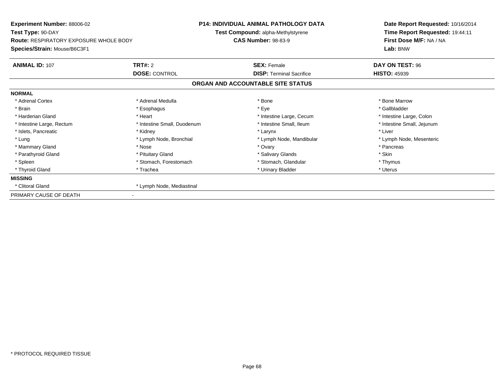| <b>Experiment Number: 88006-02</b><br>Test Type: 90-DAY                       |                             | <b>P14: INDIVIDUAL ANIMAL PATHOLOGY DATA</b><br>Test Compound: alpha-Methylstyrene | Date Report Requested: 10/16/2014<br>Time Report Requested: 19:44:11 |
|-------------------------------------------------------------------------------|-----------------------------|------------------------------------------------------------------------------------|----------------------------------------------------------------------|
| <b>Route: RESPIRATORY EXPOSURE WHOLE BODY</b><br>Species/Strain: Mouse/B6C3F1 |                             | <b>CAS Number: 98-83-9</b>                                                         | First Dose M/F: NA / NA<br>Lab: BNW                                  |
| <b>ANIMAL ID: 107</b>                                                         | <b>TRT#: 2</b>              | <b>SEX: Female</b>                                                                 | DAY ON TEST: 96                                                      |
|                                                                               | <b>DOSE: CONTROL</b>        | <b>DISP: Terminal Sacrifice</b>                                                    | <b>HISTO: 45939</b>                                                  |
|                                                                               |                             | ORGAN AND ACCOUNTABLE SITE STATUS                                                  |                                                                      |
| <b>NORMAL</b>                                                                 |                             |                                                                                    |                                                                      |
| * Adrenal Cortex                                                              | * Adrenal Medulla           | * Bone                                                                             | * Bone Marrow                                                        |
| * Brain                                                                       | * Esophagus                 | * Eye                                                                              | * Gallbladder                                                        |
| * Harderian Gland                                                             | * Heart                     | * Intestine Large, Cecum                                                           | * Intestine Large, Colon                                             |
| * Intestine Large, Rectum                                                     | * Intestine Small, Duodenum | * Intestine Small, Ileum                                                           | * Intestine Small, Jejunum                                           |
| * Islets, Pancreatic                                                          | * Kidney                    | * Larynx                                                                           | * Liver                                                              |
| * Lung                                                                        | * Lymph Node, Bronchial     | * Lymph Node, Mandibular                                                           | * Lymph Node, Mesenteric                                             |
| * Mammary Gland                                                               | * Nose                      | * Ovary                                                                            | * Pancreas                                                           |
| * Parathyroid Gland                                                           | * Pituitary Gland           | * Salivary Glands                                                                  | * Skin                                                               |
| * Spleen                                                                      | * Stomach, Forestomach      | * Stomach, Glandular                                                               | * Thymus                                                             |
| * Thyroid Gland                                                               | * Trachea                   | * Urinary Bladder                                                                  | * Uterus                                                             |
| <b>MISSING</b>                                                                |                             |                                                                                    |                                                                      |
| * Clitoral Gland                                                              | * Lymph Node, Mediastinal   |                                                                                    |                                                                      |
| PRIMARY CAUSE OF DEATH                                                        |                             |                                                                                    |                                                                      |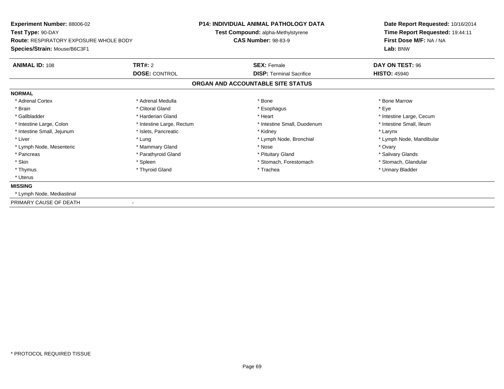| Experiment Number: 88006-02                   |                                    | <b>P14: INDIVIDUAL ANIMAL PATHOLOGY DATA</b> | Date Report Requested: 10/16/2014 |
|-----------------------------------------------|------------------------------------|----------------------------------------------|-----------------------------------|
| Test Type: 90-DAY                             | Test Compound: alpha-Methylstyrene |                                              | Time Report Requested: 19:44:11   |
| <b>Route: RESPIRATORY EXPOSURE WHOLE BODY</b> |                                    | <b>CAS Number: 98-83-9</b>                   | First Dose M/F: NA / NA           |
| Species/Strain: Mouse/B6C3F1                  |                                    |                                              | Lab: BNW                          |
| <b>ANIMAL ID: 108</b>                         | <b>TRT#: 2</b>                     | <b>SEX: Female</b>                           | DAY ON TEST: 96                   |
|                                               | <b>DOSE: CONTROL</b>               | <b>DISP:</b> Terminal Sacrifice              | <b>HISTO: 45940</b>               |
|                                               |                                    | ORGAN AND ACCOUNTABLE SITE STATUS            |                                   |
| <b>NORMAL</b>                                 |                                    |                                              |                                   |
| * Adrenal Cortex                              | * Adrenal Medulla                  | * Bone                                       | * Bone Marrow                     |
| * Brain                                       | * Clitoral Gland                   | * Esophagus                                  | * Eye                             |
| * Gallbladder                                 | * Harderian Gland                  | * Heart                                      | * Intestine Large, Cecum          |
| * Intestine Large, Colon                      | * Intestine Large, Rectum          | * Intestine Small, Duodenum                  | * Intestine Small, Ileum          |
| * Intestine Small, Jejunum                    | * Islets, Pancreatic               | * Kidney                                     | * Larynx                          |
| * Liver                                       | * Lung                             | * Lymph Node, Bronchial                      | * Lymph Node, Mandibular          |
| * Lymph Node, Mesenteric                      | * Mammary Gland                    | * Nose                                       | * Ovary                           |
| * Pancreas                                    | * Parathyroid Gland                | * Pituitary Gland                            | * Salivary Glands                 |
| * Skin                                        | * Spleen                           | * Stomach, Forestomach                       | * Stomach, Glandular              |
| * Thymus                                      | * Thyroid Gland                    | * Trachea                                    | * Urinary Bladder                 |
| * Uterus                                      |                                    |                                              |                                   |
| <b>MISSING</b>                                |                                    |                                              |                                   |
| * Lymph Node, Mediastinal                     |                                    |                                              |                                   |
| PRIMARY CAUSE OF DEATH                        |                                    |                                              |                                   |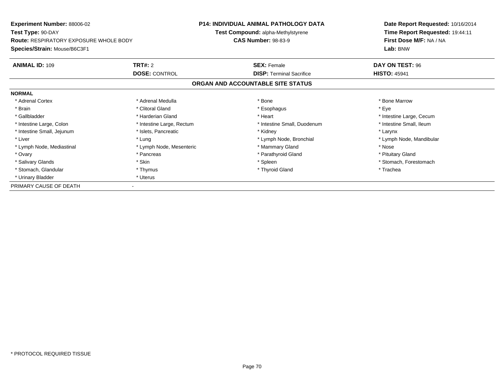| <b>Experiment Number: 88006-02</b><br>Test Type: 90-DAY |                           | <b>P14: INDIVIDUAL ANIMAL PATHOLOGY DATA</b> | Date Report Requested: 10/16/2014<br>Time Report Requested: 19:44:11 |
|---------------------------------------------------------|---------------------------|----------------------------------------------|----------------------------------------------------------------------|
|                                                         |                           | Test Compound: alpha-Methylstyrene           |                                                                      |
| <b>Route: RESPIRATORY EXPOSURE WHOLE BODY</b>           |                           | <b>CAS Number: 98-83-9</b>                   | First Dose M/F: NA / NA                                              |
| Species/Strain: Mouse/B6C3F1                            |                           |                                              | Lab: BNW                                                             |
| <b>ANIMAL ID: 109</b>                                   | <b>TRT#: 2</b>            | <b>SEX: Female</b>                           | DAY ON TEST: 96                                                      |
|                                                         | <b>DOSE: CONTROL</b>      | <b>DISP:</b> Terminal Sacrifice              | <b>HISTO: 45941</b>                                                  |
|                                                         |                           | ORGAN AND ACCOUNTABLE SITE STATUS            |                                                                      |
| <b>NORMAL</b>                                           |                           |                                              |                                                                      |
| * Adrenal Cortex                                        | * Adrenal Medulla         | * Bone                                       | * Bone Marrow                                                        |
| * Brain                                                 | * Clitoral Gland          | * Esophagus                                  | * Eye                                                                |
| * Gallbladder                                           | * Harderian Gland         | * Heart                                      | * Intestine Large, Cecum                                             |
| * Intestine Large, Colon                                | * Intestine Large, Rectum | * Intestine Small, Duodenum                  | * Intestine Small, Ileum                                             |
| * Intestine Small, Jejunum                              | * Islets, Pancreatic      | * Kidney                                     | * Larynx                                                             |
| * Liver                                                 | * Lung                    | * Lymph Node, Bronchial                      | * Lymph Node, Mandibular                                             |
| * Lymph Node, Mediastinal                               | * Lymph Node, Mesenteric  | * Mammary Gland                              | * Nose                                                               |
| * Ovary                                                 | * Pancreas                | * Parathyroid Gland                          | * Pituitary Gland                                                    |
| * Salivary Glands                                       | * Skin                    | * Spleen                                     | * Stomach, Forestomach                                               |
| * Stomach, Glandular                                    | * Thymus                  | * Thyroid Gland                              | * Trachea                                                            |
| * Urinary Bladder                                       | * Uterus                  |                                              |                                                                      |
| PRIMARY CAUSE OF DEATH                                  |                           |                                              |                                                                      |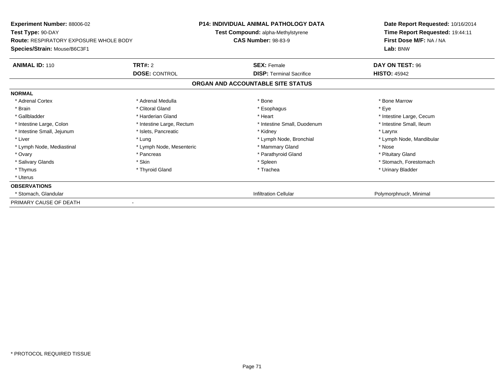| <b>Experiment Number: 88006-02</b>                                 | <b>P14: INDIVIDUAL ANIMAL PATHOLOGY DATA</b> |                                                                         | Date Report Requested: 10/16/2014                          |
|--------------------------------------------------------------------|----------------------------------------------|-------------------------------------------------------------------------|------------------------------------------------------------|
| Test Type: 90-DAY<br><b>Route: RESPIRATORY EXPOSURE WHOLE BODY</b> |                                              | <b>Test Compound: alpha-Methylstyrene</b><br><b>CAS Number: 98-83-9</b> | Time Report Requested: 19:44:11<br>First Dose M/F: NA / NA |
| Species/Strain: Mouse/B6C3F1                                       |                                              |                                                                         | Lab: BNW                                                   |
| <b>ANIMAL ID: 110</b>                                              | TRT#: 2                                      | <b>SEX: Female</b>                                                      | DAY ON TEST: 96                                            |
|                                                                    | <b>DOSE: CONTROL</b>                         | <b>DISP:</b> Terminal Sacrifice                                         | <b>HISTO: 45942</b>                                        |
|                                                                    |                                              | ORGAN AND ACCOUNTABLE SITE STATUS                                       |                                                            |
| <b>NORMAL</b>                                                      |                                              |                                                                         |                                                            |
| * Adrenal Cortex                                                   | * Adrenal Medulla                            | * Bone                                                                  | * Bone Marrow                                              |
| * Brain                                                            | * Clitoral Gland                             | * Esophagus                                                             | * Eye                                                      |
| * Gallbladder                                                      | * Harderian Gland                            | * Heart                                                                 | * Intestine Large, Cecum                                   |
| * Intestine Large, Colon                                           | * Intestine Large, Rectum                    | * Intestine Small, Duodenum                                             | * Intestine Small, Ileum                                   |
| * Intestine Small, Jejunum                                         | * Islets, Pancreatic                         | * Kidney                                                                | * Larynx                                                   |
| * Liver                                                            | * Lung                                       | * Lymph Node, Bronchial                                                 | * Lymph Node, Mandibular                                   |
| * Lymph Node, Mediastinal                                          | * Lymph Node, Mesenteric                     | * Mammary Gland                                                         | * Nose                                                     |
| * Ovary                                                            | * Pancreas                                   | * Parathyroid Gland                                                     | * Pituitary Gland                                          |
| * Salivary Glands                                                  | * Skin                                       | * Spleen                                                                | * Stomach, Forestomach                                     |
| * Thymus                                                           | * Thyroid Gland                              | * Trachea                                                               | * Urinary Bladder                                          |
| * Uterus                                                           |                                              |                                                                         |                                                            |
| <b>OBSERVATIONS</b>                                                |                                              |                                                                         |                                                            |
| * Stomach, Glandular                                               |                                              | <b>Infiltration Cellular</b>                                            | Polymorphnuclr, Minimal                                    |
| PRIMARY CAUSE OF DEATH                                             |                                              |                                                                         |                                                            |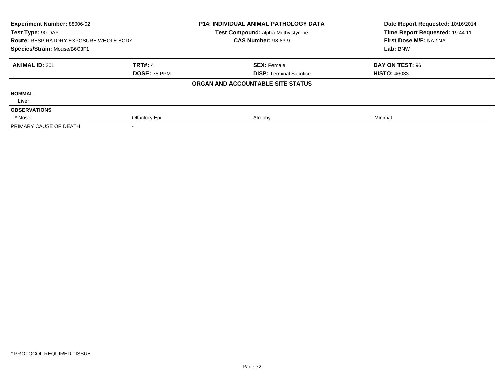| Experiment Number: 88006-02<br>Test Type: 90-DAY |                     | <b>P14: INDIVIDUAL ANIMAL PATHOLOGY DATA</b><br>Test Compound: alpha-Methylstyrene | Date Report Requested: 10/16/2014<br>Time Report Requested: 19:44:11 |
|--------------------------------------------------|---------------------|------------------------------------------------------------------------------------|----------------------------------------------------------------------|
| <b>Route: RESPIRATORY EXPOSURE WHOLE BODY</b>    |                     | <b>CAS Number: 98-83-9</b>                                                         | First Dose M/F: NA / NA                                              |
| Species/Strain: Mouse/B6C3F1                     |                     |                                                                                    | Lab: BNW                                                             |
| <b>ANIMAL ID: 301</b>                            | <b>TRT#: 4</b>      | <b>SEX: Female</b>                                                                 | DAY ON TEST: 96                                                      |
|                                                  | <b>DOSE: 75 PPM</b> | <b>DISP: Terminal Sacrifice</b>                                                    | <b>HISTO: 46033</b>                                                  |
|                                                  |                     | ORGAN AND ACCOUNTABLE SITE STATUS                                                  |                                                                      |
| <b>NORMAL</b>                                    |                     |                                                                                    |                                                                      |
| Liver                                            |                     |                                                                                    |                                                                      |
| <b>OBSERVATIONS</b>                              |                     |                                                                                    |                                                                      |
| * Nose                                           | Olfactory Epi       | Atrophy                                                                            | Minimal                                                              |
| PRIMARY CAUSE OF DEATH                           |                     |                                                                                    |                                                                      |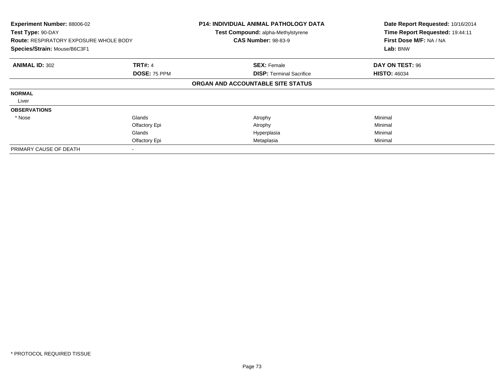| Experiment Number: 88006-02<br>Test Type: 90-DAY<br><b>Route: RESPIRATORY EXPOSURE WHOLE BODY</b><br>Species/Strain: Mouse/B6C3F1 |                     | <b>P14: INDIVIDUAL ANIMAL PATHOLOGY DATA</b><br>Test Compound: alpha-Methylstyrene<br><b>CAS Number: 98-83-9</b> | Date Report Requested: 10/16/2014<br>Time Report Requested: 19:44:11<br>First Dose M/F: NA / NA<br>Lab: BNW |
|-----------------------------------------------------------------------------------------------------------------------------------|---------------------|------------------------------------------------------------------------------------------------------------------|-------------------------------------------------------------------------------------------------------------|
| <b>ANIMAL ID: 302</b>                                                                                                             | <b>TRT#: 4</b>      | <b>SEX: Female</b>                                                                                               | DAY ON TEST: 96                                                                                             |
|                                                                                                                                   | <b>DOSE: 75 PPM</b> | <b>DISP:</b> Terminal Sacrifice                                                                                  | <b>HISTO: 46034</b>                                                                                         |
|                                                                                                                                   |                     | ORGAN AND ACCOUNTABLE SITE STATUS                                                                                |                                                                                                             |
| <b>NORMAL</b>                                                                                                                     |                     |                                                                                                                  |                                                                                                             |
| Liver                                                                                                                             |                     |                                                                                                                  |                                                                                                             |
| <b>OBSERVATIONS</b>                                                                                                               |                     |                                                                                                                  |                                                                                                             |
| * Nose                                                                                                                            | Glands              | Atrophy                                                                                                          | Minimal                                                                                                     |
|                                                                                                                                   | Olfactory Epi       | Atrophy                                                                                                          | Minimal                                                                                                     |
|                                                                                                                                   | Glands              | Hyperplasia                                                                                                      | Minimal                                                                                                     |
|                                                                                                                                   | Olfactory Epi       | Metaplasia                                                                                                       | Minimal                                                                                                     |
| PRIMARY CAUSE OF DEATH                                                                                                            |                     |                                                                                                                  |                                                                                                             |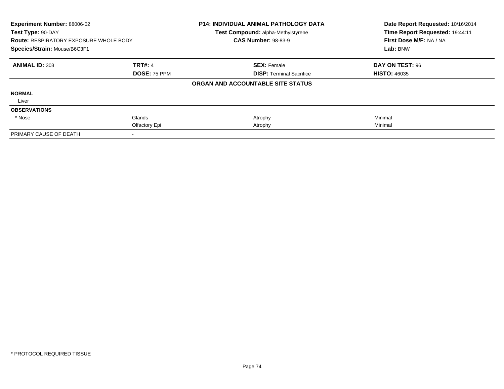| Experiment Number: 88006-02<br>Test Type: 90-DAY<br><b>Route: RESPIRATORY EXPOSURE WHOLE BODY</b><br>Species/Strain: Mouse/B6C3F1 |                     | <b>P14: INDIVIDUAL ANIMAL PATHOLOGY DATA</b><br>Test Compound: alpha-Methylstyrene<br><b>CAS Number: 98-83-9</b> | Date Report Requested: 10/16/2014<br>Time Report Requested: 19:44:11<br>First Dose M/F: NA / NA<br>Lab: BNW |
|-----------------------------------------------------------------------------------------------------------------------------------|---------------------|------------------------------------------------------------------------------------------------------------------|-------------------------------------------------------------------------------------------------------------|
|                                                                                                                                   |                     |                                                                                                                  |                                                                                                             |
| <b>ANIMAL ID: 303</b>                                                                                                             | <b>TRT#: 4</b>      | <b>SEX: Female</b>                                                                                               | DAY ON TEST: 96                                                                                             |
|                                                                                                                                   | <b>DOSE: 75 PPM</b> | <b>DISP:</b> Terminal Sacrifice                                                                                  | <b>HISTO: 46035</b>                                                                                         |
|                                                                                                                                   |                     | ORGAN AND ACCOUNTABLE SITE STATUS                                                                                |                                                                                                             |
| <b>NORMAL</b>                                                                                                                     |                     |                                                                                                                  |                                                                                                             |
| Liver                                                                                                                             |                     |                                                                                                                  |                                                                                                             |
| <b>OBSERVATIONS</b>                                                                                                               |                     |                                                                                                                  |                                                                                                             |
| * Nose                                                                                                                            | Glands              | Atrophy                                                                                                          | Minimal                                                                                                     |
|                                                                                                                                   | Olfactory Epi       | Atrophy                                                                                                          | Minimal                                                                                                     |
| PRIMARY CAUSE OF DEATH                                                                                                            |                     |                                                                                                                  |                                                                                                             |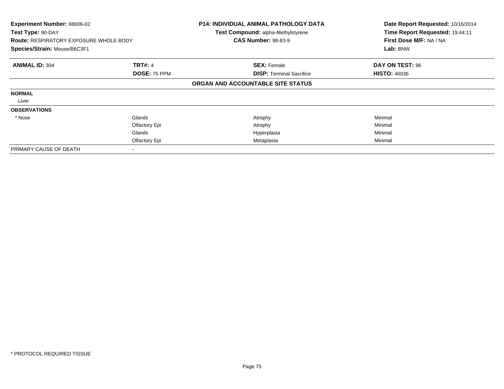| Experiment Number: 88006-02<br>Test Type: 90-DAY<br><b>Route: RESPIRATORY EXPOSURE WHOLE BODY</b><br>Species/Strain: Mouse/B6C3F1 |                     | <b>P14: INDIVIDUAL ANIMAL PATHOLOGY DATA</b><br>Test Compound: alpha-Methylstyrene<br><b>CAS Number: 98-83-9</b> | Date Report Requested: 10/16/2014<br>Time Report Requested: 19:44:11<br>First Dose M/F: NA / NA<br>Lab: BNW |
|-----------------------------------------------------------------------------------------------------------------------------------|---------------------|------------------------------------------------------------------------------------------------------------------|-------------------------------------------------------------------------------------------------------------|
| <b>ANIMAL ID: 304</b>                                                                                                             | <b>TRT#: 4</b>      | <b>SEX: Female</b>                                                                                               | DAY ON TEST: 96                                                                                             |
|                                                                                                                                   | <b>DOSE: 75 PPM</b> | <b>DISP:</b> Terminal Sacrifice                                                                                  | <b>HISTO: 46036</b>                                                                                         |
|                                                                                                                                   |                     | ORGAN AND ACCOUNTABLE SITE STATUS                                                                                |                                                                                                             |
| <b>NORMAL</b>                                                                                                                     |                     |                                                                                                                  |                                                                                                             |
| Liver                                                                                                                             |                     |                                                                                                                  |                                                                                                             |
| <b>OBSERVATIONS</b>                                                                                                               |                     |                                                                                                                  |                                                                                                             |
| * Nose                                                                                                                            | Glands              | Atrophy                                                                                                          | Minimal                                                                                                     |
|                                                                                                                                   | Olfactory Epi       | Atrophy                                                                                                          | Minimal                                                                                                     |
|                                                                                                                                   | Glands              | Hyperplasia                                                                                                      | Minimal                                                                                                     |
|                                                                                                                                   | Olfactory Epi       | Metaplasia                                                                                                       | Minimal                                                                                                     |
| PRIMARY CAUSE OF DEATH                                                                                                            |                     |                                                                                                                  |                                                                                                             |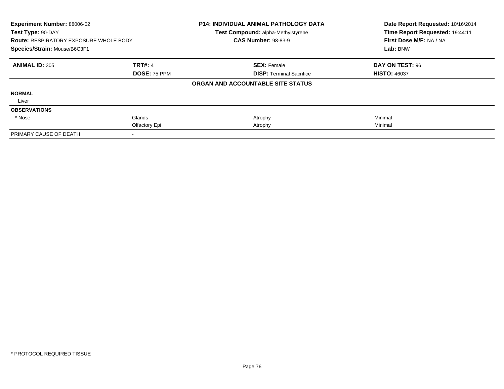| Experiment Number: 88006-02<br>Test Type: 90-DAY<br><b>Route: RESPIRATORY EXPOSURE WHOLE BODY</b><br>Species/Strain: Mouse/B6C3F1 |                | <b>P14: INDIVIDUAL ANIMAL PATHOLOGY DATA</b><br>Test Compound: alpha-Methylstyrene<br><b>CAS Number: 98-83-9</b> | Date Report Requested: 10/16/2014<br>Time Report Requested: 19:44:11 |
|-----------------------------------------------------------------------------------------------------------------------------------|----------------|------------------------------------------------------------------------------------------------------------------|----------------------------------------------------------------------|
|                                                                                                                                   |                |                                                                                                                  | First Dose M/F: NA / NA                                              |
|                                                                                                                                   |                |                                                                                                                  | Lab: BNW                                                             |
| <b>ANIMAL ID: 305</b>                                                                                                             | <b>TRT#: 4</b> | <b>SEX: Female</b>                                                                                               | DAY ON TEST: 96                                                      |
|                                                                                                                                   | DOSE: 75 PPM   | <b>DISP: Terminal Sacrifice</b>                                                                                  | <b>HISTO: 46037</b>                                                  |
|                                                                                                                                   |                | ORGAN AND ACCOUNTABLE SITE STATUS                                                                                |                                                                      |
| <b>NORMAL</b>                                                                                                                     |                |                                                                                                                  |                                                                      |
| Liver                                                                                                                             |                |                                                                                                                  |                                                                      |
| <b>OBSERVATIONS</b>                                                                                                               |                |                                                                                                                  |                                                                      |
| * Nose                                                                                                                            | Glands         | Atrophy                                                                                                          | Minimal                                                              |
|                                                                                                                                   | Olfactory Epi  | Atrophy                                                                                                          | Minimal                                                              |
| PRIMARY CAUSE OF DEATH                                                                                                            |                |                                                                                                                  |                                                                      |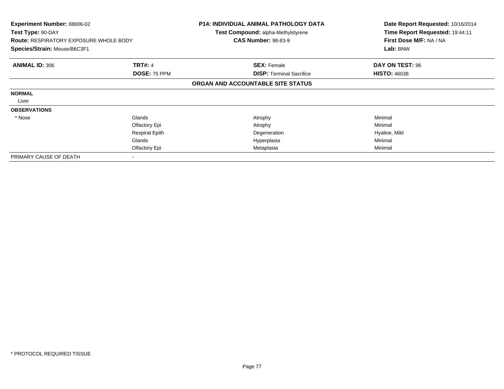| <b>Experiment Number: 88006-02</b><br>Test Type: 90-DAY<br><b>Route: RESPIRATORY EXPOSURE WHOLE BODY</b> |                       | <b>P14: INDIVIDUAL ANIMAL PATHOLOGY DATA</b><br><b>Test Compound: alpha-Methylstyrene</b><br><b>CAS Number: 98-83-9</b> | Date Report Requested: 10/16/2014<br>Time Report Requested: 19:44:11<br>First Dose M/F: NA / NA |
|----------------------------------------------------------------------------------------------------------|-----------------------|-------------------------------------------------------------------------------------------------------------------------|-------------------------------------------------------------------------------------------------|
| Species/Strain: Mouse/B6C3F1                                                                             |                       |                                                                                                                         | Lab: BNW                                                                                        |
| <b>ANIMAL ID: 306</b>                                                                                    | <b>TRT#: 4</b>        | <b>SEX: Female</b>                                                                                                      | DAY ON TEST: 96                                                                                 |
|                                                                                                          | DOSE: 75 PPM          | <b>DISP: Terminal Sacrifice</b>                                                                                         | <b>HISTO: 46038</b>                                                                             |
|                                                                                                          |                       | ORGAN AND ACCOUNTABLE SITE STATUS                                                                                       |                                                                                                 |
| <b>NORMAL</b>                                                                                            |                       |                                                                                                                         |                                                                                                 |
| Liver                                                                                                    |                       |                                                                                                                         |                                                                                                 |
| <b>OBSERVATIONS</b>                                                                                      |                       |                                                                                                                         |                                                                                                 |
| * Nose                                                                                                   | Glands                | Atrophy                                                                                                                 | Minimal                                                                                         |
|                                                                                                          | Olfactory Epi         | Atrophy                                                                                                                 | Minimal                                                                                         |
|                                                                                                          | <b>Respirat Epith</b> | Degeneration                                                                                                            | Hyaline, Mild                                                                                   |
|                                                                                                          | Glands                | Hyperplasia                                                                                                             | Minimal                                                                                         |
|                                                                                                          | Olfactory Epi         | Metaplasia                                                                                                              | Minimal                                                                                         |
| PRIMARY CAUSE OF DEATH                                                                                   |                       |                                                                                                                         |                                                                                                 |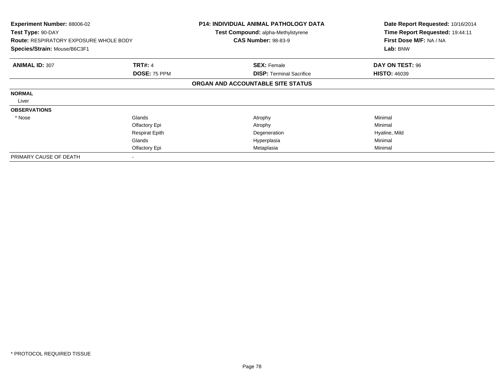| <b>Experiment Number: 88006-02</b><br>Test Type: 90-DAY<br><b>Route: RESPIRATORY EXPOSURE WHOLE BODY</b> |                       | <b>P14: INDIVIDUAL ANIMAL PATHOLOGY DATA</b><br><b>Test Compound: alpha-Methylstyrene</b><br><b>CAS Number: 98-83-9</b> | Date Report Requested: 10/16/2014<br>Time Report Requested: 19:44:11<br>First Dose M/F: NA / NA |
|----------------------------------------------------------------------------------------------------------|-----------------------|-------------------------------------------------------------------------------------------------------------------------|-------------------------------------------------------------------------------------------------|
| Species/Strain: Mouse/B6C3F1                                                                             |                       |                                                                                                                         | Lab: BNW                                                                                        |
| <b>ANIMAL ID: 307</b>                                                                                    | <b>TRT#: 4</b>        | <b>SEX: Female</b>                                                                                                      | DAY ON TEST: 96                                                                                 |
|                                                                                                          | DOSE: 75 PPM          | <b>DISP: Terminal Sacrifice</b>                                                                                         | <b>HISTO: 46039</b>                                                                             |
|                                                                                                          |                       | ORGAN AND ACCOUNTABLE SITE STATUS                                                                                       |                                                                                                 |
| <b>NORMAL</b>                                                                                            |                       |                                                                                                                         |                                                                                                 |
| Liver                                                                                                    |                       |                                                                                                                         |                                                                                                 |
| <b>OBSERVATIONS</b>                                                                                      |                       |                                                                                                                         |                                                                                                 |
| * Nose                                                                                                   | Glands                | Atrophy                                                                                                                 | Minimal                                                                                         |
|                                                                                                          | Olfactory Epi         | Atrophy                                                                                                                 | Minimal                                                                                         |
|                                                                                                          | <b>Respirat Epith</b> | Degeneration                                                                                                            | Hyaline, Mild                                                                                   |
|                                                                                                          | Glands                | Hyperplasia                                                                                                             | Minimal                                                                                         |
|                                                                                                          | Olfactory Epi         | Metaplasia                                                                                                              | Minimal                                                                                         |
| PRIMARY CAUSE OF DEATH                                                                                   |                       |                                                                                                                         |                                                                                                 |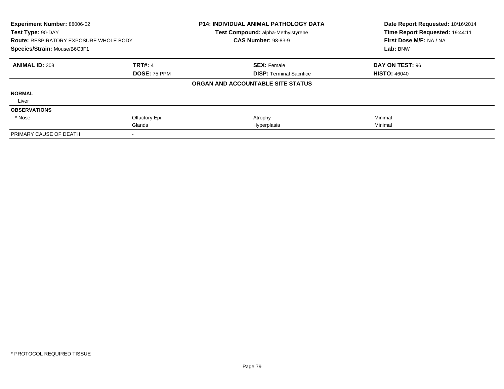| Experiment Number: 88006-02<br>Test Type: 90-DAY<br><b>Route: RESPIRATORY EXPOSURE WHOLE BODY</b><br>Species/Strain: Mouse/B6C3F1 |                     | P14: INDIVIDUAL ANIMAL PATHOLOGY DATA<br>Test Compound: alpha-Methylstyrene<br><b>CAS Number: 98-83-9</b> | Date Report Requested: 10/16/2014<br>Time Report Requested: 19:44:11<br>First Dose M/F: NA / NA<br>Lab: BNW |
|-----------------------------------------------------------------------------------------------------------------------------------|---------------------|-----------------------------------------------------------------------------------------------------------|-------------------------------------------------------------------------------------------------------------|
|                                                                                                                                   |                     |                                                                                                           |                                                                                                             |
| <b>ANIMAL ID: 308</b>                                                                                                             | <b>TRT#: 4</b>      | <b>SEX: Female</b>                                                                                        | DAY ON TEST: 96                                                                                             |
|                                                                                                                                   | <b>DOSE: 75 PPM</b> | <b>DISP:</b> Terminal Sacrifice                                                                           | <b>HISTO: 46040</b>                                                                                         |
|                                                                                                                                   |                     | ORGAN AND ACCOUNTABLE SITE STATUS                                                                         |                                                                                                             |
| <b>NORMAL</b>                                                                                                                     |                     |                                                                                                           |                                                                                                             |
| Liver                                                                                                                             |                     |                                                                                                           |                                                                                                             |
| <b>OBSERVATIONS</b>                                                                                                               |                     |                                                                                                           |                                                                                                             |
| * Nose                                                                                                                            | Olfactory Epi       | Atrophy                                                                                                   | Minimal                                                                                                     |
|                                                                                                                                   | Glands              | Hyperplasia                                                                                               | Minimal                                                                                                     |
| PRIMARY CAUSE OF DEATH                                                                                                            |                     |                                                                                                           |                                                                                                             |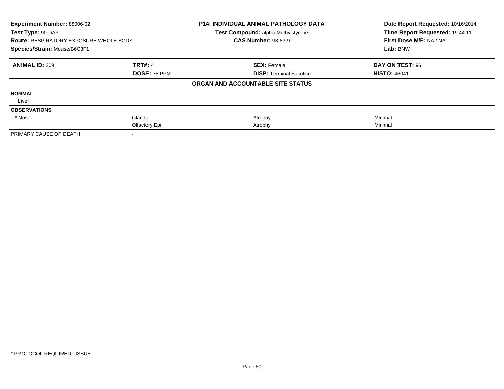| Experiment Number: 88006-02                   |                | <b>P14: INDIVIDUAL ANIMAL PATHOLOGY DATA</b> | Date Report Requested: 10/16/2014 |
|-----------------------------------------------|----------------|----------------------------------------------|-----------------------------------|
| Test Type: 90-DAY                             |                | Test Compound: alpha-Methylstyrene           | Time Report Requested: 19:44:11   |
| <b>Route: RESPIRATORY EXPOSURE WHOLE BODY</b> |                | <b>CAS Number: 98-83-9</b>                   | First Dose M/F: NA / NA           |
| Species/Strain: Mouse/B6C3F1                  |                |                                              | Lab: BNW                          |
| <b>ANIMAL ID: 309</b>                         | <b>TRT#: 4</b> | <b>SEX: Female</b>                           | DAY ON TEST: 96                   |
|                                               | DOSE: 75 PPM   | <b>DISP: Terminal Sacrifice</b>              | <b>HISTO: 46041</b>               |
|                                               |                | ORGAN AND ACCOUNTABLE SITE STATUS            |                                   |
| <b>NORMAL</b>                                 |                |                                              |                                   |
| Liver                                         |                |                                              |                                   |
| <b>OBSERVATIONS</b>                           |                |                                              |                                   |
| * Nose                                        | Glands         | Atrophy                                      | Minimal                           |
|                                               | Olfactory Epi  | Atrophy                                      | Minimal                           |
| PRIMARY CAUSE OF DEATH                        |                |                                              |                                   |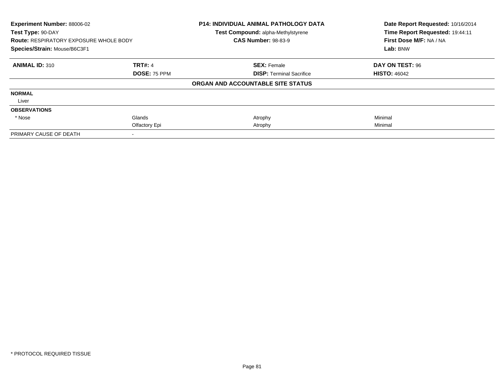| <b>Experiment Number: 88006-02</b><br>Test Type: 90-DAY |                     | <b>P14: INDIVIDUAL ANIMAL PATHOLOGY DATA</b> | Date Report Requested: 10/16/2014<br>Time Report Requested: 19:44:11 |
|---------------------------------------------------------|---------------------|----------------------------------------------|----------------------------------------------------------------------|
|                                                         |                     | Test Compound: alpha-Methylstyrene           |                                                                      |
| <b>Route: RESPIRATORY EXPOSURE WHOLE BODY</b>           |                     | <b>CAS Number: 98-83-9</b>                   | First Dose M/F: NA / NA                                              |
| Species/Strain: Mouse/B6C3F1                            |                     |                                              | Lab: BNW                                                             |
| <b>ANIMAL ID: 310</b>                                   | <b>TRT#: 4</b>      | <b>SEX: Female</b>                           | DAY ON TEST: 96                                                      |
|                                                         | <b>DOSE: 75 PPM</b> | <b>DISP:</b> Terminal Sacrifice              | <b>HISTO: 46042</b>                                                  |
|                                                         |                     | ORGAN AND ACCOUNTABLE SITE STATUS            |                                                                      |
| <b>NORMAL</b>                                           |                     |                                              |                                                                      |
| Liver                                                   |                     |                                              |                                                                      |
| <b>OBSERVATIONS</b>                                     |                     |                                              |                                                                      |
| * Nose                                                  | Glands              | Atrophy                                      | Minimal                                                              |
|                                                         | Olfactory Epi       | Atrophy                                      | Minimal                                                              |
| PRIMARY CAUSE OF DEATH                                  |                     |                                              |                                                                      |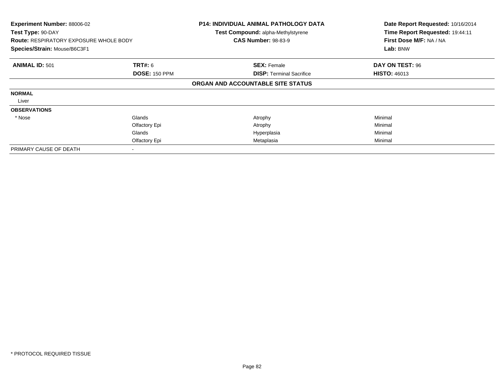| Experiment Number: 88006-02<br>Test Type: 90-DAY<br><b>Route: RESPIRATORY EXPOSURE WHOLE BODY</b><br>Species/Strain: Mouse/B6C3F1 |                      | <b>P14: INDIVIDUAL ANIMAL PATHOLOGY DATA</b><br>Test Compound: alpha-Methylstyrene<br><b>CAS Number: 98-83-9</b> | Date Report Requested: 10/16/2014<br>Time Report Requested: 19:44:11<br>First Dose M/F: NA / NA<br>Lab: BNW |
|-----------------------------------------------------------------------------------------------------------------------------------|----------------------|------------------------------------------------------------------------------------------------------------------|-------------------------------------------------------------------------------------------------------------|
| <b>ANIMAL ID: 501</b>                                                                                                             | <b>TRT#: 6</b>       | <b>SEX: Female</b>                                                                                               | DAY ON TEST: 96                                                                                             |
|                                                                                                                                   | <b>DOSE: 150 PPM</b> | <b>DISP:</b> Terminal Sacrifice                                                                                  | <b>HISTO: 46013</b>                                                                                         |
|                                                                                                                                   |                      | ORGAN AND ACCOUNTABLE SITE STATUS                                                                                |                                                                                                             |
| <b>NORMAL</b>                                                                                                                     |                      |                                                                                                                  |                                                                                                             |
| Liver                                                                                                                             |                      |                                                                                                                  |                                                                                                             |
| <b>OBSERVATIONS</b>                                                                                                               |                      |                                                                                                                  |                                                                                                             |
| * Nose                                                                                                                            | Glands               | Atrophy                                                                                                          | Minimal                                                                                                     |
|                                                                                                                                   | Olfactory Epi        | Atrophy                                                                                                          | Minimal                                                                                                     |
|                                                                                                                                   | Glands               | Hyperplasia                                                                                                      | Minimal                                                                                                     |
|                                                                                                                                   | Olfactory Epi        | Metaplasia                                                                                                       | Minimal                                                                                                     |
| PRIMARY CAUSE OF DEATH                                                                                                            |                      |                                                                                                                  |                                                                                                             |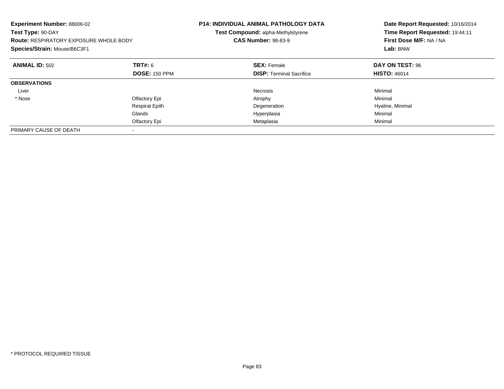| Experiment Number: 88006-02<br>Test Type: 90-DAY<br><b>Route: RESPIRATORY EXPOSURE WHOLE BODY</b><br>Species/Strain: Mouse/B6C3F1 |                       | <b>P14: INDIVIDUAL ANIMAL PATHOLOGY DATA</b><br>Test Compound: alpha-Methylstyrene<br><b>CAS Number: 98-83-9</b> | Date Report Requested: 10/16/2014<br>Time Report Requested: 19:44:11<br>First Dose M/F: NA / NA<br>Lab: BNW |
|-----------------------------------------------------------------------------------------------------------------------------------|-----------------------|------------------------------------------------------------------------------------------------------------------|-------------------------------------------------------------------------------------------------------------|
| <b>ANIMAL ID: 502</b>                                                                                                             | TRT#: 6               | <b>SEX: Female</b>                                                                                               | <b>DAY ON TEST: 96</b>                                                                                      |
|                                                                                                                                   | <b>DOSE: 150 PPM</b>  | <b>DISP:</b> Terminal Sacrifice                                                                                  | <b>HISTO: 46014</b>                                                                                         |
| <b>OBSERVATIONS</b>                                                                                                               |                       |                                                                                                                  |                                                                                                             |
| Liver                                                                                                                             |                       | Necrosis                                                                                                         | Minimal                                                                                                     |
| * Nose                                                                                                                            | Olfactory Epi         | Atrophy                                                                                                          | Minimal                                                                                                     |
|                                                                                                                                   | <b>Respirat Epith</b> | Degeneration                                                                                                     | Hyaline, Minimal                                                                                            |
|                                                                                                                                   | Glands                | Hyperplasia                                                                                                      | Minimal                                                                                                     |
|                                                                                                                                   | Olfactory Epi         | Metaplasia                                                                                                       | Minimal                                                                                                     |
| PRIMARY CAUSE OF DEATH                                                                                                            |                       |                                                                                                                  |                                                                                                             |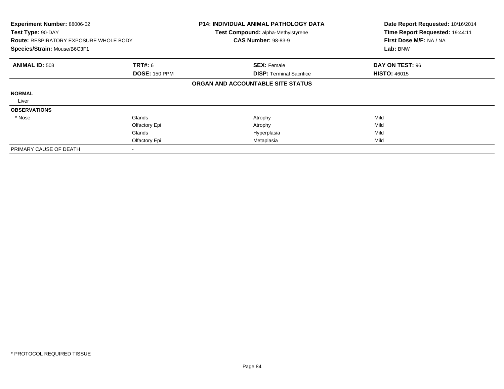| Experiment Number: 88006-02<br>Test Type: 90-DAY<br><b>Route: RESPIRATORY EXPOSURE WHOLE BODY</b><br>Species/Strain: Mouse/B6C3F1 |                                                    | <b>P14: INDIVIDUAL ANIMAL PATHOLOGY DATA</b><br>Test Compound: alpha-Methylstyrene<br><b>CAS Number: 98-83-9</b> | Date Report Requested: 10/16/2014<br>Time Report Requested: 19:44:11<br>First Dose M/F: NA / NA<br>Lab: BNW |
|-----------------------------------------------------------------------------------------------------------------------------------|----------------------------------------------------|------------------------------------------------------------------------------------------------------------------|-------------------------------------------------------------------------------------------------------------|
| <b>ANIMAL ID: 503</b>                                                                                                             | <b>TRT#: 6</b><br><b>DOSE: 150 PPM</b>             | <b>SEX: Female</b><br><b>DISP:</b> Terminal Sacrifice                                                            | DAY ON TEST: 96<br><b>HISTO: 46015</b>                                                                      |
|                                                                                                                                   |                                                    | ORGAN AND ACCOUNTABLE SITE STATUS                                                                                |                                                                                                             |
| <b>NORMAL</b><br>Liver                                                                                                            |                                                    |                                                                                                                  |                                                                                                             |
| <b>OBSERVATIONS</b>                                                                                                               |                                                    |                                                                                                                  |                                                                                                             |
| * Nose                                                                                                                            | Glands<br>Olfactory Epi<br>Glands<br>Olfactory Epi | Atrophy<br>Atrophy<br>Hyperplasia<br>Metaplasia                                                                  | Mild<br>Mild<br>Mild<br>Mild                                                                                |
| PRIMARY CAUSE OF DEATH                                                                                                            |                                                    |                                                                                                                  |                                                                                                             |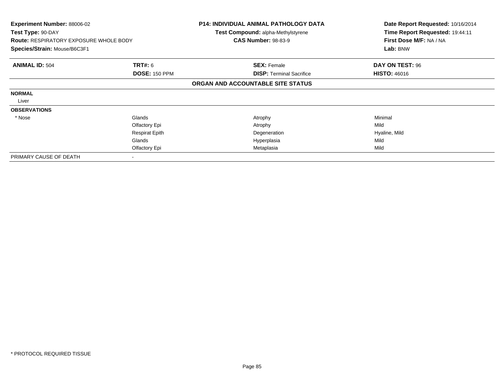| <b>Experiment Number: 88006-02</b><br>Test Type: 90-DAY<br><b>Route: RESPIRATORY EXPOSURE WHOLE BODY</b><br>Species/Strain: Mouse/B6C3F1 |                       | <b>P14: INDIVIDUAL ANIMAL PATHOLOGY DATA</b><br><b>Test Compound: alpha-Methylstyrene</b> | Date Report Requested: 10/16/2014<br>Time Report Requested: 19:44:11 |
|------------------------------------------------------------------------------------------------------------------------------------------|-----------------------|-------------------------------------------------------------------------------------------|----------------------------------------------------------------------|
|                                                                                                                                          |                       | <b>CAS Number: 98-83-9</b>                                                                | First Dose M/F: NA / NA                                              |
|                                                                                                                                          |                       |                                                                                           | Lab: BNW                                                             |
| <b>ANIMAL ID: 504</b>                                                                                                                    | <b>TRT#: 6</b>        | <b>SEX: Female</b>                                                                        | DAY ON TEST: 96                                                      |
|                                                                                                                                          | <b>DOSE: 150 PPM</b>  | <b>DISP:</b> Terminal Sacrifice                                                           | <b>HISTO: 46016</b>                                                  |
|                                                                                                                                          |                       | ORGAN AND ACCOUNTABLE SITE STATUS                                                         |                                                                      |
| <b>NORMAL</b>                                                                                                                            |                       |                                                                                           |                                                                      |
| Liver                                                                                                                                    |                       |                                                                                           |                                                                      |
| <b>OBSERVATIONS</b>                                                                                                                      |                       |                                                                                           |                                                                      |
| * Nose                                                                                                                                   | Glands                | Atrophy                                                                                   | Minimal                                                              |
|                                                                                                                                          | Olfactory Epi         | Atrophy                                                                                   | Mild                                                                 |
|                                                                                                                                          | <b>Respirat Epith</b> | Degeneration                                                                              | Hyaline, Mild                                                        |
|                                                                                                                                          | Glands                | Hyperplasia                                                                               | Mild                                                                 |
|                                                                                                                                          | Olfactory Epi         | Metaplasia                                                                                | Mild                                                                 |
| PRIMARY CAUSE OF DEATH                                                                                                                   |                       |                                                                                           |                                                                      |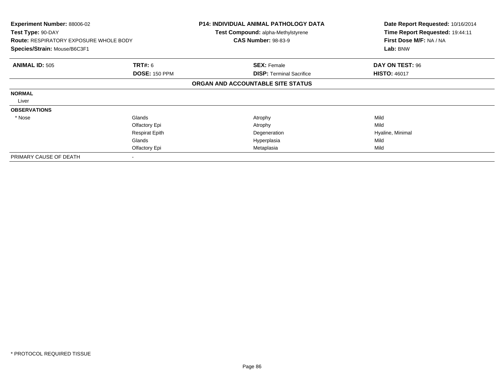| <b>Experiment Number: 88006-02</b><br>Test Type: 90-DAY |                       | <b>P14: INDIVIDUAL ANIMAL PATHOLOGY DATA</b><br><b>Test Compound: alpha-Methylstyrene</b> | Date Report Requested: 10/16/2014<br>Time Report Requested: 19:44:11 |
|---------------------------------------------------------|-----------------------|-------------------------------------------------------------------------------------------|----------------------------------------------------------------------|
| <b>Route: RESPIRATORY EXPOSURE WHOLE BODY</b>           |                       | <b>CAS Number: 98-83-9</b>                                                                | First Dose M/F: NA / NA<br>Lab: BNW                                  |
| Species/Strain: Mouse/B6C3F1                            |                       |                                                                                           |                                                                      |
| <b>ANIMAL ID: 505</b>                                   | <b>TRT#: 6</b>        | <b>SEX: Female</b>                                                                        | DAY ON TEST: 96                                                      |
|                                                         | <b>DOSE: 150 PPM</b>  | <b>DISP:</b> Terminal Sacrifice                                                           | <b>HISTO: 46017</b>                                                  |
|                                                         |                       | ORGAN AND ACCOUNTABLE SITE STATUS                                                         |                                                                      |
| <b>NORMAL</b>                                           |                       |                                                                                           |                                                                      |
| Liver                                                   |                       |                                                                                           |                                                                      |
| <b>OBSERVATIONS</b>                                     |                       |                                                                                           |                                                                      |
| * Nose                                                  | Glands                | Atrophy                                                                                   | Mild                                                                 |
|                                                         | Olfactory Epi         | Atrophy                                                                                   | Mild                                                                 |
|                                                         | <b>Respirat Epith</b> | Degeneration                                                                              | Hyaline, Minimal                                                     |
|                                                         | Glands                | Hyperplasia                                                                               | Mild                                                                 |
|                                                         | Olfactory Epi         | Metaplasia                                                                                | Mild                                                                 |
| PRIMARY CAUSE OF DEATH                                  |                       |                                                                                           |                                                                      |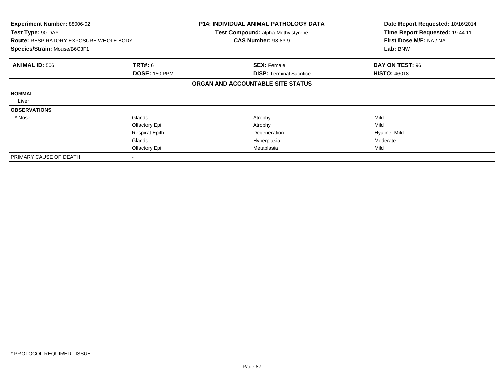| <b>Experiment Number: 88006-02</b><br>Test Type: 90-DAY<br><b>Route: RESPIRATORY EXPOSURE WHOLE BODY</b><br>Species/Strain: Mouse/B6C3F1 |                       | <b>P14: INDIVIDUAL ANIMAL PATHOLOGY DATA</b><br><b>Test Compound: alpha-Methylstyrene</b> | Date Report Requested: 10/16/2014<br>Time Report Requested: 19:44:11 |
|------------------------------------------------------------------------------------------------------------------------------------------|-----------------------|-------------------------------------------------------------------------------------------|----------------------------------------------------------------------|
|                                                                                                                                          |                       | <b>CAS Number: 98-83-9</b>                                                                | First Dose M/F: NA / NA                                              |
|                                                                                                                                          |                       |                                                                                           | Lab: BNW                                                             |
| <b>ANIMAL ID: 506</b>                                                                                                                    | <b>TRT#: 6</b>        | <b>SEX: Female</b>                                                                        | DAY ON TEST: 96                                                      |
|                                                                                                                                          | <b>DOSE: 150 PPM</b>  | <b>DISP:</b> Terminal Sacrifice                                                           | <b>HISTO: 46018</b>                                                  |
|                                                                                                                                          |                       | ORGAN AND ACCOUNTABLE SITE STATUS                                                         |                                                                      |
| <b>NORMAL</b>                                                                                                                            |                       |                                                                                           |                                                                      |
| Liver                                                                                                                                    |                       |                                                                                           |                                                                      |
| <b>OBSERVATIONS</b>                                                                                                                      |                       |                                                                                           |                                                                      |
| * Nose                                                                                                                                   | Glands                | Atrophy                                                                                   | Mild                                                                 |
|                                                                                                                                          | Olfactory Epi         | Atrophy                                                                                   | Mild                                                                 |
|                                                                                                                                          | <b>Respirat Epith</b> | Degeneration                                                                              | Hyaline, Mild                                                        |
|                                                                                                                                          | Glands                | Hyperplasia                                                                               | Moderate                                                             |
|                                                                                                                                          | Olfactory Epi         | Metaplasia                                                                                | Mild                                                                 |
| PRIMARY CAUSE OF DEATH                                                                                                                   |                       |                                                                                           |                                                                      |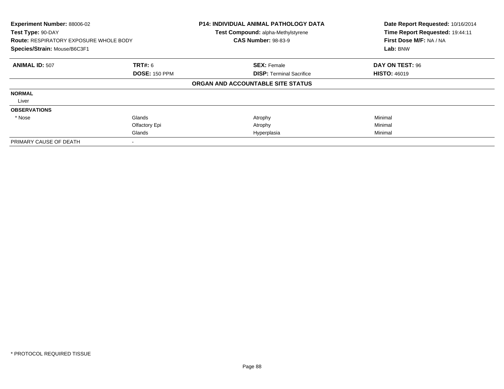| Experiment Number: 88006-02<br>Test Type: 90-DAY<br><b>Route: RESPIRATORY EXPOSURE WHOLE BODY</b><br>Species/Strain: Mouse/B6C3F1 |                      | <b>P14: INDIVIDUAL ANIMAL PATHOLOGY DATA</b><br>Test Compound: alpha-Methylstyrene<br><b>CAS Number: 98-83-9</b> | Date Report Requested: 10/16/2014<br>Time Report Requested: 19:44:11<br>First Dose M/F: NA / NA<br>Lab: BNW |
|-----------------------------------------------------------------------------------------------------------------------------------|----------------------|------------------------------------------------------------------------------------------------------------------|-------------------------------------------------------------------------------------------------------------|
| <b>ANIMAL ID: 507</b>                                                                                                             | <b>TRT#: 6</b>       | <b>SEX: Female</b>                                                                                               | DAY ON TEST: 96                                                                                             |
|                                                                                                                                   | <b>DOSE: 150 PPM</b> | <b>DISP:</b> Terminal Sacrifice                                                                                  | <b>HISTO: 46019</b>                                                                                         |
|                                                                                                                                   |                      | ORGAN AND ACCOUNTABLE SITE STATUS                                                                                |                                                                                                             |
| <b>NORMAL</b>                                                                                                                     |                      |                                                                                                                  |                                                                                                             |
| Liver                                                                                                                             |                      |                                                                                                                  |                                                                                                             |
| <b>OBSERVATIONS</b>                                                                                                               |                      |                                                                                                                  |                                                                                                             |
| * Nose                                                                                                                            | Glands               | Atrophy                                                                                                          | Minimal                                                                                                     |
|                                                                                                                                   | Olfactory Epi        | Atrophy                                                                                                          | Minimal                                                                                                     |
|                                                                                                                                   | Glands               | Hyperplasia                                                                                                      | Minimal                                                                                                     |
| PRIMARY CAUSE OF DEATH                                                                                                            |                      |                                                                                                                  |                                                                                                             |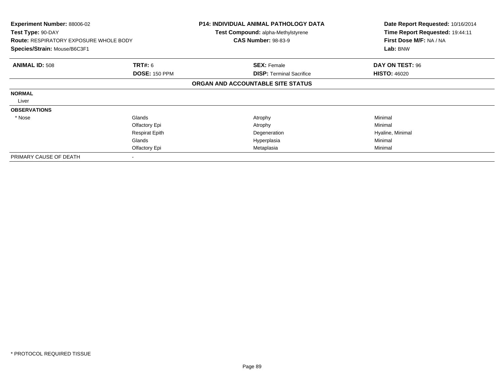| <b>Experiment Number: 88006-02</b><br>Test Type: 90-DAY<br><b>Route: RESPIRATORY EXPOSURE WHOLE BODY</b><br>Species/Strain: Mouse/B6C3F1 |                       | <b>P14: INDIVIDUAL ANIMAL PATHOLOGY DATA</b><br><b>Test Compound: alpha-Methylstyrene</b><br><b>CAS Number: 98-83-9</b> | Date Report Requested: 10/16/2014<br>Time Report Requested: 19:44:11<br>First Dose M/F: NA / NA<br>Lab: BNW |
|------------------------------------------------------------------------------------------------------------------------------------------|-----------------------|-------------------------------------------------------------------------------------------------------------------------|-------------------------------------------------------------------------------------------------------------|
| <b>ANIMAL ID: 508</b>                                                                                                                    | <b>TRT#: 6</b>        | <b>SEX: Female</b>                                                                                                      | DAY ON TEST: 96                                                                                             |
|                                                                                                                                          | <b>DOSE: 150 PPM</b>  | <b>DISP: Terminal Sacrifice</b>                                                                                         | <b>HISTO: 46020</b>                                                                                         |
|                                                                                                                                          |                       | ORGAN AND ACCOUNTABLE SITE STATUS                                                                                       |                                                                                                             |
| <b>NORMAL</b>                                                                                                                            |                       |                                                                                                                         |                                                                                                             |
| Liver                                                                                                                                    |                       |                                                                                                                         |                                                                                                             |
| <b>OBSERVATIONS</b>                                                                                                                      |                       |                                                                                                                         |                                                                                                             |
| * Nose                                                                                                                                   | Glands                | Atrophy                                                                                                                 | Minimal                                                                                                     |
|                                                                                                                                          | Olfactory Epi         | Atrophy                                                                                                                 | Minimal                                                                                                     |
|                                                                                                                                          | <b>Respirat Epith</b> | Degeneration                                                                                                            | Hyaline, Minimal                                                                                            |
|                                                                                                                                          | Glands                | Hyperplasia                                                                                                             | Minimal                                                                                                     |
|                                                                                                                                          | Olfactory Epi         | Metaplasia                                                                                                              | Minimal                                                                                                     |
| PRIMARY CAUSE OF DEATH                                                                                                                   |                       |                                                                                                                         |                                                                                                             |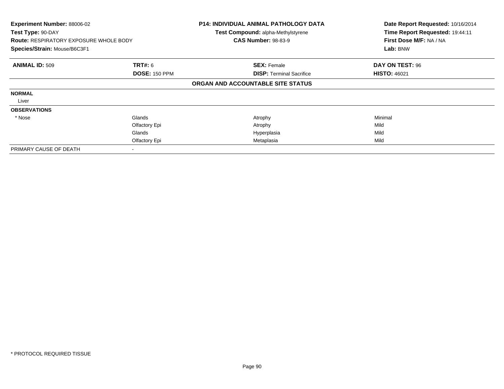| Experiment Number: 88006-02<br>Test Type: 90-DAY<br><b>Route: RESPIRATORY EXPOSURE WHOLE BODY</b><br>Species/Strain: Mouse/B6C3F1 |                      | <b>P14: INDIVIDUAL ANIMAL PATHOLOGY DATA</b><br>Test Compound: alpha-Methylstyrene<br><b>CAS Number: 98-83-9</b> | Date Report Requested: 10/16/2014<br>Time Report Requested: 19:44:11<br>First Dose M/F: NA / NA<br>Lab: BNW |
|-----------------------------------------------------------------------------------------------------------------------------------|----------------------|------------------------------------------------------------------------------------------------------------------|-------------------------------------------------------------------------------------------------------------|
| <b>ANIMAL ID: 509</b>                                                                                                             | <b>TRT#: 6</b>       | <b>SEX: Female</b>                                                                                               | DAY ON TEST: 96                                                                                             |
|                                                                                                                                   | <b>DOSE: 150 PPM</b> | <b>DISP:</b> Terminal Sacrifice                                                                                  | <b>HISTO: 46021</b>                                                                                         |
|                                                                                                                                   |                      | ORGAN AND ACCOUNTABLE SITE STATUS                                                                                |                                                                                                             |
| <b>NORMAL</b>                                                                                                                     |                      |                                                                                                                  |                                                                                                             |
| Liver                                                                                                                             |                      |                                                                                                                  |                                                                                                             |
| <b>OBSERVATIONS</b>                                                                                                               |                      |                                                                                                                  |                                                                                                             |
| * Nose                                                                                                                            | Glands               | Atrophy                                                                                                          | Minimal                                                                                                     |
|                                                                                                                                   | Olfactory Epi        | Atrophy                                                                                                          | Mild                                                                                                        |
|                                                                                                                                   | Glands               | Hyperplasia                                                                                                      | Mild                                                                                                        |
|                                                                                                                                   | Olfactory Epi        | Metaplasia                                                                                                       | Mild                                                                                                        |
| PRIMARY CAUSE OF DEATH                                                                                                            |                      |                                                                                                                  |                                                                                                             |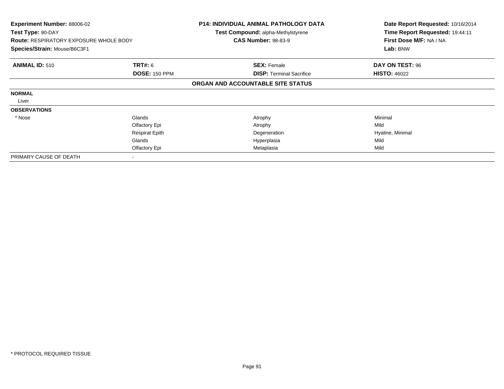| <b>Experiment Number: 88006-02</b><br>Test Type: 90-DAY<br><b>Route: RESPIRATORY EXPOSURE WHOLE BODY</b><br>Species/Strain: Mouse/B6C3F1 |                       | <b>P14: INDIVIDUAL ANIMAL PATHOLOGY DATA</b><br><b>Test Compound: alpha-Methylstyrene</b><br><b>CAS Number: 98-83-9</b> | Date Report Requested: 10/16/2014<br>Time Report Requested: 19:44:11<br>First Dose M/F: NA / NA<br>Lab: BNW |
|------------------------------------------------------------------------------------------------------------------------------------------|-----------------------|-------------------------------------------------------------------------------------------------------------------------|-------------------------------------------------------------------------------------------------------------|
| <b>ANIMAL ID: 510</b>                                                                                                                    | <b>TRT#: 6</b>        | <b>SEX: Female</b>                                                                                                      | DAY ON TEST: 96                                                                                             |
|                                                                                                                                          | <b>DOSE: 150 PPM</b>  | <b>DISP: Terminal Sacrifice</b>                                                                                         | <b>HISTO: 46022</b>                                                                                         |
|                                                                                                                                          |                       | ORGAN AND ACCOUNTABLE SITE STATUS                                                                                       |                                                                                                             |
| <b>NORMAL</b>                                                                                                                            |                       |                                                                                                                         |                                                                                                             |
| Liver                                                                                                                                    |                       |                                                                                                                         |                                                                                                             |
| <b>OBSERVATIONS</b>                                                                                                                      |                       |                                                                                                                         |                                                                                                             |
| * Nose                                                                                                                                   | Glands                | Atrophy                                                                                                                 | Minimal                                                                                                     |
|                                                                                                                                          | Olfactory Epi         | Atrophy                                                                                                                 | Mild                                                                                                        |
|                                                                                                                                          | <b>Respirat Epith</b> | Degeneration                                                                                                            | Hyaline, Minimal                                                                                            |
|                                                                                                                                          | Glands                | Hyperplasia                                                                                                             | Mild                                                                                                        |
|                                                                                                                                          | Olfactory Epi         | Metaplasia                                                                                                              | Mild                                                                                                        |
| PRIMARY CAUSE OF DEATH                                                                                                                   |                       |                                                                                                                         |                                                                                                             |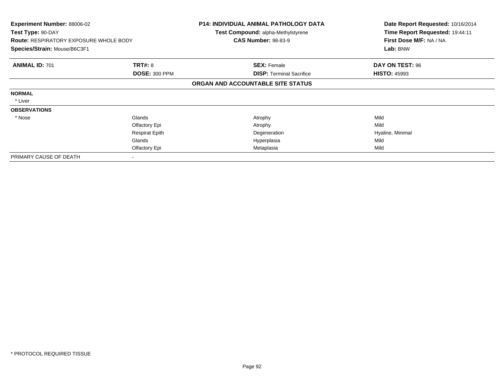| <b>Experiment Number: 88006-02</b><br>Test Type: 90-DAY |                       | <b>P14: INDIVIDUAL ANIMAL PATHOLOGY DATA</b><br><b>Test Compound: alpha-Methylstyrene</b> | Date Report Requested: 10/16/2014<br>Time Report Requested: 19:44:11 |
|---------------------------------------------------------|-----------------------|-------------------------------------------------------------------------------------------|----------------------------------------------------------------------|
| <b>Route: RESPIRATORY EXPOSURE WHOLE BODY</b>           |                       | <b>CAS Number: 98-83-9</b>                                                                | First Dose M/F: NA / NA                                              |
| Species/Strain: Mouse/B6C3F1                            |                       |                                                                                           | Lab: BNW                                                             |
| <b>ANIMAL ID: 701</b>                                   | <b>TRT#: 8</b>        | <b>SEX: Female</b>                                                                        | DAY ON TEST: 96                                                      |
|                                                         | <b>DOSE: 300 PPM</b>  | <b>DISP: Terminal Sacrifice</b>                                                           | <b>HISTO: 45993</b>                                                  |
|                                                         |                       | ORGAN AND ACCOUNTABLE SITE STATUS                                                         |                                                                      |
| <b>NORMAL</b>                                           |                       |                                                                                           |                                                                      |
| * Liver                                                 |                       |                                                                                           |                                                                      |
| <b>OBSERVATIONS</b>                                     |                       |                                                                                           |                                                                      |
| * Nose                                                  | Glands                | Atrophy                                                                                   | Mild                                                                 |
|                                                         | Olfactory Epi         | Atrophy                                                                                   | Mild                                                                 |
|                                                         | <b>Respirat Epith</b> | Degeneration                                                                              | Hyaline, Minimal                                                     |
|                                                         | Glands                | Hyperplasia                                                                               | Mild                                                                 |
|                                                         | Olfactory Epi         | Metaplasia                                                                                | Mild                                                                 |
| PRIMARY CAUSE OF DEATH                                  |                       |                                                                                           |                                                                      |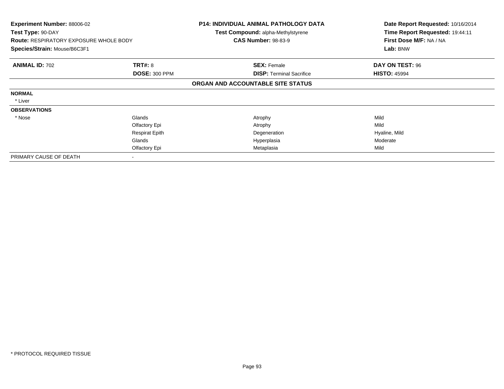| <b>Experiment Number: 88006-02</b><br>Test Type: 90-DAY |                       | <b>P14: INDIVIDUAL ANIMAL PATHOLOGY DATA</b><br>Test Compound: alpha-Methylstyrene | Date Report Requested: 10/16/2014<br>Time Report Requested: 19:44:11 |
|---------------------------------------------------------|-----------------------|------------------------------------------------------------------------------------|----------------------------------------------------------------------|
| <b>Route: RESPIRATORY EXPOSURE WHOLE BODY</b>           |                       | <b>CAS Number: 98-83-9</b>                                                         | First Dose M/F: NA / NA                                              |
| Species/Strain: Mouse/B6C3F1                            |                       |                                                                                    | Lab: BNW                                                             |
| <b>ANIMAL ID: 702</b>                                   | <b>TRT#: 8</b>        | <b>SEX: Female</b>                                                                 | DAY ON TEST: 96                                                      |
|                                                         | <b>DOSE: 300 PPM</b>  | <b>DISP:</b> Terminal Sacrifice                                                    | <b>HISTO: 45994</b>                                                  |
|                                                         |                       | ORGAN AND ACCOUNTABLE SITE STATUS                                                  |                                                                      |
| <b>NORMAL</b>                                           |                       |                                                                                    |                                                                      |
| * Liver                                                 |                       |                                                                                    |                                                                      |
| <b>OBSERVATIONS</b>                                     |                       |                                                                                    |                                                                      |
| * Nose                                                  | Glands                | Atrophy                                                                            | Mild                                                                 |
|                                                         | Olfactory Epi         | Atrophy                                                                            | Mild                                                                 |
|                                                         | <b>Respirat Epith</b> | Degeneration                                                                       | Hyaline, Mild                                                        |
|                                                         | Glands                | Hyperplasia                                                                        | Moderate                                                             |
|                                                         | Olfactory Epi         | Metaplasia                                                                         | Mild                                                                 |
| PRIMARY CAUSE OF DEATH                                  |                       |                                                                                    |                                                                      |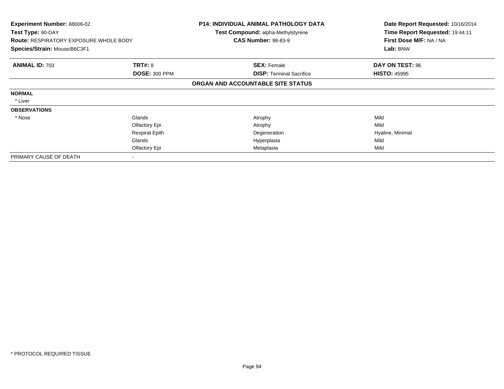| <b>Experiment Number: 88006-02</b><br>Test Type: 90-DAY<br><b>Route: RESPIRATORY EXPOSURE WHOLE BODY</b><br>Species/Strain: Mouse/B6C3F1 |                       | <b>P14: INDIVIDUAL ANIMAL PATHOLOGY DATA</b><br><b>Test Compound: alpha-Methylstyrene</b> | Date Report Requested: 10/16/2014<br>Time Report Requested: 19:44:11 |
|------------------------------------------------------------------------------------------------------------------------------------------|-----------------------|-------------------------------------------------------------------------------------------|----------------------------------------------------------------------|
|                                                                                                                                          |                       | <b>CAS Number: 98-83-9</b>                                                                | First Dose M/F: NA / NA                                              |
|                                                                                                                                          |                       |                                                                                           | Lab: BNW                                                             |
| <b>ANIMAL ID: 703</b>                                                                                                                    | <b>TRT#: 8</b>        | <b>SEX: Female</b>                                                                        | DAY ON TEST: 96                                                      |
|                                                                                                                                          | <b>DOSE: 300 PPM</b>  | <b>DISP: Terminal Sacrifice</b>                                                           | <b>HISTO: 45995</b>                                                  |
|                                                                                                                                          |                       | ORGAN AND ACCOUNTABLE SITE STATUS                                                         |                                                                      |
| <b>NORMAL</b>                                                                                                                            |                       |                                                                                           |                                                                      |
| * Liver                                                                                                                                  |                       |                                                                                           |                                                                      |
| <b>OBSERVATIONS</b>                                                                                                                      |                       |                                                                                           |                                                                      |
| * Nose                                                                                                                                   | Glands                | Atrophy                                                                                   | Mild                                                                 |
|                                                                                                                                          | Olfactory Epi         | Atrophy                                                                                   | Mild                                                                 |
|                                                                                                                                          | <b>Respirat Epith</b> | Degeneration                                                                              | Hyaline, Minimal                                                     |
|                                                                                                                                          | Glands                | Hyperplasia                                                                               | Mild                                                                 |
|                                                                                                                                          | Olfactory Epi         | Metaplasia                                                                                | Mild                                                                 |
| PRIMARY CAUSE OF DEATH                                                                                                                   |                       |                                                                                           |                                                                      |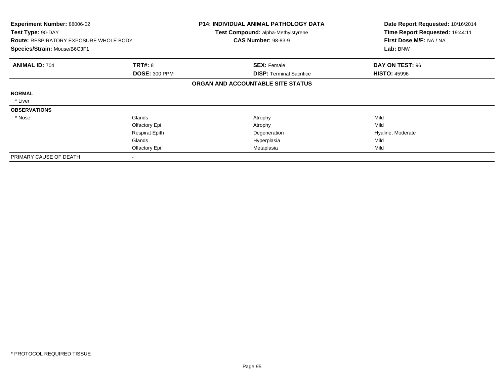| <b>Experiment Number: 88006-02</b><br>Test Type: 90-DAY<br><b>Route: RESPIRATORY EXPOSURE WHOLE BODY</b><br>Species/Strain: Mouse/B6C3F1 |                       | <b>P14: INDIVIDUAL ANIMAL PATHOLOGY DATA</b><br><b>Test Compound: alpha-Methylstyrene</b> | Date Report Requested: 10/16/2014<br>Time Report Requested: 19:44:11 |
|------------------------------------------------------------------------------------------------------------------------------------------|-----------------------|-------------------------------------------------------------------------------------------|----------------------------------------------------------------------|
|                                                                                                                                          |                       | <b>CAS Number: 98-83-9</b>                                                                | First Dose M/F: NA / NA                                              |
|                                                                                                                                          |                       |                                                                                           | Lab: BNW                                                             |
| <b>ANIMAL ID: 704</b>                                                                                                                    | <b>TRT#: 8</b>        | <b>SEX: Female</b>                                                                        | DAY ON TEST: 96                                                      |
|                                                                                                                                          | <b>DOSE: 300 PPM</b>  | <b>DISP: Terminal Sacrifice</b>                                                           | <b>HISTO: 45996</b>                                                  |
|                                                                                                                                          |                       | ORGAN AND ACCOUNTABLE SITE STATUS                                                         |                                                                      |
| <b>NORMAL</b>                                                                                                                            |                       |                                                                                           |                                                                      |
| * Liver                                                                                                                                  |                       |                                                                                           |                                                                      |
| <b>OBSERVATIONS</b>                                                                                                                      |                       |                                                                                           |                                                                      |
| * Nose                                                                                                                                   | Glands                | Atrophy                                                                                   | Mild                                                                 |
|                                                                                                                                          | Olfactory Epi         | Atrophy                                                                                   | Mild                                                                 |
|                                                                                                                                          | <b>Respirat Epith</b> | Degeneration                                                                              | Hyaline, Moderate                                                    |
|                                                                                                                                          | Glands                | Hyperplasia                                                                               | Mild                                                                 |
|                                                                                                                                          | Olfactory Epi         | Metaplasia                                                                                | Mild                                                                 |
| PRIMARY CAUSE OF DEATH                                                                                                                   |                       |                                                                                           |                                                                      |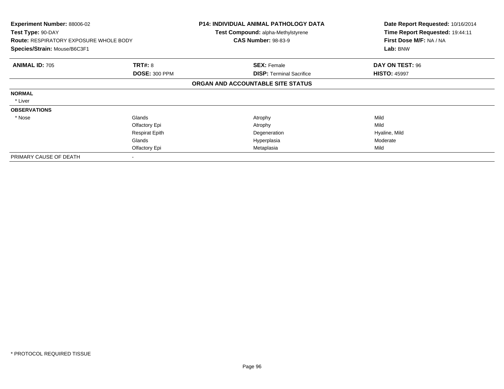| <b>Experiment Number: 88006-02</b><br>Test Type: 90-DAY |                       | <b>P14: INDIVIDUAL ANIMAL PATHOLOGY DATA</b><br><b>Test Compound: alpha-Methylstyrene</b> | Date Report Requested: 10/16/2014<br>Time Report Requested: 19:44:11 |
|---------------------------------------------------------|-----------------------|-------------------------------------------------------------------------------------------|----------------------------------------------------------------------|
| <b>Route: RESPIRATORY EXPOSURE WHOLE BODY</b>           |                       | <b>CAS Number: 98-83-9</b>                                                                | First Dose M/F: NA / NA                                              |
| Species/Strain: Mouse/B6C3F1                            |                       |                                                                                           | Lab: BNW                                                             |
| <b>ANIMAL ID: 705</b>                                   | <b>TRT#: 8</b>        | <b>SEX: Female</b>                                                                        | DAY ON TEST: 96                                                      |
|                                                         | <b>DOSE: 300 PPM</b>  | <b>DISP: Terminal Sacrifice</b>                                                           | <b>HISTO: 45997</b>                                                  |
|                                                         |                       | ORGAN AND ACCOUNTABLE SITE STATUS                                                         |                                                                      |
| <b>NORMAL</b>                                           |                       |                                                                                           |                                                                      |
| * Liver                                                 |                       |                                                                                           |                                                                      |
| <b>OBSERVATIONS</b>                                     |                       |                                                                                           |                                                                      |
| * Nose                                                  | Glands                | Atrophy                                                                                   | Mild                                                                 |
|                                                         | Olfactory Epi         | Atrophy                                                                                   | Mild                                                                 |
|                                                         | <b>Respirat Epith</b> | Degeneration                                                                              | Hyaline, Mild                                                        |
|                                                         | Glands                | Hyperplasia                                                                               | Moderate                                                             |
|                                                         | Olfactory Epi         | Metaplasia                                                                                | Mild                                                                 |
| PRIMARY CAUSE OF DEATH                                  |                       |                                                                                           |                                                                      |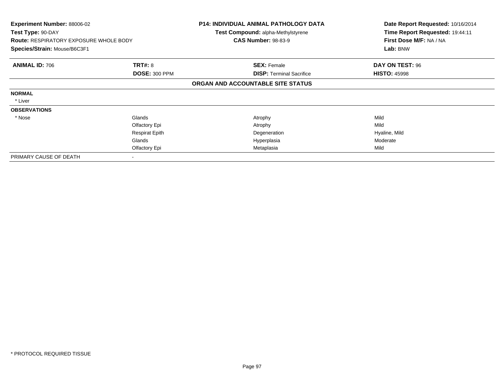| <b>Experiment Number: 88006-02</b><br>Test Type: 90-DAY |                       | <b>P14: INDIVIDUAL ANIMAL PATHOLOGY DATA</b><br><b>Test Compound: alpha-Methylstyrene</b> | Date Report Requested: 10/16/2014<br>Time Report Requested: 19:44:11 |
|---------------------------------------------------------|-----------------------|-------------------------------------------------------------------------------------------|----------------------------------------------------------------------|
| <b>Route: RESPIRATORY EXPOSURE WHOLE BODY</b>           |                       | <b>CAS Number: 98-83-9</b>                                                                | First Dose M/F: NA / NA                                              |
| Species/Strain: Mouse/B6C3F1                            |                       |                                                                                           | Lab: BNW                                                             |
| <b>ANIMAL ID: 706</b>                                   | <b>TRT#: 8</b>        | <b>SEX: Female</b>                                                                        | DAY ON TEST: 96                                                      |
|                                                         | <b>DOSE: 300 PPM</b>  | <b>DISP:</b> Terminal Sacrifice                                                           | <b>HISTO: 45998</b>                                                  |
|                                                         |                       | ORGAN AND ACCOUNTABLE SITE STATUS                                                         |                                                                      |
| <b>NORMAL</b>                                           |                       |                                                                                           |                                                                      |
| * Liver                                                 |                       |                                                                                           |                                                                      |
| <b>OBSERVATIONS</b>                                     |                       |                                                                                           |                                                                      |
| * Nose                                                  | Glands                | Atrophy                                                                                   | Mild                                                                 |
|                                                         | Olfactory Epi         | Atrophy                                                                                   | Mild                                                                 |
|                                                         | <b>Respirat Epith</b> | Degeneration                                                                              | Hyaline, Mild                                                        |
|                                                         | Glands                | Hyperplasia                                                                               | Moderate                                                             |
|                                                         | Olfactory Epi         | Metaplasia                                                                                | Mild                                                                 |
| PRIMARY CAUSE OF DEATH                                  |                       |                                                                                           |                                                                      |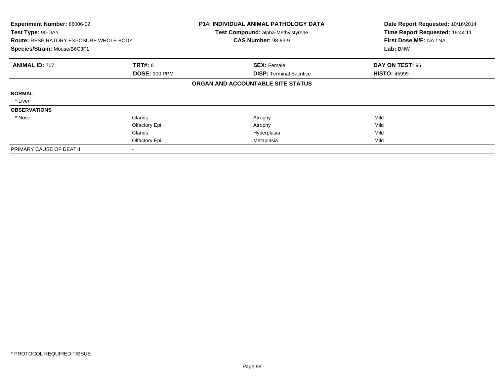| Experiment Number: 88006-02<br>Test Type: 90-DAY<br><b>Route: RESPIRATORY EXPOSURE WHOLE BODY</b><br>Species/Strain: Mouse/B6C3F1 |                                        | <b>P14: INDIVIDUAL ANIMAL PATHOLOGY DATA</b><br>Test Compound: alpha-Methylstyrene<br><b>CAS Number: 98-83-9</b> | Date Report Requested: 10/16/2014<br>Time Report Requested: 19:44:11<br>First Dose M/F: NA / NA<br>Lab: BNW |
|-----------------------------------------------------------------------------------------------------------------------------------|----------------------------------------|------------------------------------------------------------------------------------------------------------------|-------------------------------------------------------------------------------------------------------------|
| <b>ANIMAL ID: 707</b>                                                                                                             | <b>TRT#: 8</b><br><b>DOSE: 300 PPM</b> | <b>SEX: Female</b><br><b>DISP:</b> Terminal Sacrifice                                                            | DAY ON TEST: 96<br><b>HISTO: 45999</b>                                                                      |
|                                                                                                                                   |                                        | ORGAN AND ACCOUNTABLE SITE STATUS                                                                                |                                                                                                             |
| <b>NORMAL</b>                                                                                                                     |                                        |                                                                                                                  |                                                                                                             |
| * Liver                                                                                                                           |                                        |                                                                                                                  |                                                                                                             |
| <b>OBSERVATIONS</b>                                                                                                               |                                        |                                                                                                                  |                                                                                                             |
| * Nose                                                                                                                            | Glands                                 | Atrophy                                                                                                          | Mild                                                                                                        |
|                                                                                                                                   | Olfactory Epi                          | Atrophy                                                                                                          | Mild                                                                                                        |
|                                                                                                                                   | Glands                                 | Hyperplasia                                                                                                      | Mild                                                                                                        |
|                                                                                                                                   | Olfactory Epi                          | Metaplasia                                                                                                       | Mild                                                                                                        |
| PRIMARY CAUSE OF DEATH                                                                                                            |                                        |                                                                                                                  |                                                                                                             |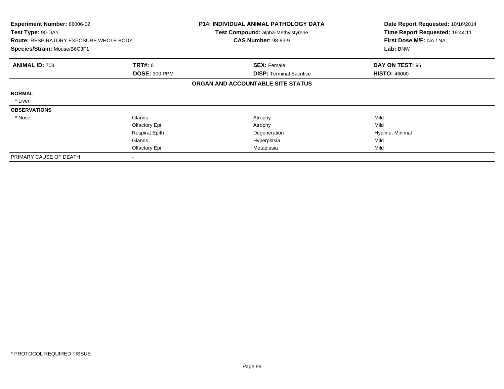| <b>Experiment Number: 88006-02</b><br>Test Type: 90-DAY |                       | P14: INDIVIDUAL ANIMAL PATHOLOGY DATA<br><b>Test Compound: alpha-Methylstyrene</b> | Date Report Requested: 10/16/2014<br>Time Report Requested: 19:44:11 |
|---------------------------------------------------------|-----------------------|------------------------------------------------------------------------------------|----------------------------------------------------------------------|
| <b>Route: RESPIRATORY EXPOSURE WHOLE BODY</b>           |                       | <b>CAS Number: 98-83-9</b>                                                         | First Dose M/F: NA / NA                                              |
| Species/Strain: Mouse/B6C3F1                            |                       |                                                                                    | Lab: BNW                                                             |
| <b>ANIMAL ID: 708</b>                                   | <b>TRT#: 8</b>        | <b>SEX: Female</b>                                                                 | DAY ON TEST: 96                                                      |
|                                                         | <b>DOSE: 300 PPM</b>  | <b>DISP: Terminal Sacrifice</b>                                                    | <b>HISTO: 46000</b>                                                  |
|                                                         |                       | ORGAN AND ACCOUNTABLE SITE STATUS                                                  |                                                                      |
| <b>NORMAL</b>                                           |                       |                                                                                    |                                                                      |
| * Liver                                                 |                       |                                                                                    |                                                                      |
| <b>OBSERVATIONS</b>                                     |                       |                                                                                    |                                                                      |
| * Nose                                                  | Glands                | Atrophy                                                                            | Mild                                                                 |
|                                                         | Olfactory Epi         | Atrophy                                                                            | Mild                                                                 |
|                                                         | <b>Respirat Epith</b> | Degeneration                                                                       | Hyaline, Minimal                                                     |
|                                                         | Glands                | Hyperplasia                                                                        | Mild                                                                 |
|                                                         | Olfactory Epi         | Metaplasia                                                                         | Mild                                                                 |
| PRIMARY CAUSE OF DEATH                                  |                       |                                                                                    |                                                                      |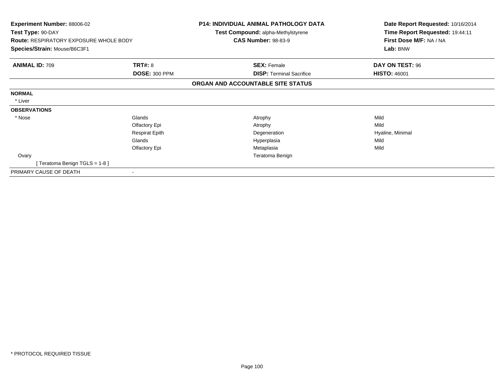| <b>Experiment Number: 88006-02</b><br>Test Type: 90-DAY<br><b>Route: RESPIRATORY EXPOSURE WHOLE BODY</b> |                       | P14: INDIVIDUAL ANIMAL PATHOLOGY DATA<br>Test Compound: alpha-Methylstyrene<br><b>CAS Number: 98-83-9</b> | Date Report Requested: 10/16/2014<br>Time Report Requested: 19:44:11<br>First Dose M/F: NA / NA |
|----------------------------------------------------------------------------------------------------------|-----------------------|-----------------------------------------------------------------------------------------------------------|-------------------------------------------------------------------------------------------------|
| Species/Strain: Mouse/B6C3F1                                                                             |                       |                                                                                                           | Lab: BNW                                                                                        |
| <b>ANIMAL ID: 709</b>                                                                                    | <b>TRT#: 8</b>        | <b>SEX: Female</b>                                                                                        | DAY ON TEST: 96                                                                                 |
|                                                                                                          | <b>DOSE: 300 PPM</b>  | <b>DISP:</b> Terminal Sacrifice                                                                           | <b>HISTO: 46001</b>                                                                             |
|                                                                                                          |                       | ORGAN AND ACCOUNTABLE SITE STATUS                                                                         |                                                                                                 |
| <b>NORMAL</b>                                                                                            |                       |                                                                                                           |                                                                                                 |
| * Liver                                                                                                  |                       |                                                                                                           |                                                                                                 |
| <b>OBSERVATIONS</b>                                                                                      |                       |                                                                                                           |                                                                                                 |
| * Nose                                                                                                   | Glands                | Atrophy                                                                                                   | Mild                                                                                            |
|                                                                                                          | Olfactory Epi         | Atrophy                                                                                                   | Mild                                                                                            |
|                                                                                                          | <b>Respirat Epith</b> | Degeneration                                                                                              | Hyaline, Minimal                                                                                |
|                                                                                                          | Glands                | Hyperplasia                                                                                               | Mild                                                                                            |
|                                                                                                          | Olfactory Epi         | Metaplasia                                                                                                | Mild                                                                                            |
| Ovary                                                                                                    |                       | Teratoma Benign                                                                                           |                                                                                                 |
| [Teratoma Benign TGLS = 1-8]                                                                             |                       |                                                                                                           |                                                                                                 |
| PRIMARY CAUSE OF DEATH                                                                                   |                       |                                                                                                           |                                                                                                 |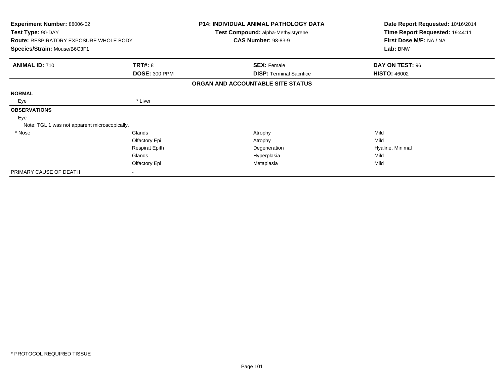| <b>Experiment Number: 88006-02</b><br>Test Type: 90-DAY |                       | <b>P14: INDIVIDUAL ANIMAL PATHOLOGY DATA</b><br>Test Compound: alpha-Methylstyrene | Date Report Requested: 10/16/2014 |
|---------------------------------------------------------|-----------------------|------------------------------------------------------------------------------------|-----------------------------------|
|                                                         |                       |                                                                                    | Time Report Requested: 19:44:11   |
| <b>Route: RESPIRATORY EXPOSURE WHOLE BODY</b>           |                       | <b>CAS Number: 98-83-9</b>                                                         | First Dose M/F: NA / NA           |
| Species/Strain: Mouse/B6C3F1                            |                       |                                                                                    | Lab: BNW                          |
| <b>ANIMAL ID: 710</b>                                   | TRT#: 8               | <b>SEX: Female</b>                                                                 | DAY ON TEST: 96                   |
|                                                         | <b>DOSE: 300 PPM</b>  | <b>DISP:</b> Terminal Sacrifice                                                    | <b>HISTO: 46002</b>               |
|                                                         |                       | ORGAN AND ACCOUNTABLE SITE STATUS                                                  |                                   |
| <b>NORMAL</b>                                           |                       |                                                                                    |                                   |
| Eye                                                     | * Liver               |                                                                                    |                                   |
| <b>OBSERVATIONS</b>                                     |                       |                                                                                    |                                   |
| Eye                                                     |                       |                                                                                    |                                   |
| Note: TGL 1 was not apparent microscopically.           |                       |                                                                                    |                                   |
| * Nose                                                  | Glands                | Atrophy                                                                            | Mild                              |
|                                                         | Olfactory Epi         | Atrophy                                                                            | Mild                              |
|                                                         | <b>Respirat Epith</b> | Degeneration                                                                       | Hyaline, Minimal                  |
|                                                         | Glands                | Hyperplasia                                                                        | Mild                              |
|                                                         | Olfactory Epi         | Metaplasia                                                                         | Mild                              |
| PRIMARY CAUSE OF DEATH                                  |                       |                                                                                    |                                   |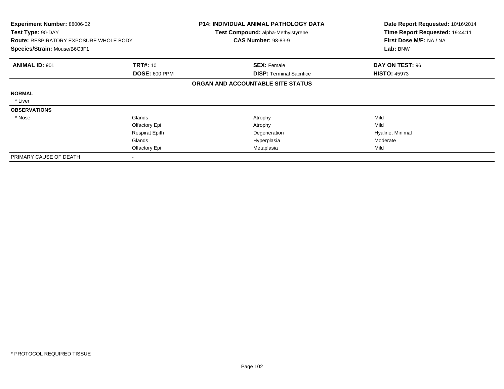| <b>Experiment Number: 88006-02</b><br>Test Type: 90-DAY<br><b>Route: RESPIRATORY EXPOSURE WHOLE BODY</b> |                       | <b>P14: INDIVIDUAL ANIMAL PATHOLOGY DATA</b><br><b>Test Compound: alpha-Methylstyrene</b><br><b>CAS Number: 98-83-9</b> | Date Report Requested: 10/16/2014<br>Time Report Requested: 19:44:11<br>First Dose M/F: NA / NA |
|----------------------------------------------------------------------------------------------------------|-----------------------|-------------------------------------------------------------------------------------------------------------------------|-------------------------------------------------------------------------------------------------|
| Species/Strain: Mouse/B6C3F1                                                                             |                       |                                                                                                                         | Lab: BNW                                                                                        |
| <b>ANIMAL ID: 901</b>                                                                                    | <b>TRT#: 10</b>       | <b>SEX: Female</b>                                                                                                      | DAY ON TEST: 96                                                                                 |
|                                                                                                          | <b>DOSE: 600 PPM</b>  | <b>DISP: Terminal Sacrifice</b>                                                                                         | <b>HISTO: 45973</b>                                                                             |
|                                                                                                          |                       | ORGAN AND ACCOUNTABLE SITE STATUS                                                                                       |                                                                                                 |
| <b>NORMAL</b>                                                                                            |                       |                                                                                                                         |                                                                                                 |
| * Liver                                                                                                  |                       |                                                                                                                         |                                                                                                 |
| <b>OBSERVATIONS</b>                                                                                      |                       |                                                                                                                         |                                                                                                 |
| * Nose                                                                                                   | Glands                | Atrophy                                                                                                                 | Mild                                                                                            |
|                                                                                                          | Olfactory Epi         | Atrophy                                                                                                                 | Mild                                                                                            |
|                                                                                                          | <b>Respirat Epith</b> | Degeneration                                                                                                            | Hyaline, Minimal                                                                                |
|                                                                                                          | Glands                | Hyperplasia                                                                                                             | Moderate                                                                                        |
|                                                                                                          | Olfactory Epi         | Metaplasia                                                                                                              | Mild                                                                                            |
| PRIMARY CAUSE OF DEATH                                                                                   |                       |                                                                                                                         |                                                                                                 |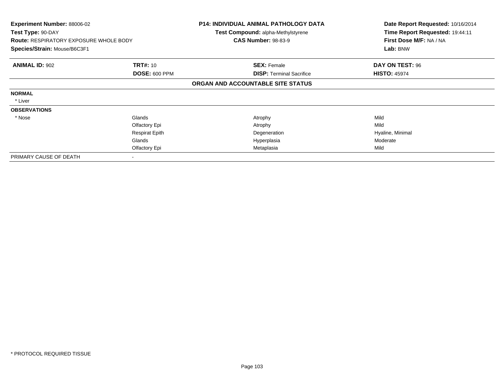| <b>Experiment Number: 88006-02</b><br>Test Type: 90-DAY<br><b>Route: RESPIRATORY EXPOSURE WHOLE BODY</b><br>Species/Strain: Mouse/B6C3F1 |                       | <b>P14: INDIVIDUAL ANIMAL PATHOLOGY DATA</b><br><b>Test Compound: alpha-Methylstyrene</b><br><b>CAS Number: 98-83-9</b> | Date Report Requested: 10/16/2014<br>Time Report Requested: 19:44:11<br>First Dose M/F: NA / NA |
|------------------------------------------------------------------------------------------------------------------------------------------|-----------------------|-------------------------------------------------------------------------------------------------------------------------|-------------------------------------------------------------------------------------------------|
|                                                                                                                                          |                       |                                                                                                                         | Lab: BNW                                                                                        |
| <b>ANIMAL ID: 902</b>                                                                                                                    | <b>TRT#: 10</b>       | <b>SEX: Female</b>                                                                                                      | DAY ON TEST: 96                                                                                 |
|                                                                                                                                          | <b>DOSE: 600 PPM</b>  | <b>DISP: Terminal Sacrifice</b>                                                                                         | <b>HISTO: 45974</b>                                                                             |
|                                                                                                                                          |                       | ORGAN AND ACCOUNTABLE SITE STATUS                                                                                       |                                                                                                 |
| <b>NORMAL</b>                                                                                                                            |                       |                                                                                                                         |                                                                                                 |
| * Liver                                                                                                                                  |                       |                                                                                                                         |                                                                                                 |
| <b>OBSERVATIONS</b>                                                                                                                      |                       |                                                                                                                         |                                                                                                 |
| * Nose                                                                                                                                   | Glands                | Atrophy                                                                                                                 | Mild                                                                                            |
|                                                                                                                                          | Olfactory Epi         | Atrophy                                                                                                                 | Mild                                                                                            |
|                                                                                                                                          | <b>Respirat Epith</b> | Degeneration                                                                                                            | Hyaline, Minimal                                                                                |
|                                                                                                                                          | Glands                | Hyperplasia                                                                                                             | Moderate                                                                                        |
|                                                                                                                                          | Olfactory Epi         | Metaplasia                                                                                                              | Mild                                                                                            |
| PRIMARY CAUSE OF DEATH                                                                                                                   |                       |                                                                                                                         |                                                                                                 |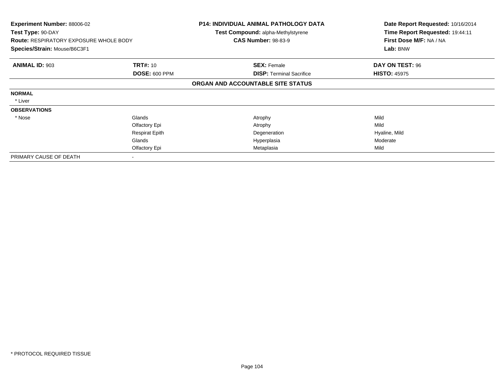| <b>Experiment Number: 88006-02</b><br>Test Type: 90-DAY<br><b>Route: RESPIRATORY EXPOSURE WHOLE BODY</b><br>Species/Strain: Mouse/B6C3F1 |                       | <b>P14: INDIVIDUAL ANIMAL PATHOLOGY DATA</b><br><b>Test Compound: alpha-Methylstyrene</b><br><b>CAS Number: 98-83-9</b> | Date Report Requested: 10/16/2014<br>Time Report Requested: 19:44:11<br>First Dose M/F: NA / NA<br>Lab: BNW |
|------------------------------------------------------------------------------------------------------------------------------------------|-----------------------|-------------------------------------------------------------------------------------------------------------------------|-------------------------------------------------------------------------------------------------------------|
|                                                                                                                                          |                       |                                                                                                                         |                                                                                                             |
| <b>ANIMAL ID: 903</b>                                                                                                                    | <b>TRT#: 10</b>       | <b>SEX: Female</b>                                                                                                      | DAY ON TEST: 96                                                                                             |
|                                                                                                                                          | <b>DOSE: 600 PPM</b>  | <b>DISP: Terminal Sacrifice</b>                                                                                         | <b>HISTO: 45975</b>                                                                                         |
|                                                                                                                                          |                       | ORGAN AND ACCOUNTABLE SITE STATUS                                                                                       |                                                                                                             |
| <b>NORMAL</b>                                                                                                                            |                       |                                                                                                                         |                                                                                                             |
| * Liver                                                                                                                                  |                       |                                                                                                                         |                                                                                                             |
| <b>OBSERVATIONS</b>                                                                                                                      |                       |                                                                                                                         |                                                                                                             |
| * Nose                                                                                                                                   | Glands                | Atrophy                                                                                                                 | Mild                                                                                                        |
|                                                                                                                                          | Olfactory Epi         | Atrophy                                                                                                                 | Mild                                                                                                        |
|                                                                                                                                          | <b>Respirat Epith</b> | Degeneration                                                                                                            | Hyaline, Mild                                                                                               |
|                                                                                                                                          | Glands                | Hyperplasia                                                                                                             | Moderate                                                                                                    |
|                                                                                                                                          | Olfactory Epi         | Metaplasia                                                                                                              | Mild                                                                                                        |
| PRIMARY CAUSE OF DEATH                                                                                                                   |                       |                                                                                                                         |                                                                                                             |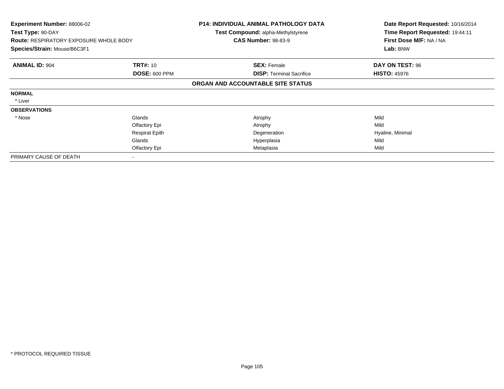| <b>Experiment Number: 88006-02</b>            |                       | <b>P14: INDIVIDUAL ANIMAL PATHOLOGY DATA</b> | Date Report Requested: 10/16/2014 |
|-----------------------------------------------|-----------------------|----------------------------------------------|-----------------------------------|
| Test Type: 90-DAY                             |                       | <b>Test Compound: alpha-Methylstyrene</b>    | Time Report Requested: 19:44:11   |
| <b>Route: RESPIRATORY EXPOSURE WHOLE BODY</b> |                       | <b>CAS Number: 98-83-9</b>                   | First Dose M/F: NA / NA           |
| Species/Strain: Mouse/B6C3F1                  |                       |                                              | Lab: BNW                          |
| <b>ANIMAL ID: 904</b>                         | <b>TRT#: 10</b>       | <b>SEX: Female</b>                           | DAY ON TEST: 96                   |
|                                               | <b>DOSE: 600 PPM</b>  | <b>DISP: Terminal Sacrifice</b>              | <b>HISTO: 45976</b>               |
|                                               |                       | ORGAN AND ACCOUNTABLE SITE STATUS            |                                   |
| <b>NORMAL</b>                                 |                       |                                              |                                   |
| * Liver                                       |                       |                                              |                                   |
| <b>OBSERVATIONS</b>                           |                       |                                              |                                   |
| * Nose                                        | Glands                | Atrophy                                      | Mild                              |
|                                               | Olfactory Epi         | Atrophy                                      | Mild                              |
|                                               | <b>Respirat Epith</b> | Degeneration                                 | Hyaline, Minimal                  |
|                                               | Glands                | Hyperplasia                                  | Mild                              |
|                                               | Olfactory Epi         | Metaplasia                                   | Mild                              |
| PRIMARY CAUSE OF DEATH                        |                       |                                              |                                   |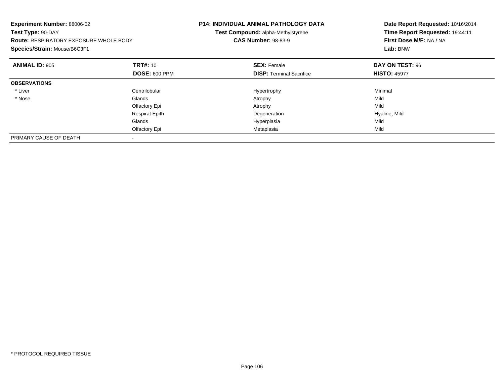| Experiment Number: 88006-02<br>Test Type: 90-DAY<br><b>Route: RESPIRATORY EXPOSURE WHOLE BODY</b><br>Species/Strain: Mouse/B6C3F1 |                       | <b>P14: INDIVIDUAL ANIMAL PATHOLOGY DATA</b><br>Test Compound: alpha-Methylstyrene<br><b>CAS Number: 98-83-9</b> | Date Report Requested: 10/16/2014<br>Time Report Requested: 19:44:11<br>First Dose M/F: NA / NA<br>Lab: BNW |
|-----------------------------------------------------------------------------------------------------------------------------------|-----------------------|------------------------------------------------------------------------------------------------------------------|-------------------------------------------------------------------------------------------------------------|
| <b>ANIMAL ID: 905</b>                                                                                                             | <b>TRT#: 10</b>       | <b>SEX: Female</b>                                                                                               | DAY ON TEST: 96                                                                                             |
|                                                                                                                                   | <b>DOSE: 600 PPM</b>  | <b>DISP:</b> Terminal Sacrifice                                                                                  | <b>HISTO: 45977</b>                                                                                         |
| <b>OBSERVATIONS</b>                                                                                                               |                       |                                                                                                                  |                                                                                                             |
| * Liver                                                                                                                           | Centrilobular         | Hypertrophy                                                                                                      | Minimal                                                                                                     |
| * Nose                                                                                                                            | Glands                | Atrophy                                                                                                          | Mild                                                                                                        |
|                                                                                                                                   | Olfactory Epi         | Atrophy                                                                                                          | Mild                                                                                                        |
|                                                                                                                                   | <b>Respirat Epith</b> | Degeneration                                                                                                     | Hyaline, Mild                                                                                               |
|                                                                                                                                   | Glands                | Hyperplasia                                                                                                      | Mild                                                                                                        |
|                                                                                                                                   | Olfactory Epi         | Metaplasia                                                                                                       | Mild                                                                                                        |
| PRIMARY CAUSE OF DEATH                                                                                                            |                       |                                                                                                                  |                                                                                                             |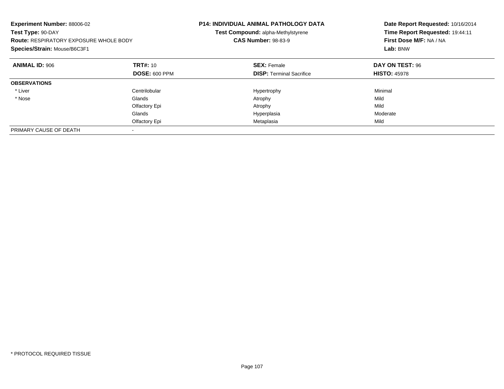| Experiment Number: 88006-02<br>Test Type: 90-DAY<br><b>Route: RESPIRATORY EXPOSURE WHOLE BODY</b><br>Species/Strain: Mouse/B6C3F1 |                      | <b>P14: INDIVIDUAL ANIMAL PATHOLOGY DATA</b><br>Test Compound: alpha-Methylstyrene<br><b>CAS Number: 98-83-9</b> | Date Report Requested: 10/16/2014<br>Time Report Requested: 19:44:11<br>First Dose M/F: NA / NA<br>Lab: BNW |
|-----------------------------------------------------------------------------------------------------------------------------------|----------------------|------------------------------------------------------------------------------------------------------------------|-------------------------------------------------------------------------------------------------------------|
| <b>ANIMAL ID: 906</b>                                                                                                             | <b>TRT#:</b> 10      | <b>SEX: Female</b>                                                                                               | DAY ON TEST: 96                                                                                             |
|                                                                                                                                   | <b>DOSE: 600 PPM</b> | <b>DISP:</b> Terminal Sacrifice                                                                                  | <b>HISTO: 45978</b>                                                                                         |
| <b>OBSERVATIONS</b>                                                                                                               |                      |                                                                                                                  |                                                                                                             |
| * Liver                                                                                                                           | Centrilobular        | Hypertrophy                                                                                                      | Minimal                                                                                                     |
| * Nose                                                                                                                            | Glands               | Atrophy                                                                                                          | Mild                                                                                                        |
|                                                                                                                                   | Olfactory Epi        | Atrophy                                                                                                          | Mild                                                                                                        |
|                                                                                                                                   | Glands               | Hyperplasia                                                                                                      | Moderate                                                                                                    |
|                                                                                                                                   | Olfactory Epi        | Metaplasia                                                                                                       | Mild                                                                                                        |
| PRIMARY CAUSE OF DEATH                                                                                                            |                      |                                                                                                                  |                                                                                                             |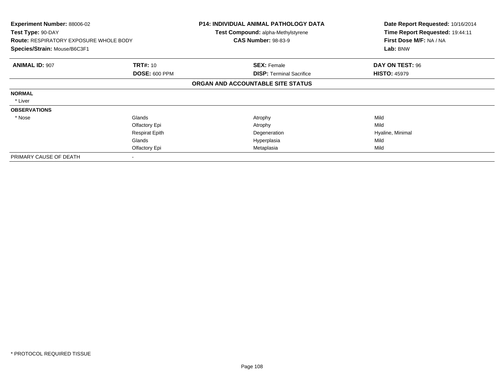| <b>Experiment Number: 88006-02</b><br>Test Type: 90-DAY<br><b>Route: RESPIRATORY EXPOSURE WHOLE BODY</b> |                       | <b>P14: INDIVIDUAL ANIMAL PATHOLOGY DATA</b><br><b>Test Compound: alpha-Methylstyrene</b> | Date Report Requested: 10/16/2014<br>Time Report Requested: 19:44:11 |
|----------------------------------------------------------------------------------------------------------|-----------------------|-------------------------------------------------------------------------------------------|----------------------------------------------------------------------|
|                                                                                                          |                       | <b>CAS Number: 98-83-9</b>                                                                | First Dose M/F: NA / NA                                              |
| Species/Strain: Mouse/B6C3F1                                                                             |                       |                                                                                           | Lab: BNW                                                             |
| <b>ANIMAL ID: 907</b>                                                                                    | <b>TRT#: 10</b>       | <b>SEX: Female</b>                                                                        | DAY ON TEST: 96                                                      |
|                                                                                                          | <b>DOSE: 600 PPM</b>  | <b>DISP: Terminal Sacrifice</b>                                                           | <b>HISTO: 45979</b>                                                  |
|                                                                                                          |                       | ORGAN AND ACCOUNTABLE SITE STATUS                                                         |                                                                      |
| <b>NORMAL</b>                                                                                            |                       |                                                                                           |                                                                      |
| * Liver                                                                                                  |                       |                                                                                           |                                                                      |
| <b>OBSERVATIONS</b>                                                                                      |                       |                                                                                           |                                                                      |
| * Nose                                                                                                   | Glands                | Atrophy                                                                                   | Mild                                                                 |
|                                                                                                          | Olfactory Epi         | Atrophy                                                                                   | Mild                                                                 |
|                                                                                                          | <b>Respirat Epith</b> | Degeneration                                                                              | Hyaline, Minimal                                                     |
|                                                                                                          | Glands                | Hyperplasia                                                                               | Mild                                                                 |
|                                                                                                          | Olfactory Epi         | Metaplasia                                                                                | Mild                                                                 |
| PRIMARY CAUSE OF DEATH                                                                                   |                       |                                                                                           |                                                                      |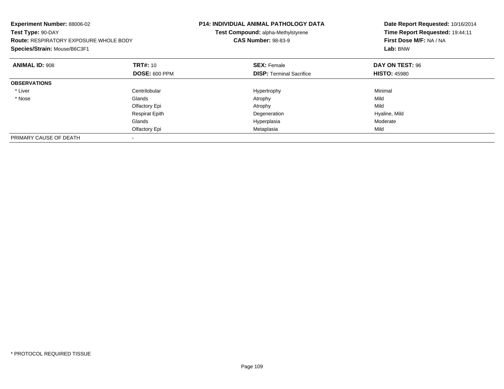| Experiment Number: 88006-02<br>Test Type: 90-DAY<br><b>Route: RESPIRATORY EXPOSURE WHOLE BODY</b><br>Species/Strain: Mouse/B6C3F1 |                       | <b>P14: INDIVIDUAL ANIMAL PATHOLOGY DATA</b><br>Test Compound: alpha-Methylstyrene<br><b>CAS Number: 98-83-9</b> | Date Report Requested: 10/16/2014<br>Time Report Requested: 19:44:11<br>First Dose M/F: NA / NA<br>Lab: BNW |  |
|-----------------------------------------------------------------------------------------------------------------------------------|-----------------------|------------------------------------------------------------------------------------------------------------------|-------------------------------------------------------------------------------------------------------------|--|
| <b>ANIMAL ID: 908</b>                                                                                                             | <b>TRT#: 10</b>       | <b>SEX: Female</b>                                                                                               | DAY ON TEST: 96                                                                                             |  |
|                                                                                                                                   | <b>DOSE: 600 PPM</b>  | <b>DISP:</b> Terminal Sacrifice                                                                                  | <b>HISTO: 45980</b>                                                                                         |  |
| <b>OBSERVATIONS</b>                                                                                                               |                       |                                                                                                                  |                                                                                                             |  |
| * Liver                                                                                                                           | Centrilobular         | Hypertrophy                                                                                                      | Minimal                                                                                                     |  |
| * Nose                                                                                                                            | Glands                | Atrophy                                                                                                          | Mild                                                                                                        |  |
|                                                                                                                                   | Olfactory Epi         | Atrophy                                                                                                          | Mild                                                                                                        |  |
|                                                                                                                                   | <b>Respirat Epith</b> | Degeneration                                                                                                     | Hyaline, Mild                                                                                               |  |
|                                                                                                                                   | Glands                | Hyperplasia                                                                                                      | Moderate                                                                                                    |  |
|                                                                                                                                   | Olfactory Epi         | Metaplasia                                                                                                       | Mild                                                                                                        |  |
| PRIMARY CAUSE OF DEATH                                                                                                            |                       |                                                                                                                  |                                                                                                             |  |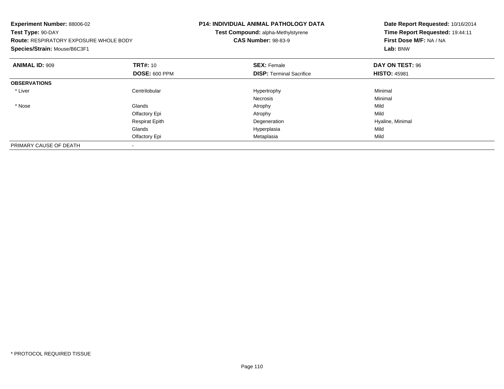| Experiment Number: 88006-02<br>Test Type: 90-DAY<br><b>Route: RESPIRATORY EXPOSURE WHOLE BODY</b><br>Species/Strain: Mouse/B6C3F1 |                       | <b>P14: INDIVIDUAL ANIMAL PATHOLOGY DATA</b><br>Test Compound: alpha-Methylstyrene<br><b>CAS Number: 98-83-9</b> | Date Report Requested: 10/16/2014<br>Time Report Requested: 19:44:11<br>First Dose M/F: NA / NA<br>Lab: BNW |  |
|-----------------------------------------------------------------------------------------------------------------------------------|-----------------------|------------------------------------------------------------------------------------------------------------------|-------------------------------------------------------------------------------------------------------------|--|
| <b>ANIMAL ID: 909</b>                                                                                                             | <b>TRT#: 10</b>       | <b>SEX: Female</b>                                                                                               | DAY ON TEST: 96                                                                                             |  |
|                                                                                                                                   | <b>DOSE: 600 PPM</b>  | <b>DISP: Terminal Sacrifice</b>                                                                                  | <b>HISTO: 45981</b>                                                                                         |  |
| <b>OBSERVATIONS</b>                                                                                                               |                       |                                                                                                                  |                                                                                                             |  |
| * Liver                                                                                                                           | Centrilobular         | Hypertrophy                                                                                                      | Minimal                                                                                                     |  |
|                                                                                                                                   |                       | Necrosis                                                                                                         | Minimal                                                                                                     |  |
| * Nose                                                                                                                            | Glands                | Atrophy                                                                                                          | Mild                                                                                                        |  |
|                                                                                                                                   | Olfactory Epi         | Atrophy                                                                                                          | Mild                                                                                                        |  |
|                                                                                                                                   | <b>Respirat Epith</b> | Degeneration                                                                                                     | Hyaline, Minimal                                                                                            |  |
|                                                                                                                                   | Glands                | Hyperplasia                                                                                                      | Mild                                                                                                        |  |
|                                                                                                                                   | Olfactory Epi         | Metaplasia                                                                                                       | Mild                                                                                                        |  |
| PRIMARY CAUSE OF DEATH                                                                                                            |                       |                                                                                                                  |                                                                                                             |  |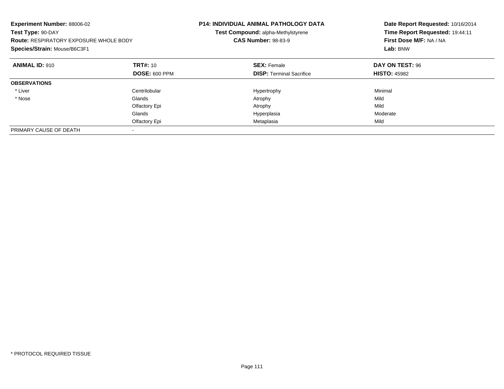| Experiment Number: 88006-02<br>Test Type: 90-DAY<br><b>Route: RESPIRATORY EXPOSURE WHOLE BODY</b><br>Species/Strain: Mouse/B6C3F1 |                      | P14: INDIVIDUAL ANIMAL PATHOLOGY DATA<br>Test Compound: alpha-Methylstyrene<br><b>CAS Number: 98-83-9</b> | Date Report Requested: 10/16/2014<br>Time Report Requested: 19:44:11<br>First Dose M/F: NA / NA<br>Lab: BNW |
|-----------------------------------------------------------------------------------------------------------------------------------|----------------------|-----------------------------------------------------------------------------------------------------------|-------------------------------------------------------------------------------------------------------------|
| <b>ANIMAL ID: 910</b>                                                                                                             | TRT#: 10             | <b>SEX: Female</b>                                                                                        | DAY ON TEST: 96                                                                                             |
|                                                                                                                                   | <b>DOSE: 600 PPM</b> | <b>DISP:</b> Terminal Sacrifice                                                                           | <b>HISTO: 45982</b>                                                                                         |
| <b>OBSERVATIONS</b>                                                                                                               |                      |                                                                                                           |                                                                                                             |
| * Liver                                                                                                                           | Centrilobular        | Hypertrophy                                                                                               | Minimal                                                                                                     |
| * Nose                                                                                                                            | Glands               | Atrophy                                                                                                   | Mild                                                                                                        |
|                                                                                                                                   | Olfactory Epi        | Atrophy                                                                                                   | Mild                                                                                                        |
|                                                                                                                                   | Glands               | Hyperplasia                                                                                               | Moderate                                                                                                    |
|                                                                                                                                   | Olfactory Epi        | Metaplasia                                                                                                | Mild                                                                                                        |
| PRIMARY CAUSE OF DEATH                                                                                                            |                      |                                                                                                           |                                                                                                             |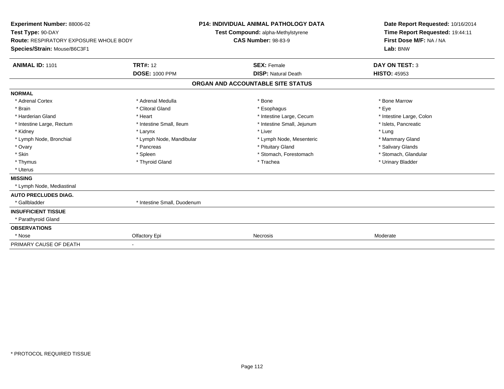| <b>Experiment Number: 88006-02</b><br>Test Type: 90-DAY<br><b>Route: RESPIRATORY EXPOSURE WHOLE BODY</b><br>Species/Strain: Mouse/B6C3F1 |                             | <b>P14: INDIVIDUAL ANIMAL PATHOLOGY DATA</b><br>Test Compound: alpha-Methylstyrene<br><b>CAS Number: 98-83-9</b> |                                   | Date Report Requested: 10/16/2014<br>Time Report Requested: 19:44:11<br>First Dose M/F: NA / NA<br>Lab: BNW |  |
|------------------------------------------------------------------------------------------------------------------------------------------|-----------------------------|------------------------------------------------------------------------------------------------------------------|-----------------------------------|-------------------------------------------------------------------------------------------------------------|--|
| <b>ANIMAL ID: 1101</b>                                                                                                                   | <b>TRT#: 12</b>             |                                                                                                                  | <b>SEX: Female</b>                | <b>DAY ON TEST: 3</b>                                                                                       |  |
|                                                                                                                                          | <b>DOSE: 1000 PPM</b>       |                                                                                                                  | <b>DISP: Natural Death</b>        | <b>HISTO: 45953</b>                                                                                         |  |
|                                                                                                                                          |                             |                                                                                                                  | ORGAN AND ACCOUNTABLE SITE STATUS |                                                                                                             |  |
| <b>NORMAL</b>                                                                                                                            |                             |                                                                                                                  |                                   |                                                                                                             |  |
| * Adrenal Cortex                                                                                                                         | * Adrenal Medulla           |                                                                                                                  | * Bone                            | * Bone Marrow                                                                                               |  |
| * Brain                                                                                                                                  | * Clitoral Gland            |                                                                                                                  | * Esophagus                       | * Eve                                                                                                       |  |
| * Harderian Gland                                                                                                                        | * Heart                     |                                                                                                                  | * Intestine Large, Cecum          | * Intestine Large, Colon                                                                                    |  |
| * Intestine Large, Rectum                                                                                                                | * Intestine Small, Ileum    |                                                                                                                  | * Intestine Small, Jejunum        | * Islets. Pancreatic                                                                                        |  |
| * Kidney                                                                                                                                 | * Larynx                    |                                                                                                                  | * Liver                           | * Lung                                                                                                      |  |
| * Lymph Node, Bronchial                                                                                                                  | * Lymph Node, Mandibular    |                                                                                                                  | * Lymph Node, Mesenteric          | * Mammary Gland                                                                                             |  |
| * Ovary                                                                                                                                  | * Pancreas                  |                                                                                                                  | * Pituitary Gland                 | * Salivary Glands                                                                                           |  |
| * Skin                                                                                                                                   | * Spleen                    |                                                                                                                  | * Stomach, Forestomach            | * Stomach, Glandular                                                                                        |  |
| * Thymus                                                                                                                                 | * Thyroid Gland             |                                                                                                                  | * Trachea                         | * Urinary Bladder                                                                                           |  |
| * Uterus                                                                                                                                 |                             |                                                                                                                  |                                   |                                                                                                             |  |
| <b>MISSING</b>                                                                                                                           |                             |                                                                                                                  |                                   |                                                                                                             |  |
| * Lymph Node, Mediastinal                                                                                                                |                             |                                                                                                                  |                                   |                                                                                                             |  |
| <b>AUTO PRECLUDES DIAG.</b>                                                                                                              |                             |                                                                                                                  |                                   |                                                                                                             |  |
| * Gallbladder                                                                                                                            | * Intestine Small, Duodenum |                                                                                                                  |                                   |                                                                                                             |  |
| <b>INSUFFICIENT TISSUE</b>                                                                                                               |                             |                                                                                                                  |                                   |                                                                                                             |  |
| * Parathyroid Gland                                                                                                                      |                             |                                                                                                                  |                                   |                                                                                                             |  |
| <b>OBSERVATIONS</b>                                                                                                                      |                             |                                                                                                                  |                                   |                                                                                                             |  |
| * Nose                                                                                                                                   | Olfactory Epi               |                                                                                                                  | <b>Necrosis</b>                   | Moderate                                                                                                    |  |
| PRIMARY CAUSE OF DEATH                                                                                                                   |                             |                                                                                                                  |                                   |                                                                                                             |  |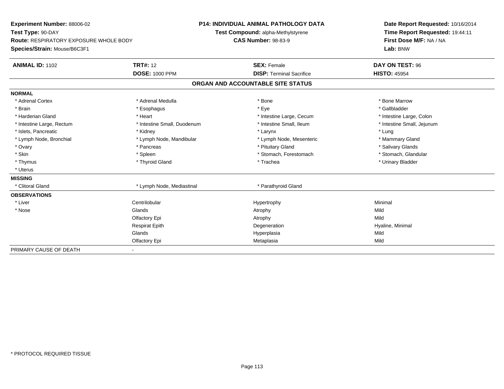| Experiment Number: 88006-02                   |                             | <b>P14: INDIVIDUAL ANIMAL PATHOLOGY DATA</b> | Date Report Requested: 10/16/2014<br>Time Report Requested: 19:44:11 |  |  |
|-----------------------------------------------|-----------------------------|----------------------------------------------|----------------------------------------------------------------------|--|--|
| Test Type: 90-DAY                             |                             | Test Compound: alpha-Methylstyrene           |                                                                      |  |  |
| <b>Route: RESPIRATORY EXPOSURE WHOLE BODY</b> |                             | <b>CAS Number: 98-83-9</b>                   | First Dose M/F: NA / NA                                              |  |  |
| Species/Strain: Mouse/B6C3F1                  |                             |                                              | Lab: BNW                                                             |  |  |
| <b>ANIMAL ID: 1102</b>                        | <b>TRT#: 12</b>             | <b>SEX: Female</b>                           | DAY ON TEST: 96                                                      |  |  |
|                                               | <b>DOSE: 1000 PPM</b>       | <b>DISP: Terminal Sacrifice</b>              | <b>HISTO: 45954</b>                                                  |  |  |
|                                               |                             | ORGAN AND ACCOUNTABLE SITE STATUS            |                                                                      |  |  |
| <b>NORMAL</b>                                 |                             |                                              |                                                                      |  |  |
| * Adrenal Cortex                              | * Adrenal Medulla           | * Bone                                       | * Bone Marrow                                                        |  |  |
| * Brain                                       | * Esophagus                 | * Eye                                        | * Gallbladder                                                        |  |  |
| * Harderian Gland                             | * Heart                     | * Intestine Large, Cecum                     | * Intestine Large, Colon                                             |  |  |
| * Intestine Large, Rectum                     | * Intestine Small, Duodenum | * Intestine Small, Ileum                     | * Intestine Small, Jejunum                                           |  |  |
| * Islets, Pancreatic                          | * Kidney                    | * Larynx                                     | * Lung                                                               |  |  |
| * Lymph Node, Bronchial                       | * Lymph Node, Mandibular    | * Lymph Node, Mesenteric                     | * Mammary Gland                                                      |  |  |
| * Ovary                                       | * Pancreas                  | * Pituitary Gland                            | * Salivary Glands                                                    |  |  |
| * Skin                                        | * Spleen                    | * Stomach, Forestomach                       | * Stomach, Glandular                                                 |  |  |
| * Thymus                                      | * Thyroid Gland             | * Trachea                                    | * Urinary Bladder                                                    |  |  |
| * Uterus                                      |                             |                                              |                                                                      |  |  |
| <b>MISSING</b>                                |                             |                                              |                                                                      |  |  |
| * Clitoral Gland                              | * Lymph Node, Mediastinal   | * Parathyroid Gland                          |                                                                      |  |  |
| <b>OBSERVATIONS</b>                           |                             |                                              |                                                                      |  |  |
| * Liver                                       | Centrilobular               | Hypertrophy                                  | Minimal                                                              |  |  |
| * Nose                                        | Glands                      | Atrophy                                      | Mild                                                                 |  |  |
|                                               | Olfactory Epi               | Atrophy                                      | Mild                                                                 |  |  |
|                                               | <b>Respirat Epith</b>       | Degeneration                                 | Hyaline, Minimal                                                     |  |  |
|                                               | Glands                      | Hyperplasia                                  | Mild                                                                 |  |  |
|                                               | Olfactory Epi               | Metaplasia                                   | Mild                                                                 |  |  |
| PRIMARY CAUSE OF DEATH                        |                             |                                              |                                                                      |  |  |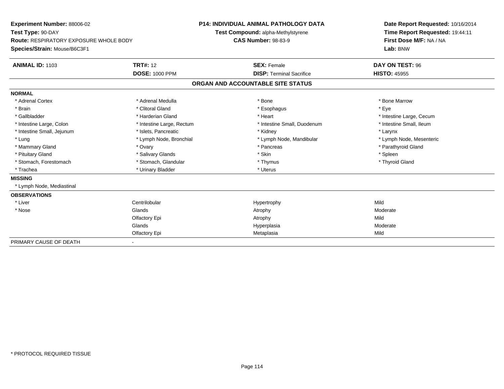| Experiment Number: 88006-02                   |                           |                                    | <b>P14: INDIVIDUAL ANIMAL PATHOLOGY DATA</b> |  | Date Report Requested: 10/16/2014 |  |  |
|-----------------------------------------------|---------------------------|------------------------------------|----------------------------------------------|--|-----------------------------------|--|--|
| Test Type: 90-DAY                             |                           | Test Compound: alpha-Methylstyrene |                                              |  | Time Report Requested: 19:44:11   |  |  |
| <b>Route: RESPIRATORY EXPOSURE WHOLE BODY</b> |                           | <b>CAS Number: 98-83-9</b>         |                                              |  | First Dose M/F: NA / NA           |  |  |
| Species/Strain: Mouse/B6C3F1                  |                           |                                    |                                              |  | Lab: BNW                          |  |  |
| <b>ANIMAL ID: 1103</b>                        | <b>TRT#: 12</b>           |                                    | <b>SEX: Female</b>                           |  | DAY ON TEST: 96                   |  |  |
|                                               | <b>DOSE: 1000 PPM</b>     |                                    | <b>DISP: Terminal Sacrifice</b>              |  | <b>HISTO: 45955</b>               |  |  |
|                                               |                           |                                    | ORGAN AND ACCOUNTABLE SITE STATUS            |  |                                   |  |  |
| <b>NORMAL</b>                                 |                           |                                    |                                              |  |                                   |  |  |
| * Adrenal Cortex                              | * Adrenal Medulla         |                                    | * Bone                                       |  | * Bone Marrow                     |  |  |
| * Brain                                       | * Clitoral Gland          |                                    | * Esophagus                                  |  | * Eye                             |  |  |
| * Gallbladder                                 | * Harderian Gland         |                                    | * Heart                                      |  | * Intestine Large, Cecum          |  |  |
| * Intestine Large, Colon                      | * Intestine Large, Rectum |                                    | * Intestine Small, Duodenum                  |  | * Intestine Small, Ileum          |  |  |
| * Intestine Small, Jejunum                    | * Islets, Pancreatic      |                                    | * Kidney                                     |  | * Larynx                          |  |  |
| * Lung                                        | * Lymph Node, Bronchial   |                                    | * Lymph Node, Mandibular                     |  | * Lymph Node, Mesenteric          |  |  |
| * Mammary Gland                               | * Ovary                   |                                    | * Pancreas                                   |  | * Parathyroid Gland               |  |  |
| * Pituitary Gland                             | * Salivary Glands         |                                    | * Skin                                       |  | * Spleen                          |  |  |
| * Stomach, Forestomach                        | * Stomach, Glandular      |                                    | * Thymus                                     |  | * Thyroid Gland                   |  |  |
| * Trachea                                     | * Urinary Bladder         |                                    | * Uterus                                     |  |                                   |  |  |
| <b>MISSING</b>                                |                           |                                    |                                              |  |                                   |  |  |
| * Lymph Node, Mediastinal                     |                           |                                    |                                              |  |                                   |  |  |
| <b>OBSERVATIONS</b>                           |                           |                                    |                                              |  |                                   |  |  |
| * Liver                                       | Centrilobular             |                                    | Hypertrophy                                  |  | Mild                              |  |  |
| * Nose                                        | Glands                    |                                    | Atrophy                                      |  | Moderate                          |  |  |
|                                               | Olfactory Epi             |                                    | Atrophy                                      |  | Mild                              |  |  |
|                                               | Glands                    |                                    | Hyperplasia                                  |  | Moderate                          |  |  |
|                                               | Olfactory Epi             |                                    | Metaplasia                                   |  | Mild                              |  |  |
| PRIMARY CAUSE OF DEATH                        |                           |                                    |                                              |  |                                   |  |  |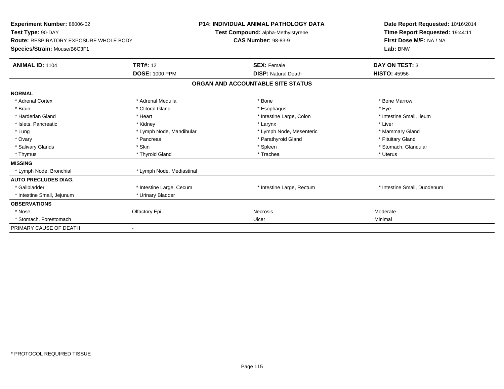| <b>Experiment Number: 88006-02</b><br>Test Type: 90-DAY<br><b>Route: RESPIRATORY EXPOSURE WHOLE BODY</b><br>Species/Strain: Mouse/B6C3F1 |                           | <b>P14: INDIVIDUAL ANIMAL PATHOLOGY DATA</b><br>Test Compound: alpha-Methylstyrene<br><b>CAS Number: 98-83-9</b> | Date Report Requested: 10/16/2014<br>Time Report Requested: 19:44:11<br>First Dose M/F: NA / NA<br>Lab: BNW |
|------------------------------------------------------------------------------------------------------------------------------------------|---------------------------|------------------------------------------------------------------------------------------------------------------|-------------------------------------------------------------------------------------------------------------|
| <b>ANIMAL ID: 1104</b>                                                                                                                   | <b>TRT#: 12</b>           | <b>SEX: Female</b>                                                                                               | <b>DAY ON TEST: 3</b>                                                                                       |
|                                                                                                                                          | <b>DOSE: 1000 PPM</b>     | <b>DISP: Natural Death</b>                                                                                       | <b>HISTO: 45956</b>                                                                                         |
|                                                                                                                                          |                           | ORGAN AND ACCOUNTABLE SITE STATUS                                                                                |                                                                                                             |
| <b>NORMAL</b>                                                                                                                            |                           |                                                                                                                  |                                                                                                             |
| * Adrenal Cortex                                                                                                                         | * Adrenal Medulla         | * Bone                                                                                                           | * Bone Marrow                                                                                               |
| * Brain                                                                                                                                  | * Clitoral Gland          | * Esophagus                                                                                                      | * Eye                                                                                                       |
| * Harderian Gland                                                                                                                        | * Heart                   | * Intestine Large, Colon                                                                                         | * Intestine Small, Ileum                                                                                    |
| * Islets, Pancreatic                                                                                                                     | * Kidney                  | * Larynx                                                                                                         | * Liver                                                                                                     |
| * Lung                                                                                                                                   | * Lymph Node, Mandibular  | * Lymph Node, Mesenteric                                                                                         | * Mammary Gland                                                                                             |
| * Ovary                                                                                                                                  | * Pancreas                | * Parathyroid Gland                                                                                              | * Pituitary Gland                                                                                           |
| * Salivary Glands                                                                                                                        | * Skin                    | * Spleen                                                                                                         | * Stomach, Glandular                                                                                        |
| * Thymus                                                                                                                                 | * Thyroid Gland           | * Trachea                                                                                                        | * Uterus                                                                                                    |
| <b>MISSING</b>                                                                                                                           |                           |                                                                                                                  |                                                                                                             |
| * Lymph Node, Bronchial                                                                                                                  | * Lymph Node, Mediastinal |                                                                                                                  |                                                                                                             |
| <b>AUTO PRECLUDES DIAG.</b>                                                                                                              |                           |                                                                                                                  |                                                                                                             |
| * Gallbladder                                                                                                                            | * Intestine Large, Cecum  | * Intestine Large, Rectum                                                                                        | * Intestine Small, Duodenum                                                                                 |
| * Intestine Small, Jejunum                                                                                                               | * Urinary Bladder         |                                                                                                                  |                                                                                                             |
| <b>OBSERVATIONS</b>                                                                                                                      |                           |                                                                                                                  |                                                                                                             |
| * Nose                                                                                                                                   | Olfactory Epi             | <b>Necrosis</b>                                                                                                  | Moderate                                                                                                    |
| * Stomach, Forestomach                                                                                                                   |                           | Ulcer                                                                                                            | Minimal                                                                                                     |
| PRIMARY CAUSE OF DEATH                                                                                                                   | $\blacksquare$            |                                                                                                                  |                                                                                                             |
|                                                                                                                                          |                           |                                                                                                                  |                                                                                                             |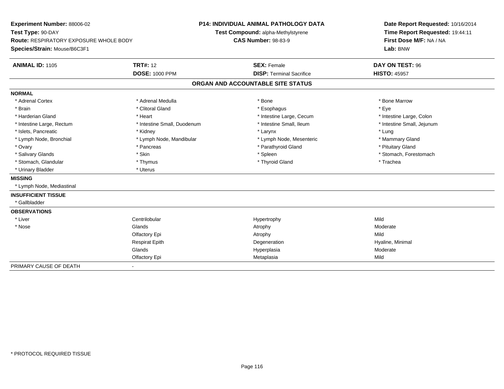| <b>Experiment Number: 88006-02</b><br>Test Type: 90-DAY |                             | <b>P14: INDIVIDUAL ANIMAL PATHOLOGY DATA</b><br>Test Compound: alpha-Methylstyrene |                                   |  | Date Report Requested: 10/16/2014<br>Time Report Requested: 19:44:11 |  |  |
|---------------------------------------------------------|-----------------------------|------------------------------------------------------------------------------------|-----------------------------------|--|----------------------------------------------------------------------|--|--|
| <b>Route: RESPIRATORY EXPOSURE WHOLE BODY</b>           |                             | <b>CAS Number: 98-83-9</b>                                                         |                                   |  | First Dose M/F: NA / NA                                              |  |  |
| Species/Strain: Mouse/B6C3F1                            |                             |                                                                                    |                                   |  | Lab: BNW                                                             |  |  |
| <b>ANIMAL ID: 1105</b>                                  | <b>TRT#: 12</b>             | <b>SEX: Female</b>                                                                 |                                   |  | DAY ON TEST: 96                                                      |  |  |
|                                                         | <b>DOSE: 1000 PPM</b>       |                                                                                    | <b>DISP: Terminal Sacrifice</b>   |  | <b>HISTO: 45957</b>                                                  |  |  |
|                                                         |                             |                                                                                    | ORGAN AND ACCOUNTABLE SITE STATUS |  |                                                                      |  |  |
| <b>NORMAL</b>                                           |                             |                                                                                    |                                   |  |                                                                      |  |  |
| * Adrenal Cortex                                        | * Adrenal Medulla           |                                                                                    | * Bone                            |  | * Bone Marrow                                                        |  |  |
| * Brain                                                 | * Clitoral Gland            |                                                                                    | * Esophagus                       |  | * Eye                                                                |  |  |
| * Harderian Gland                                       | * Heart                     |                                                                                    | * Intestine Large, Cecum          |  | * Intestine Large, Colon                                             |  |  |
| * Intestine Large, Rectum                               | * Intestine Small, Duodenum |                                                                                    | * Intestine Small, Ileum          |  | * Intestine Small, Jejunum                                           |  |  |
| * Islets, Pancreatic                                    | * Kidney                    |                                                                                    | * Larynx                          |  | * Lung                                                               |  |  |
| * Lymph Node, Bronchial                                 | * Lymph Node, Mandibular    |                                                                                    | * Lymph Node, Mesenteric          |  | * Mammary Gland                                                      |  |  |
| * Ovary                                                 | * Pancreas                  |                                                                                    | * Parathyroid Gland               |  | * Pituitary Gland                                                    |  |  |
| * Salivary Glands                                       | * Skin                      |                                                                                    | * Spleen                          |  | * Stomach, Forestomach                                               |  |  |
| * Stomach, Glandular                                    | * Thymus                    |                                                                                    | * Thyroid Gland                   |  | * Trachea                                                            |  |  |
| * Urinary Bladder                                       | * Uterus                    |                                                                                    |                                   |  |                                                                      |  |  |
| <b>MISSING</b>                                          |                             |                                                                                    |                                   |  |                                                                      |  |  |
| * Lymph Node, Mediastinal                               |                             |                                                                                    |                                   |  |                                                                      |  |  |
| <b>INSUFFICIENT TISSUE</b>                              |                             |                                                                                    |                                   |  |                                                                      |  |  |
| * Gallbladder                                           |                             |                                                                                    |                                   |  |                                                                      |  |  |
| <b>OBSERVATIONS</b>                                     |                             |                                                                                    |                                   |  |                                                                      |  |  |
| * Liver                                                 | Centrilobular               |                                                                                    | Hypertrophy                       |  | Mild                                                                 |  |  |
| * Nose                                                  | Glands                      |                                                                                    | Atrophy                           |  | Moderate                                                             |  |  |
|                                                         | Olfactory Epi               |                                                                                    | Atrophy                           |  | Mild                                                                 |  |  |
|                                                         | <b>Respirat Epith</b>       |                                                                                    | Degeneration                      |  | Hyaline, Minimal                                                     |  |  |
|                                                         | Glands                      |                                                                                    | Hyperplasia                       |  | Moderate                                                             |  |  |
|                                                         | Olfactory Epi               |                                                                                    | Metaplasia                        |  | Mild                                                                 |  |  |
| PRIMARY CAUSE OF DEATH                                  | $\frac{1}{2}$               |                                                                                    |                                   |  |                                                                      |  |  |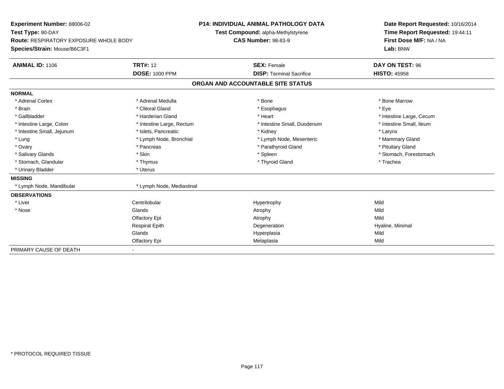| <b>Experiment Number: 88006-02</b>            |                           | <b>P14: INDIVIDUAL ANIMAL PATHOLOGY DATA</b> |                                   |  | Date Report Requested: 10/16/2014 |  |  |
|-----------------------------------------------|---------------------------|----------------------------------------------|-----------------------------------|--|-----------------------------------|--|--|
| Test Type: 90-DAY                             |                           | Test Compound: alpha-Methylstyrene           |                                   |  | Time Report Requested: 19:44:11   |  |  |
| <b>Route: RESPIRATORY EXPOSURE WHOLE BODY</b> |                           | <b>CAS Number: 98-83-9</b>                   |                                   |  | First Dose M/F: NA / NA           |  |  |
| Species/Strain: Mouse/B6C3F1                  |                           |                                              |                                   |  | Lab: BNW                          |  |  |
| <b>ANIMAL ID: 1106</b>                        | <b>TRT#: 12</b>           |                                              | <b>SEX: Female</b>                |  | DAY ON TEST: 96                   |  |  |
|                                               | <b>DOSE: 1000 PPM</b>     |                                              | <b>DISP: Terminal Sacrifice</b>   |  | <b>HISTO: 45958</b>               |  |  |
|                                               |                           |                                              | ORGAN AND ACCOUNTABLE SITE STATUS |  |                                   |  |  |
| <b>NORMAL</b>                                 |                           |                                              |                                   |  |                                   |  |  |
| * Adrenal Cortex                              | * Adrenal Medulla         |                                              | * Bone                            |  | * Bone Marrow                     |  |  |
| * Brain                                       | * Clitoral Gland          |                                              | * Esophagus                       |  | * Eve                             |  |  |
| * Gallbladder                                 | * Harderian Gland         |                                              | * Heart                           |  | * Intestine Large, Cecum          |  |  |
| * Intestine Large, Colon                      | * Intestine Large, Rectum |                                              | * Intestine Small, Duodenum       |  | * Intestine Small, Ileum          |  |  |
| * Intestine Small, Jejunum                    | * Islets, Pancreatic      |                                              | * Kidney                          |  | * Larynx                          |  |  |
| * Lung                                        | * Lymph Node, Bronchial   |                                              | * Lymph Node, Mesenteric          |  | * Mammary Gland                   |  |  |
| * Ovary                                       | * Pancreas                |                                              | * Parathyroid Gland               |  | * Pituitary Gland                 |  |  |
| * Salivary Glands                             | * Skin                    |                                              | * Spleen                          |  | * Stomach, Forestomach            |  |  |
| * Stomach, Glandular                          | * Thymus                  |                                              | * Thyroid Gland                   |  | * Trachea                         |  |  |
| * Urinary Bladder                             | * Uterus                  |                                              |                                   |  |                                   |  |  |
| <b>MISSING</b>                                |                           |                                              |                                   |  |                                   |  |  |
| * Lymph Node, Mandibular                      | * Lymph Node, Mediastinal |                                              |                                   |  |                                   |  |  |
| <b>OBSERVATIONS</b>                           |                           |                                              |                                   |  |                                   |  |  |
| * Liver                                       | Centrilobular             |                                              | Hypertrophy                       |  | Mild                              |  |  |
| * Nose                                        | Glands                    |                                              | Atrophy                           |  | Mild                              |  |  |
|                                               | Olfactory Epi             |                                              | Atrophy                           |  | Mild                              |  |  |
|                                               | <b>Respirat Epith</b>     |                                              | Degeneration                      |  | Hyaline, Minimal                  |  |  |
|                                               | Glands                    |                                              | Hyperplasia                       |  | Mild                              |  |  |
|                                               | Olfactory Epi             |                                              | Metaplasia                        |  | Mild                              |  |  |
| PRIMARY CAUSE OF DEATH                        |                           |                                              |                                   |  |                                   |  |  |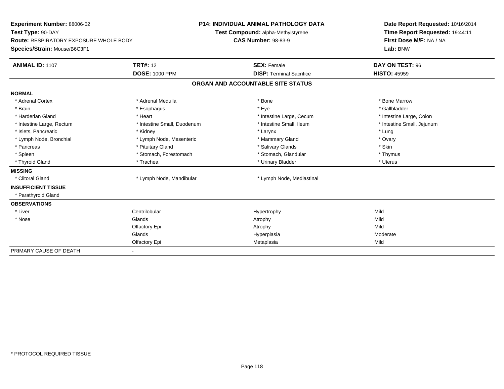| Experiment Number: 88006-02                   |                             | <b>P14: INDIVIDUAL ANIMAL PATHOLOGY DATA</b> | Date Report Requested: 10/16/2014 |
|-----------------------------------------------|-----------------------------|----------------------------------------------|-----------------------------------|
| Test Type: 90-DAY                             |                             | Test Compound: alpha-Methylstyrene           | Time Report Requested: 19:44:11   |
| <b>Route: RESPIRATORY EXPOSURE WHOLE BODY</b> |                             | <b>CAS Number: 98-83-9</b>                   | First Dose M/F: NA / NA           |
| Species/Strain: Mouse/B6C3F1                  |                             |                                              | Lab: BNW                          |
| <b>ANIMAL ID: 1107</b>                        | <b>TRT#: 12</b>             | <b>SEX: Female</b>                           | DAY ON TEST: 96                   |
|                                               | <b>DOSE: 1000 PPM</b>       | <b>DISP: Terminal Sacrifice</b>              | <b>HISTO: 45959</b>               |
|                                               |                             | ORGAN AND ACCOUNTABLE SITE STATUS            |                                   |
| <b>NORMAL</b>                                 |                             |                                              |                                   |
| * Adrenal Cortex                              | * Adrenal Medulla           | * Bone                                       | * Bone Marrow                     |
| * Brain                                       | * Esophagus                 | * Eye                                        | * Gallbladder                     |
| * Harderian Gland                             | * Heart                     | * Intestine Large, Cecum                     | * Intestine Large, Colon          |
| * Intestine Large, Rectum                     | * Intestine Small, Duodenum | * Intestine Small, Ileum                     | * Intestine Small, Jejunum        |
| * Islets, Pancreatic                          | * Kidney                    | * Larynx                                     | * Lung                            |
| * Lymph Node, Bronchial                       | * Lymph Node, Mesenteric    | * Mammary Gland                              | * Ovary                           |
| * Pancreas                                    | * Pituitary Gland           | * Salivary Glands                            | * Skin                            |
| * Spleen                                      | * Stomach, Forestomach      | * Stomach, Glandular                         | * Thymus                          |
| * Thyroid Gland                               | * Trachea                   | * Urinary Bladder                            | * Uterus                          |
| <b>MISSING</b>                                |                             |                                              |                                   |
| * Clitoral Gland                              | * Lymph Node, Mandibular    | * Lymph Node, Mediastinal                    |                                   |
| <b>INSUFFICIENT TISSUE</b>                    |                             |                                              |                                   |
| * Parathyroid Gland                           |                             |                                              |                                   |
| <b>OBSERVATIONS</b>                           |                             |                                              |                                   |
| * Liver                                       | Centrilobular               | Hypertrophy                                  | Mild                              |
| * Nose                                        | Glands                      | Atrophy                                      | Mild                              |
|                                               | Olfactory Epi               | Atrophy                                      | Mild                              |
|                                               | Glands                      | Hyperplasia                                  | Moderate                          |
|                                               | Olfactory Epi               | Metaplasia                                   | Mild                              |
| PRIMARY CAUSE OF DEATH                        |                             |                                              |                                   |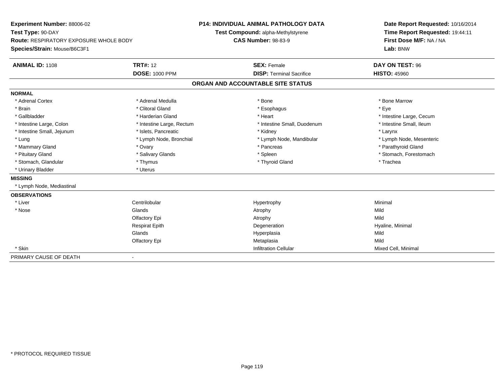| Experiment Number: 88006-02                   |                           | <b>P14: INDIVIDUAL ANIMAL PATHOLOGY DATA</b> |                                    |  | Date Report Requested: 10/16/2014 |  |  |
|-----------------------------------------------|---------------------------|----------------------------------------------|------------------------------------|--|-----------------------------------|--|--|
| Test Type: 90-DAY                             |                           |                                              | Test Compound: alpha-Methylstyrene |  | Time Report Requested: 19:44:11   |  |  |
| <b>Route: RESPIRATORY EXPOSURE WHOLE BODY</b> |                           | <b>CAS Number: 98-83-9</b>                   |                                    |  | First Dose M/F: NA / NA           |  |  |
| Species/Strain: Mouse/B6C3F1                  |                           |                                              |                                    |  | Lab: BNW                          |  |  |
| <b>ANIMAL ID: 1108</b>                        | <b>TRT#: 12</b>           |                                              | <b>SEX: Female</b>                 |  | DAY ON TEST: 96                   |  |  |
|                                               | <b>DOSE: 1000 PPM</b>     |                                              | <b>DISP: Terminal Sacrifice</b>    |  | <b>HISTO: 45960</b>               |  |  |
|                                               |                           |                                              | ORGAN AND ACCOUNTABLE SITE STATUS  |  |                                   |  |  |
| <b>NORMAL</b>                                 |                           |                                              |                                    |  |                                   |  |  |
| * Adrenal Cortex                              | * Adrenal Medulla         |                                              | * Bone                             |  | * Bone Marrow                     |  |  |
| * Brain                                       | * Clitoral Gland          |                                              | * Esophagus                        |  | * Eye                             |  |  |
| * Gallbladder                                 | * Harderian Gland         |                                              | * Heart                            |  | * Intestine Large, Cecum          |  |  |
| * Intestine Large, Colon                      | * Intestine Large, Rectum |                                              | * Intestine Small, Duodenum        |  | * Intestine Small, Ileum          |  |  |
| * Intestine Small, Jejunum                    | * Islets, Pancreatic      |                                              | * Kidney                           |  | * Larynx                          |  |  |
| * Lung                                        | * Lymph Node, Bronchial   |                                              | * Lymph Node, Mandibular           |  | * Lymph Node, Mesenteric          |  |  |
| * Mammary Gland                               | * Ovary                   |                                              | * Pancreas                         |  | * Parathyroid Gland               |  |  |
| * Pituitary Gland                             | * Salivary Glands         |                                              | * Spleen                           |  | * Stomach, Forestomach            |  |  |
| * Stomach, Glandular                          | * Thymus                  |                                              | * Thyroid Gland                    |  | * Trachea                         |  |  |
| * Urinary Bladder                             | * Uterus                  |                                              |                                    |  |                                   |  |  |
| <b>MISSING</b>                                |                           |                                              |                                    |  |                                   |  |  |
| * Lymph Node, Mediastinal                     |                           |                                              |                                    |  |                                   |  |  |
| <b>OBSERVATIONS</b>                           |                           |                                              |                                    |  |                                   |  |  |
| * Liver                                       | Centrilobular             |                                              | Hypertrophy                        |  | Minimal                           |  |  |
| * Nose                                        | Glands                    |                                              | Atrophy                            |  | Mild                              |  |  |
|                                               | Olfactory Epi             |                                              | Atrophy                            |  | Mild                              |  |  |
|                                               | <b>Respirat Epith</b>     |                                              | Degeneration                       |  | Hyaline, Minimal                  |  |  |
|                                               | Glands                    |                                              | Hyperplasia                        |  | Mild                              |  |  |
|                                               | Olfactory Epi             |                                              | Metaplasia                         |  | Mild                              |  |  |
| * Skin                                        |                           |                                              | <b>Infiltration Cellular</b>       |  | Mixed Cell, Minimal               |  |  |
| PRIMARY CAUSE OF DEATH                        | $\blacksquare$            |                                              |                                    |  |                                   |  |  |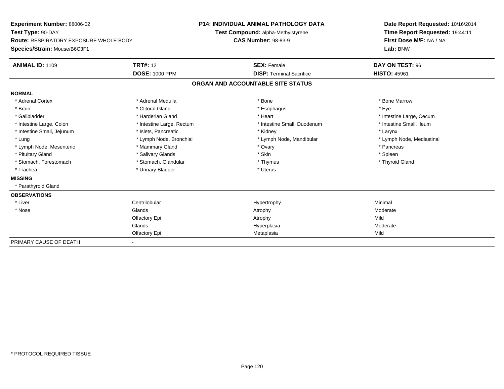| <b>Experiment Number: 88006-02</b>            |                           | <b>P14: INDIVIDUAL ANIMAL PATHOLOGY DATA</b> |                                   |  | Date Report Requested: 10/16/2014 |  |  |
|-----------------------------------------------|---------------------------|----------------------------------------------|-----------------------------------|--|-----------------------------------|--|--|
| Test Type: 90-DAY                             |                           | Test Compound: alpha-Methylstyrene           |                                   |  | Time Report Requested: 19:44:11   |  |  |
| <b>Route: RESPIRATORY EXPOSURE WHOLE BODY</b> |                           | <b>CAS Number: 98-83-9</b>                   |                                   |  | First Dose M/F: NA / NA           |  |  |
| Species/Strain: Mouse/B6C3F1                  |                           |                                              |                                   |  | Lab: BNW                          |  |  |
| <b>ANIMAL ID: 1109</b>                        | <b>TRT#: 12</b>           |                                              | <b>SEX: Female</b>                |  | DAY ON TEST: 96                   |  |  |
|                                               | <b>DOSE: 1000 PPM</b>     |                                              | <b>DISP: Terminal Sacrifice</b>   |  | <b>HISTO: 45961</b>               |  |  |
|                                               |                           |                                              | ORGAN AND ACCOUNTABLE SITE STATUS |  |                                   |  |  |
| <b>NORMAL</b>                                 |                           |                                              |                                   |  |                                   |  |  |
| * Adrenal Cortex                              | * Adrenal Medulla         |                                              | * Bone                            |  | * Bone Marrow                     |  |  |
| * Brain                                       | * Clitoral Gland          |                                              | * Esophagus                       |  | * Eve                             |  |  |
| * Gallbladder                                 | * Harderian Gland         |                                              | * Heart                           |  | * Intestine Large, Cecum          |  |  |
| * Intestine Large, Colon                      | * Intestine Large, Rectum |                                              | * Intestine Small, Duodenum       |  | * Intestine Small, Ileum          |  |  |
| * Intestine Small, Jejunum                    | * Islets, Pancreatic      |                                              | * Kidney                          |  | * Larynx                          |  |  |
| * Lung                                        | * Lymph Node, Bronchial   |                                              | * Lymph Node, Mandibular          |  | * Lymph Node, Mediastinal         |  |  |
| * Lymph Node, Mesenteric                      | * Mammary Gland           |                                              | * Ovary                           |  | * Pancreas                        |  |  |
| * Pituitary Gland                             | * Salivary Glands         |                                              | * Skin                            |  | * Spleen                          |  |  |
| * Stomach, Forestomach                        | * Stomach, Glandular      |                                              | * Thymus                          |  | * Thyroid Gland                   |  |  |
| * Trachea                                     | * Urinary Bladder         |                                              | * Uterus                          |  |                                   |  |  |
| <b>MISSING</b>                                |                           |                                              |                                   |  |                                   |  |  |
| * Parathyroid Gland                           |                           |                                              |                                   |  |                                   |  |  |
| <b>OBSERVATIONS</b>                           |                           |                                              |                                   |  |                                   |  |  |
| * Liver                                       | Centrilobular             |                                              | Hypertrophy                       |  | Minimal                           |  |  |
| * Nose                                        | Glands                    |                                              | Atrophy                           |  | Moderate                          |  |  |
|                                               | Olfactory Epi             |                                              | Atrophy                           |  | Mild                              |  |  |
|                                               | Glands                    |                                              | Hyperplasia                       |  | Moderate                          |  |  |
|                                               | Olfactory Epi             |                                              | Metaplasia                        |  | Mild                              |  |  |
| PRIMARY CAUSE OF DEATH                        |                           |                                              |                                   |  |                                   |  |  |